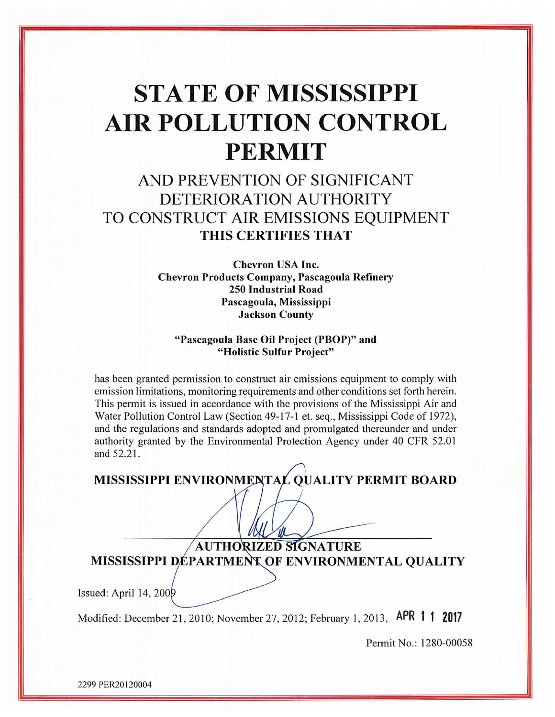# **STATE OF MISSISSIPPI AIR POLLUTION CONTROL PERMIT**

# AND PREVENTION OF SIGNIFICANT DETERIORATION AUTHORITY TO CONSTRUCT AIR EMISSIONS EQUIPMENT THIS CERTIFIES THAT

**Chevron USA Inc. Chevron Products Company, Pascagoula Refinery 250 Industrial Road** Pascagoula, Mississippi **Jackson County** 

#### "Pascagoula Base Oil Project (PBOP)" and "Holistic Sulfur Project"

has been granted permission to construct air emissions equipment to comply with emission limitations, monitoring requirements and other conditions set forth herein. This permit is issued in accordance with the provisions of the Mississippi Air and Water Pollution Control Law (Section 49-17-1 et. seq., Mississippi Code of 1972), and the regulations and standards adopted and promulgated thereunder and under authority granted by the Environmental Protection Agency under 40 CFR 52.01 and 52.21.

MISSISSIPPI ENVIRONMENTAL QUALITY PERMIT BOARD

**AUTHORIZED SIGNATURE** MISSISSIPPI DÉPARTMENT OF ENVIRONMENTAL QUALITY

Issued: April 14, 200 $\theta$ 

Modified: December 21, 2010; November 27, 2012; February 1, 2013, APR 1 1 2017

Permit No.: 1280-00058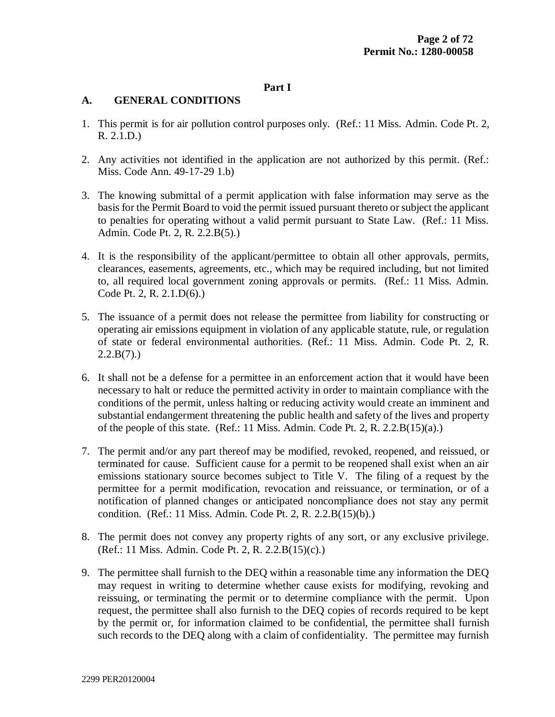#### **Part I**

#### **A. GENERAL CONDITIONS**

- 1. This permit is for air pollution control purposes only. (Ref.: 11 Miss. Admin. Code Pt. 2, R. 2.1.D.)
- 2. Any activities not identified in the application are not authorized by this permit. (Ref.: Miss. Code Ann. 49-17-29 1.b)
- 3. The knowing submittal of a permit application with false information may serve as the basis for the Permit Board to void the permit issued pursuant thereto or subject the applicant to penalties for operating without a valid permit pursuant to State Law. (Ref.: 11 Miss. Admin. Code Pt. 2, R. 2.2.B(5).)
- 4. It is the responsibility of the applicant/permittee to obtain all other approvals, permits, clearances, easements, agreements, etc., which may be required including, but not limited to, all required local government zoning approvals or permits. (Ref.: 11 Miss. Admin. Code Pt. 2, R. 2.1.D(6).)
- 5. The issuance of a permit does not release the permittee from liability for constructing or operating air emissions equipment in violation of any applicable statute, rule, or regulation of state or federal environmental authorities. (Ref.: 11 Miss. Admin. Code Pt. 2, R.  $2.2.B(7)$ .
- 6. It shall not be a defense for a permittee in an enforcement action that it would have been necessary to halt or reduce the permitted activity in order to maintain compliance with the conditions of the permit, unless halting or reducing activity would create an imminent and substantial endangerment threatening the public health and safety of the lives and property of the people of this state. (Ref.: 11 Miss. Admin. Code Pt. 2, R. 2.2. $B(15)(a)$ .)
- 7. The permit and/or any part thereof may be modified, revoked, reopened, and reissued, or terminated for cause. Sufficient cause for a permit to be reopened shall exist when an air emissions stationary source becomes subject to Title V. The filing of a request by the permittee for a permit modification, revocation and reissuance, or termination, or of a notification of planned changes or anticipated noncompliance does not stay any permit condition. (Ref.: 11 Miss. Admin. Code Pt. 2, R. 2.2.B(15)(b).)
- 8. The permit does not convey any property rights of any sort, or any exclusive privilege. (Ref.: 11 Miss. Admin. Code Pt. 2, R. 2.2.B(15)(c).)
- 9. The permittee shall furnish to the DEQ within a reasonable time any information the DEQ may request in writing to determine whether cause exists for modifying, revoking and reissuing, or terminating the permit or to determine compliance with the permit. Upon request, the permittee shall also furnish to the DEQ copies of records required to be kept by the permit or, for information claimed to be confidential, the permittee shall furnish such records to the DEQ along with a claim of confidentiality. The permittee may furnish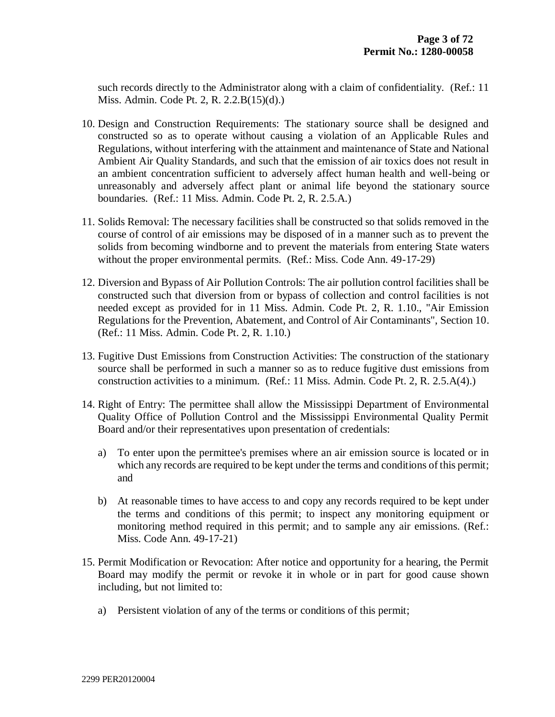such records directly to the Administrator along with a claim of confidentiality. (Ref.: 11 Miss. Admin. Code Pt. 2, R. 2.2.B(15)(d).)

- 10. Design and Construction Requirements: The stationary source shall be designed and constructed so as to operate without causing a violation of an Applicable Rules and Regulations, without interfering with the attainment and maintenance of State and National Ambient Air Quality Standards, and such that the emission of air toxics does not result in an ambient concentration sufficient to adversely affect human health and well-being or unreasonably and adversely affect plant or animal life beyond the stationary source boundaries. (Ref.: 11 Miss. Admin. Code Pt. 2, R. 2.5.A.)
- 11. Solids Removal: The necessary facilities shall be constructed so that solids removed in the course of control of air emissions may be disposed of in a manner such as to prevent the solids from becoming windborne and to prevent the materials from entering State waters without the proper environmental permits. (Ref.: Miss. Code Ann. 49-17-29)
- 12. Diversion and Bypass of Air Pollution Controls: The air pollution control facilities shall be constructed such that diversion from or bypass of collection and control facilities is not needed except as provided for in 11 Miss. Admin. Code Pt. 2, R. 1.10., "Air Emission Regulations for the Prevention, Abatement, and Control of Air Contaminants", Section 10. (Ref.: 11 Miss. Admin. Code Pt. 2, R. 1.10.)
- 13. Fugitive Dust Emissions from Construction Activities: The construction of the stationary source shall be performed in such a manner so as to reduce fugitive dust emissions from construction activities to a minimum. (Ref.: 11 Miss. Admin. Code Pt. 2, R. 2.5.A(4).)
- 14. Right of Entry: The permittee shall allow the Mississippi Department of Environmental Quality Office of Pollution Control and the Mississippi Environmental Quality Permit Board and/or their representatives upon presentation of credentials:
	- a) To enter upon the permittee's premises where an air emission source is located or in which any records are required to be kept under the terms and conditions of this permit; and
	- b) At reasonable times to have access to and copy any records required to be kept under the terms and conditions of this permit; to inspect any monitoring equipment or monitoring method required in this permit; and to sample any air emissions. (Ref.: Miss. Code Ann. 49-17-21)
- 15. Permit Modification or Revocation: After notice and opportunity for a hearing, the Permit Board may modify the permit or revoke it in whole or in part for good cause shown including, but not limited to:
	- a) Persistent violation of any of the terms or conditions of this permit;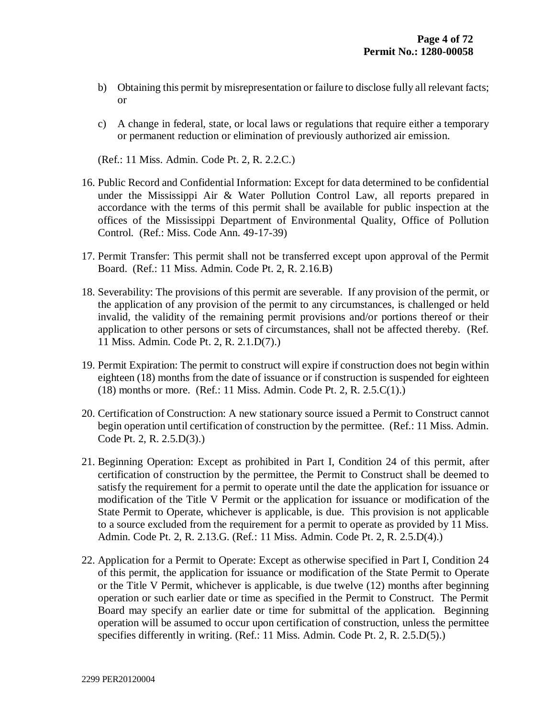- b) Obtaining this permit by misrepresentation or failure to disclose fully all relevant facts; or
- c) A change in federal, state, or local laws or regulations that require either a temporary or permanent reduction or elimination of previously authorized air emission.

(Ref.: 11 Miss. Admin. Code Pt. 2, R. 2.2.C.)

- 16. Public Record and Confidential Information: Except for data determined to be confidential under the Mississippi Air & Water Pollution Control Law, all reports prepared in accordance with the terms of this permit shall be available for public inspection at the offices of the Mississippi Department of Environmental Quality, Office of Pollution Control. (Ref.: Miss. Code Ann. 49-17-39)
- 17. Permit Transfer: This permit shall not be transferred except upon approval of the Permit Board. (Ref.: 11 Miss. Admin. Code Pt. 2, R. 2.16.B)
- 18. Severability: The provisions of this permit are severable. If any provision of the permit, or the application of any provision of the permit to any circumstances, is challenged or held invalid, the validity of the remaining permit provisions and/or portions thereof or their application to other persons or sets of circumstances, shall not be affected thereby. (Ref. 11 Miss. Admin. Code Pt. 2, R. 2.1.D(7).)
- 19. Permit Expiration: The permit to construct will expire if construction does not begin within eighteen (18) months from the date of issuance or if construction is suspended for eighteen (18) months or more. (Ref.: 11 Miss. Admin. Code Pt. 2, R. 2.5.C(1).)
- 20. Certification of Construction: A new stationary source issued a Permit to Construct cannot begin operation until certification of construction by the permittee. (Ref.: 11 Miss. Admin. Code Pt. 2, R. 2.5.D(3).)
- 21. Beginning Operation: Except as prohibited in Part I, Condition 24 of this permit, after certification of construction by the permittee, the Permit to Construct shall be deemed to satisfy the requirement for a permit to operate until the date the application for issuance or modification of the Title V Permit or the application for issuance or modification of the State Permit to Operate, whichever is applicable, is due. This provision is not applicable to a source excluded from the requirement for a permit to operate as provided by 11 Miss. Admin. Code Pt. 2, R. 2.13.G. (Ref.: 11 Miss. Admin. Code Pt. 2, R. 2.5.D(4).)
- 22. Application for a Permit to Operate: Except as otherwise specified in Part I, Condition 24 of this permit, the application for issuance or modification of the State Permit to Operate or the Title V Permit, whichever is applicable, is due twelve (12) months after beginning operation or such earlier date or time as specified in the Permit to Construct. The Permit Board may specify an earlier date or time for submittal of the application. Beginning operation will be assumed to occur upon certification of construction, unless the permittee specifies differently in writing. (Ref.: 11 Miss. Admin. Code Pt. 2, R. 2.5.D(5).)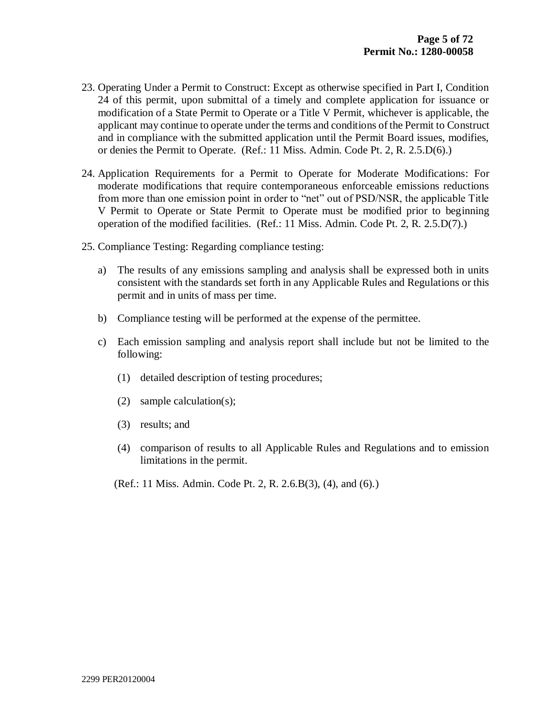- 23. Operating Under a Permit to Construct: Except as otherwise specified in Part I, Condition 24 of this permit, upon submittal of a timely and complete application for issuance or modification of a State Permit to Operate or a Title V Permit, whichever is applicable, the applicant may continue to operate under the terms and conditions of the Permit to Construct and in compliance with the submitted application until the Permit Board issues, modifies, or denies the Permit to Operate. (Ref.: 11 Miss. Admin. Code Pt. 2, R. 2.5.D(6).)
- 24. Application Requirements for a Permit to Operate for Moderate Modifications: For moderate modifications that require contemporaneous enforceable emissions reductions from more than one emission point in order to "net" out of PSD/NSR, the applicable Title V Permit to Operate or State Permit to Operate must be modified prior to beginning operation of the modified facilities. (Ref.: 11 Miss. Admin. Code Pt. 2, R. 2.5.D(7).)
- 25. Compliance Testing: Regarding compliance testing:
	- a) The results of any emissions sampling and analysis shall be expressed both in units consistent with the standards set forth in any Applicable Rules and Regulations or this permit and in units of mass per time.
	- b) Compliance testing will be performed at the expense of the permittee.
	- c) Each emission sampling and analysis report shall include but not be limited to the following:
		- (1) detailed description of testing procedures;
		- (2) sample calculation(s);
		- (3) results; and
		- (4) comparison of results to all Applicable Rules and Regulations and to emission limitations in the permit.
		- (Ref.: 11 Miss. Admin. Code Pt. 2, R. 2.6.B(3), (4), and (6).)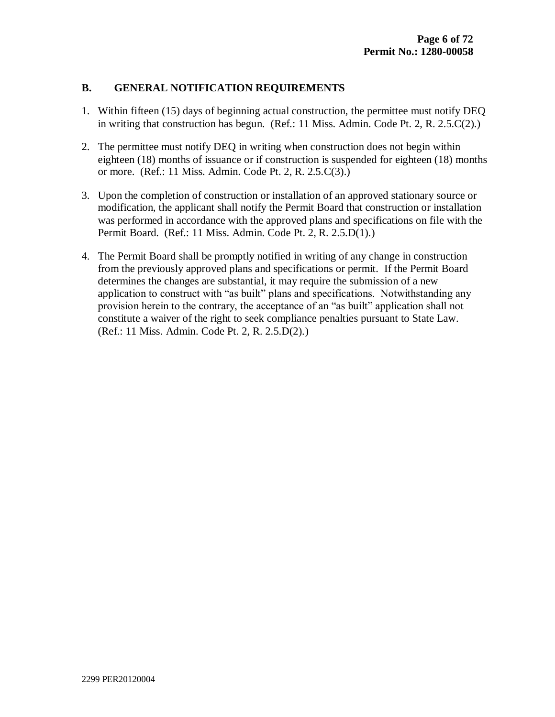## **B. GENERAL NOTIFICATION REQUIREMENTS**

- 1. Within fifteen (15) days of beginning actual construction, the permittee must notify DEQ in writing that construction has begun. (Ref.: 11 Miss. Admin. Code Pt. 2, R. 2.5.C(2).)
- 2. The permittee must notify DEQ in writing when construction does not begin within eighteen (18) months of issuance or if construction is suspended for eighteen (18) months or more. (Ref.: 11 Miss. Admin. Code Pt. 2, R. 2.5.C(3).)
- 3. Upon the completion of construction or installation of an approved stationary source or modification, the applicant shall notify the Permit Board that construction or installation was performed in accordance with the approved plans and specifications on file with the Permit Board. (Ref.: 11 Miss. Admin. Code Pt. 2, R. 2.5.D(1).)
- 4. The Permit Board shall be promptly notified in writing of any change in construction from the previously approved plans and specifications or permit. If the Permit Board determines the changes are substantial, it may require the submission of a new application to construct with "as built" plans and specifications. Notwithstanding any provision herein to the contrary, the acceptance of an "as built" application shall not constitute a waiver of the right to seek compliance penalties pursuant to State Law. (Ref.: 11 Miss. Admin. Code Pt. 2, R. 2.5.D(2).)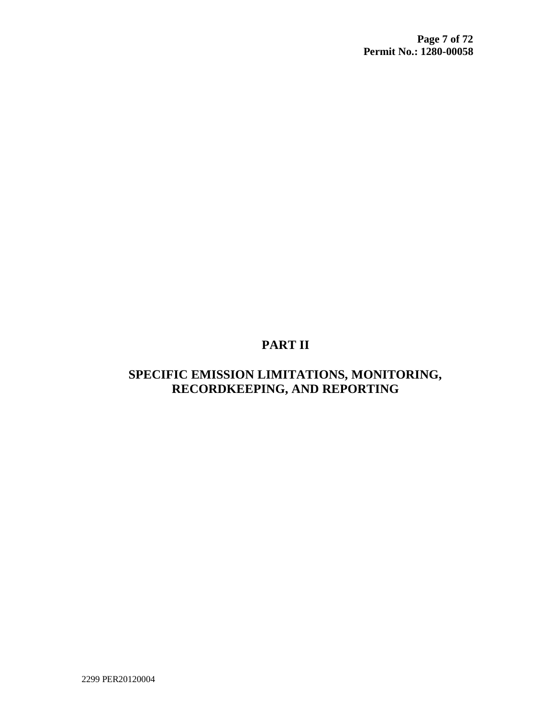# **PART II**

# **SPECIFIC EMISSION LIMITATIONS, MONITORING, RECORDKEEPING, AND REPORTING**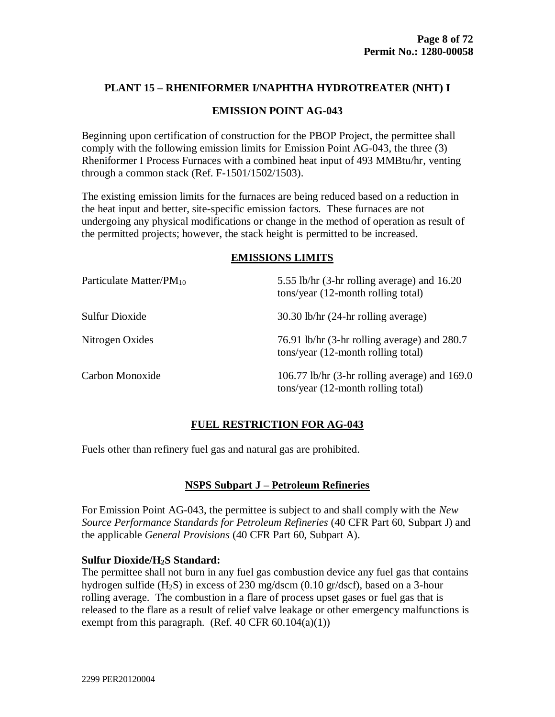#### **PLANT 15 – RHENIFORMER I/NAPHTHA HYDROTREATER (NHT) I**

#### **EMISSION POINT AG-043**

Beginning upon certification of construction for the PBOP Project, the permittee shall comply with the following emission limits for Emission Point AG-043, the three (3) Rheniformer I Process Furnaces with a combined heat input of 493 MMBtu/hr, venting through a common stack (Ref. F-1501/1502/1503).

The existing emission limits for the furnaces are being reduced based on a reduction in the heat input and better, site-specific emission factors. These furnaces are not undergoing any physical modifications or change in the method of operation as result of the permitted projects; however, the stack height is permitted to be increased.

#### **EMISSIONS LIMITS**

| Particulate Matter/P $M_{10}$ | 5.55 lb/hr (3-hr rolling average) and 16.20<br>tons/year (12-month rolling total)     |
|-------------------------------|---------------------------------------------------------------------------------------|
| Sulfur Dioxide                | $30.30$ lb/hr $(24-hr)$ rolling average)                                              |
| Nitrogen Oxides               | 76.91 lb/hr (3-hr rolling average) and 280.7<br>tons/year (12-month rolling total)    |
| Carbon Monoxide               | 106.77 lb/hr (3-hr rolling average) and $169.0$<br>tons/year (12-month rolling total) |

# **FUEL RESTRICTION FOR AG-043**

Fuels other than refinery fuel gas and natural gas are prohibited.

#### **NSPS Subpart J – Petroleum Refineries**

For Emission Point AG-043, the permittee is subject to and shall comply with the *New Source Performance Standards for Petroleum Refineries* (40 CFR Part 60, Subpart J) and the applicable *General Provisions* (40 CFR Part 60, Subpart A).

#### **Sulfur Dioxide/H2S Standard:**

The permittee shall not burn in any fuel gas combustion device any fuel gas that contains hydrogen sulfide (H2S) in excess of 230 mg/dscm (0.10 gr/dscf), based on a 3-hour rolling average. The combustion in a flare of process upset gases or fuel gas that is released to the flare as a result of relief valve leakage or other emergency malfunctions is exempt from this paragraph. (Ref. 40 CFR  $60.104(a)(1)$ )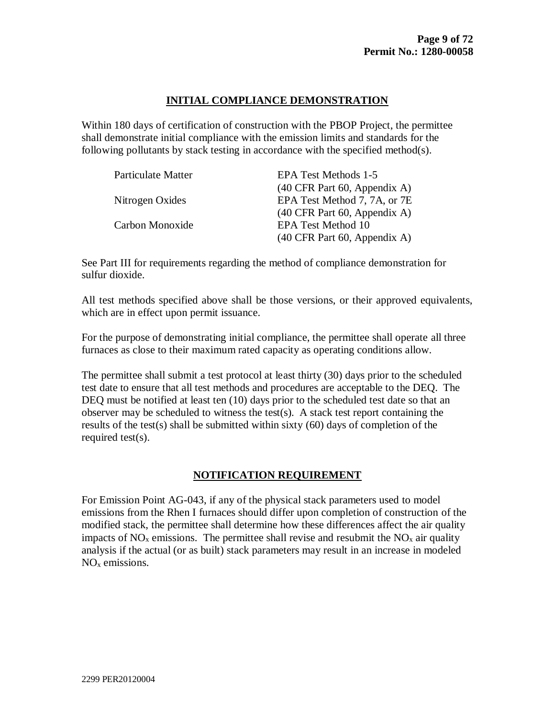# **INITIAL COMPLIANCE DEMONSTRATION**

Within 180 days of certification of construction with the PBOP Project, the permittee shall demonstrate initial compliance with the emission limits and standards for the following pollutants by stack testing in accordance with the specified method(s).

| <b>Particulate Matter</b> | EPA Test Methods 1-5                                    |
|---------------------------|---------------------------------------------------------|
|                           | $(40 \text{ CFR} \text{ Part } 60, \text{ Appendix A})$ |
| Nitrogen Oxides           | EPA Test Method 7, 7A, or 7E                            |
|                           | $(40 \text{ CFR} \text{ Part } 60, \text{ Appendix A})$ |
| Carbon Monoxide           | <b>EPA Test Method 10</b>                               |
|                           | $(40 \text{ CFR} \text{ Part } 60, \text{ Appendix A})$ |

See Part III for requirements regarding the method of compliance demonstration for sulfur dioxide.

All test methods specified above shall be those versions, or their approved equivalents, which are in effect upon permit issuance.

For the purpose of demonstrating initial compliance, the permittee shall operate all three furnaces as close to their maximum rated capacity as operating conditions allow.

The permittee shall submit a test protocol at least thirty (30) days prior to the scheduled test date to ensure that all test methods and procedures are acceptable to the DEQ. The DEQ must be notified at least ten (10) days prior to the scheduled test date so that an observer may be scheduled to witness the test $(s)$ . A stack test report containing the results of the test(s) shall be submitted within sixty (60) days of completion of the required test(s).

# **NOTIFICATION REQUIREMENT**

For Emission Point AG-043, if any of the physical stack parameters used to model emissions from the Rhen I furnaces should differ upon completion of construction of the modified stack, the permittee shall determine how these differences affect the air quality impacts of  $NO<sub>x</sub>$  emissions. The permittee shall revise and resubmit the  $NO<sub>x</sub>$  air quality analysis if the actual (or as built) stack parameters may result in an increase in modeled NO<sup>x</sup> emissions.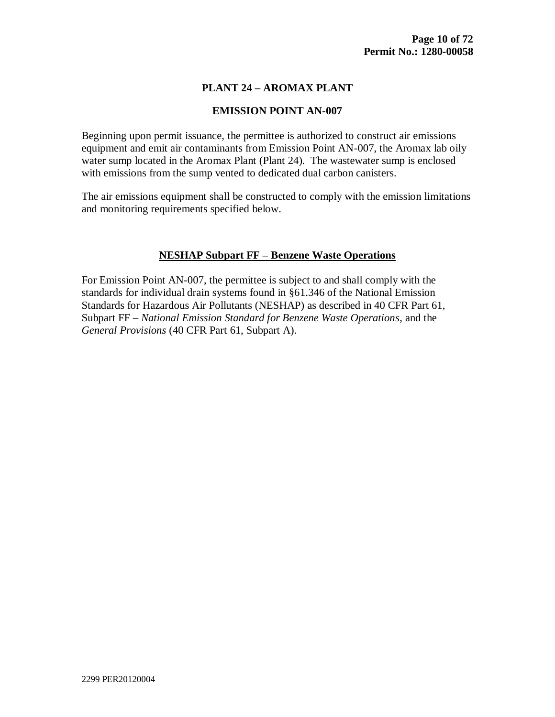#### **PLANT 24 – AROMAX PLANT**

#### **EMISSION POINT AN-007**

Beginning upon permit issuance, the permittee is authorized to construct air emissions equipment and emit air contaminants from Emission Point AN-007, the Aromax lab oily water sump located in the Aromax Plant (Plant 24). The wastewater sump is enclosed with emissions from the sump vented to dedicated dual carbon canisters.

The air emissions equipment shall be constructed to comply with the emission limitations and monitoring requirements specified below.

#### **NESHAP Subpart FF – Benzene Waste Operations**

For Emission Point AN-007, the permittee is subject to and shall comply with the standards for individual drain systems found in §61.346 of the National Emission Standards for Hazardous Air Pollutants (NESHAP) as described in 40 CFR Part 61, Subpart FF – *National Emission Standard for Benzene Waste Operations*, and the *General Provisions* (40 CFR Part 61, Subpart A).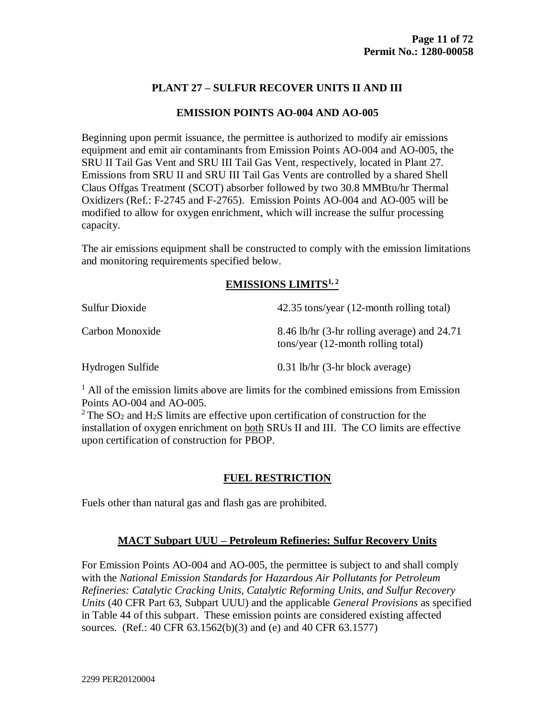# **PLANT 27 – SULFUR RECOVER UNITS II AND III**

#### **EMISSION POINTS AO-004 AND AO-005**

Beginning upon permit issuance, the permittee is authorized to modify air emissions equipment and emit air contaminants from Emission Points AO-004 and AO-005, the SRU II Tail Gas Vent and SRU III Tail Gas Vent, respectively, located in Plant 27. Emissions from SRU II and SRU III Tail Gas Vents are controlled by a shared Shell Claus Offgas Treatment (SCOT) absorber followed by two 30.8 MMBtu/hr Thermal Oxidizers (Ref.: F-2745 and F-2765). Emission Points AO-004 and AO-005 will be modified to allow for oxygen enrichment, which will increase the sulfur processing capacity.

The air emissions equipment shall be constructed to comply with the emission limitations and monitoring requirements specified below.

# **EMISSIONS LIMITS1, 2**

| Sulfur Dioxide   | 42.35 tons/year (12-month rolling total)                                          |
|------------------|-----------------------------------------------------------------------------------|
| Carbon Monoxide  | 8.46 lb/hr (3-hr rolling average) and 24.71<br>tons/year (12-month rolling total) |
| Hydrogen Sulfide | $0.31$ lb/hr (3-hr block average)                                                 |

<sup>1</sup> All of the emission limits above are limits for the combined emissions from Emission Points AO-004 and AO-005.

 $2$  The SO<sub>2</sub> and H<sub>2</sub>S limits are effective upon certification of construction for the installation of oxygen enrichment on both SRUs II and III. The CO limits are effective upon certification of construction for PBOP.

# **FUEL RESTRICTION**

Fuels other than natural gas and flash gas are prohibited.

# **MACT Subpart UUU – Petroleum Refineries: Sulfur Recovery Units**

For Emission Points AO-004 and AO-005, the permittee is subject to and shall comply with the *National Emission Standards for Hazardous Air Pollutants for Petroleum Refineries: Catalytic Cracking Units, Catalytic Reforming Units, and Sulfur Recovery Units* (40 CFR Part 63, Subpart UUU) and the applicable *General Provisions* as specified in Table 44 of this subpart. These emission points are considered existing affected sources. (Ref.: 40 CFR 63.1562(b)(3) and (e) and 40 CFR 63.1577)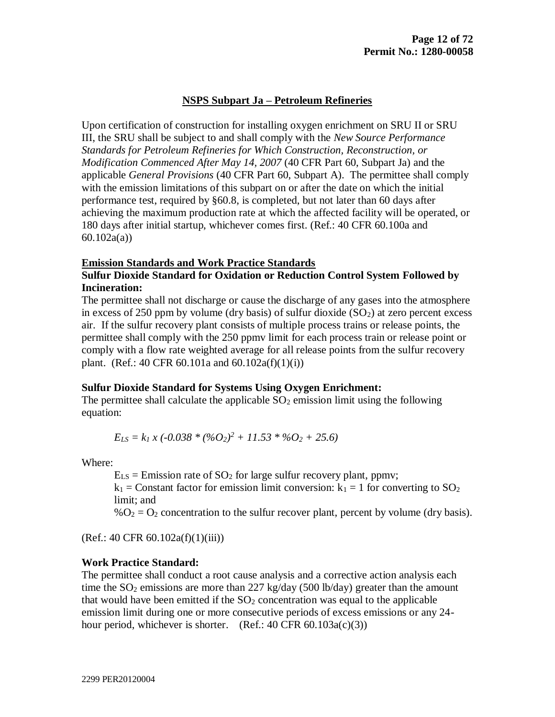## **NSPS Subpart Ja – Petroleum Refineries**

Upon certification of construction for installing oxygen enrichment on SRU II or SRU III, the SRU shall be subject to and shall comply with the *New Source Performance Standards for Petroleum Refineries for Which Construction, Reconstruction, or Modification Commenced After May 14, 2007* (40 CFR Part 60, Subpart Ja) and the applicable *General Provisions* (40 CFR Part 60, Subpart A). The permittee shall comply with the emission limitations of this subpart on or after the date on which the initial performance test, required by §60.8, is completed, but not later than 60 days after achieving the maximum production rate at which the affected facility will be operated, or 180 days after initial startup, whichever comes first. (Ref.: 40 CFR 60.100a and 60.102a(a))

#### **Emission Standards and Work Practice Standards**

## **Sulfur Dioxide Standard for Oxidation or Reduction Control System Followed by Incineration:**

The permittee shall not discharge or cause the discharge of any gases into the atmosphere in excess of 250 ppm by volume (dry basis) of sulfur dioxide  $(SO<sub>2</sub>)$  at zero percent excess air. If the sulfur recovery plant consists of multiple process trains or release points, the permittee shall comply with the 250 ppmv limit for each process train or release point or comply with a flow rate weighted average for all release points from the sulfur recovery plant. (Ref.: 40 CFR 60.101a and  $60.102a(f)(1)(i)$ )

#### **Sulfur Dioxide Standard for Systems Using Oxygen Enrichment:**

The permittee shall calculate the applicable  $SO<sub>2</sub>$  emission limit using the following equation:

$$
E_{LS} = k_1 x (-0.038 * (%O_2)^2 + 11.53 * %O_2 + 25.6)
$$

Where:

 $E_{LS}$  = Emission rate of SO<sub>2</sub> for large sulfur recovery plant, ppmv;

 $k_1$  = Constant factor for emission limit conversion:  $k_1$  = 1 for converting to  $SO_2$ limit; and

 $\%O_2 = O_2$  concentration to the sulfur recover plant, percent by volume (dry basis).

(Ref.: 40 CFR 60.102a(f)(1)(iii))

#### **Work Practice Standard:**

The permittee shall conduct a root cause analysis and a corrective action analysis each time the  $SO_2$  emissions are more than 227 kg/day (500 lb/day) greater than the amount that would have been emitted if the  $SO<sub>2</sub>$  concentration was equal to the applicable emission limit during one or more consecutive periods of excess emissions or any 24 hour period, whichever is shorter. (Ref.:  $40 \text{ CFR } 60.103a(c)(3)$ )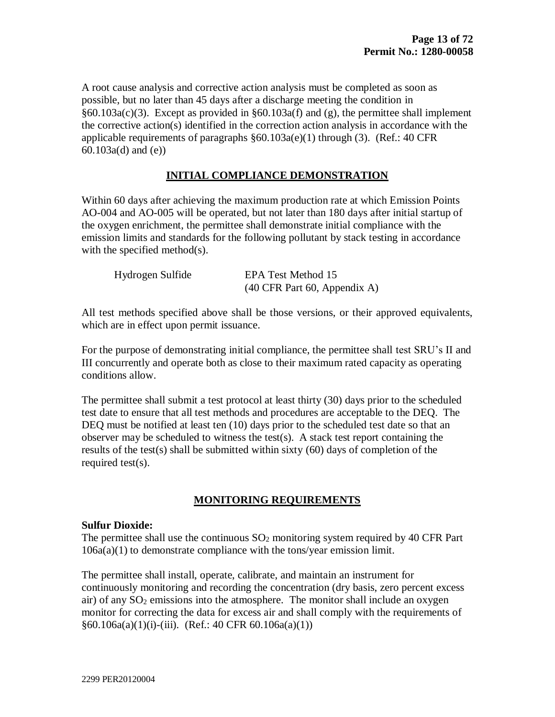A root cause analysis and corrective action analysis must be completed as soon as possible, but no later than 45 days after a discharge meeting the condition in §60.103a(c)(3). Except as provided in §60.103a(f) and (g), the permittee shall implement the corrective action(s) identified in the correction action analysis in accordance with the applicable requirements of paragraphs  $\S 60.103a(e)(1)$  through (3). (Ref.: 40 CFR 60.103a(d) and (e))

#### **INITIAL COMPLIANCE DEMONSTRATION**

Within 60 days after achieving the maximum production rate at which Emission Points AO-004 and AO-005 will be operated, but not later than 180 days after initial startup of the oxygen enrichment, the permittee shall demonstrate initial compliance with the emission limits and standards for the following pollutant by stack testing in accordance with the specified method(s).

| Hydrogen Sulfide | EPA Test Method 15                                      |
|------------------|---------------------------------------------------------|
|                  | $(40 \text{ CFR} \text{ Part } 60, \text{ Appendix A})$ |

All test methods specified above shall be those versions, or their approved equivalents, which are in effect upon permit issuance.

For the purpose of demonstrating initial compliance, the permittee shall test SRU's II and III concurrently and operate both as close to their maximum rated capacity as operating conditions allow.

The permittee shall submit a test protocol at least thirty (30) days prior to the scheduled test date to ensure that all test methods and procedures are acceptable to the DEQ. The DEQ must be notified at least ten (10) days prior to the scheduled test date so that an observer may be scheduled to witness the test(s). A stack test report containing the results of the test(s) shall be submitted within sixty (60) days of completion of the required test(s).

#### **MONITORING REQUIREMENTS**

#### **Sulfur Dioxide:**

The permittee shall use the continuous  $SO_2$  monitoring system required by 40 CFR Part 106a(a)(1) to demonstrate compliance with the tons/year emission limit.

The permittee shall install, operate, calibrate, and maintain an instrument for continuously monitoring and recording the concentration (dry basis, zero percent excess air) of any  $SO<sub>2</sub>$  emissions into the atmosphere. The monitor shall include an oxygen monitor for correcting the data for excess air and shall comply with the requirements of  $§60.106a(a)(1)(i)-(iii)$ . (Ref.: 40 CFR 60.106a(a)(1))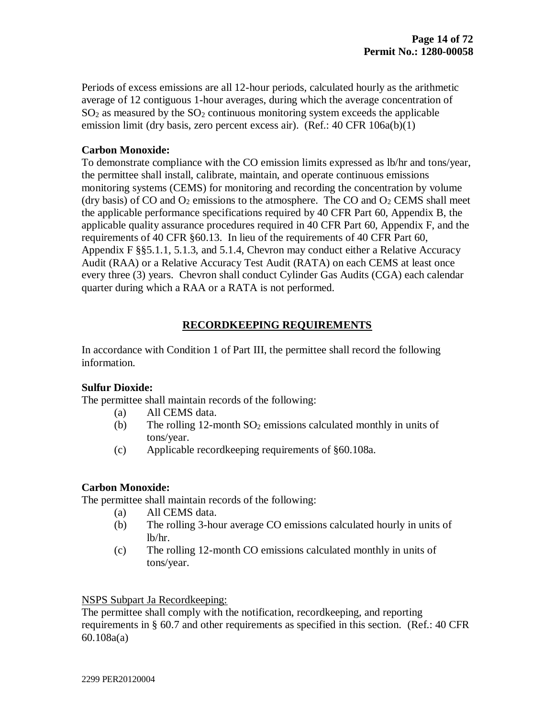Periods of excess emissions are all 12-hour periods, calculated hourly as the arithmetic average of 12 contiguous 1-hour averages, during which the average concentration of  $SO<sub>2</sub>$  as measured by the  $SO<sub>2</sub>$  continuous monitoring system exceeds the applicable emission limit (dry basis, zero percent excess air). (Ref.: 40 CFR 106a(b)(1)

#### **Carbon Monoxide:**

To demonstrate compliance with the CO emission limits expressed as lb/hr and tons/year, the permittee shall install, calibrate, maintain, and operate continuous emissions monitoring systems (CEMS) for monitoring and recording the concentration by volume (dry basis) of CO and  $O_2$  emissions to the atmosphere. The CO and  $O_2$  CEMS shall meet the applicable performance specifications required by 40 CFR Part 60, Appendix B, the applicable quality assurance procedures required in 40 CFR Part 60, Appendix F, and the requirements of 40 CFR §60.13. In lieu of the requirements of 40 CFR Part 60, Appendix F §§5.1.1, 5.1.3, and 5.1.4, Chevron may conduct either a Relative Accuracy Audit (RAA) or a Relative Accuracy Test Audit (RATA) on each CEMS at least once every three (3) years. Chevron shall conduct Cylinder Gas Audits (CGA) each calendar quarter during which a RAA or a RATA is not performed.

#### **RECORDKEEPING REQUIREMENTS**

In accordance with Condition 1 of Part III, the permittee shall record the following information.

#### **Sulfur Dioxide:**

The permittee shall maintain records of the following:

- (a) All CEMS data.
- (b) The rolling 12-month  $SO_2$  emissions calculated monthly in units of tons/year.
- (c) Applicable recordkeeping requirements of §60.108a.

#### **Carbon Monoxide:**

The permittee shall maintain records of the following:

- (a) All CEMS data.
- (b) The rolling 3-hour average CO emissions calculated hourly in units of lb/hr.
- (c) The rolling 12-month CO emissions calculated monthly in units of tons/year.

#### NSPS Subpart Ja Recordkeeping:

The permittee shall comply with the notification, recordkeeping, and reporting requirements in § 60.7 and other requirements as specified in this section. (Ref.: 40 CFR 60.108a(a)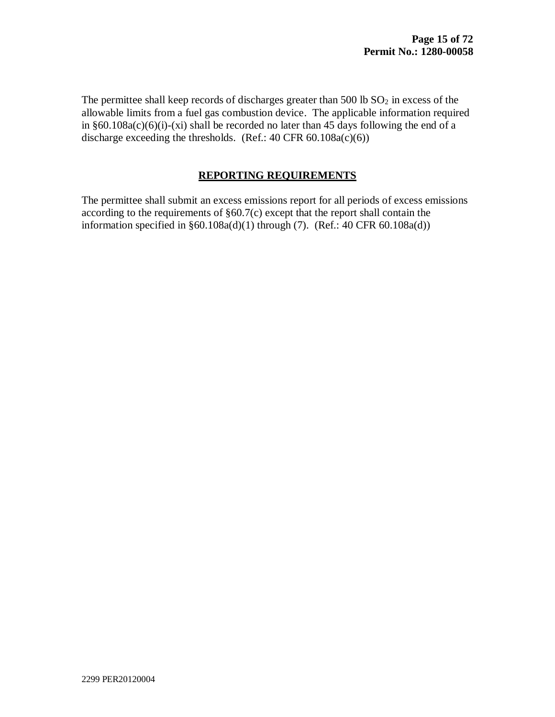The permittee shall keep records of discharges greater than  $500$  lb  $SO<sub>2</sub>$  in excess of the allowable limits from a fuel gas combustion device. The applicable information required in  $§60.108a(c)(6)(i)-(xi)$  shall be recorded no later than 45 days following the end of a discharge exceeding the thresholds. (Ref.:  $40 \text{ CFR } 60.108a(c)(6)$ )

#### **REPORTING REQUIREMENTS**

The permittee shall submit an excess emissions report for all periods of excess emissions according to the requirements of §60.7(c) except that the report shall contain the information specified in  $§60.108a(d)(1)$  through (7). (Ref.: 40 CFR 60.108a(d))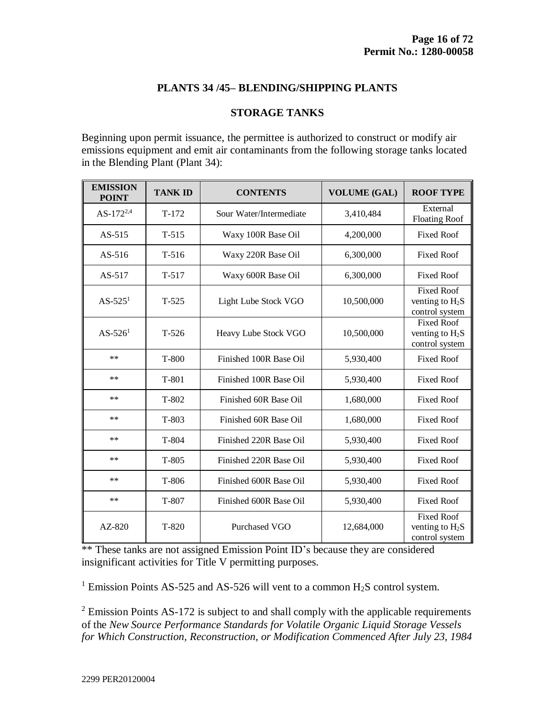#### **PLANTS 34 /45– BLENDING/SHIPPING PLANTS**

#### **STORAGE TANKS**

Beginning upon permit issuance, the permittee is authorized to construct or modify air emissions equipment and emit air contaminants from the following storage tanks located in the Blending Plant (Plant 34):

| <b>EMISSION</b><br><b>POINT</b> | <b>TANK ID</b> | <b>CONTENTS</b>         | <b>VOLUME</b> (GAL) | <b>ROOF TYPE</b>                                         |
|---------------------------------|----------------|-------------------------|---------------------|----------------------------------------------------------|
| AS- $172^{2,4}$                 | $T-172$        | Sour Water/Intermediate | 3,410,484           | External<br><b>Floating Roof</b>                         |
| $AS-515$                        | $T-515$        | Waxy 100R Base Oil      | 4,200,000           | <b>Fixed Roof</b>                                        |
| $AS-516$                        | $T-516$        | Waxy 220R Base Oil      | 6,300,000           | <b>Fixed Roof</b>                                        |
| $AS-517$                        | $T-517$        | Waxy 600R Base Oil      | 6,300,000           | <b>Fixed Roof</b>                                        |
| $AS-5251$                       | $T-525$        | Light Lube Stock VGO    | 10,500,000          | <b>Fixed Roof</b><br>venting to $H_2S$<br>control system |
| $AS - 5261$                     | $T-526$        | Heavy Lube Stock VGO    | 10,500,000          | <b>Fixed Roof</b><br>venting to $H_2S$<br>control system |
| $***$                           | $T-800$        | Finished 100R Base Oil  | 5,930,400           | <b>Fixed Roof</b>                                        |
| $**$                            | T-801          | Finished 100R Base Oil  | 5,930,400           | <b>Fixed Roof</b>                                        |
| $**$                            | $T-802$        | Finished 60R Base Oil   | 1,680,000           | <b>Fixed Roof</b>                                        |
| $**$                            | $T-803$        | Finished 60R Base Oil   | 1,680,000           | <b>Fixed Roof</b>                                        |
| $**$                            | T-804          | Finished 220R Base Oil  | 5,930,400           | <b>Fixed Roof</b>                                        |
| $***$                           | $T-805$        | Finished 220R Base Oil  | 5,930,400           | <b>Fixed Roof</b>                                        |
| $**$                            | $T-806$        | Finished 600R Base Oil  | 5,930,400           | <b>Fixed Roof</b>                                        |
| $***$                           | T-807          | Finished 600R Base Oil  | 5,930,400           | <b>Fixed Roof</b>                                        |
| $AZ-820$                        | $T-820$        | Purchased VGO           | 12,684,000          | <b>Fixed Roof</b><br>venting to $H_2S$<br>control system |

\*\* These tanks are not assigned Emission Point ID's because they are considered insignificant activities for Title V permitting purposes.

<sup>1</sup> Emission Points AS-525 and AS-526 will vent to a common  $H_2S$  control system.

<sup>2</sup> Emission Points AS-172 is subject to and shall comply with the applicable requirements of the *New Source Performance Standards for Volatile Organic Liquid Storage Vessels for Which Construction, Reconstruction, or Modification Commenced After July 23, 1984*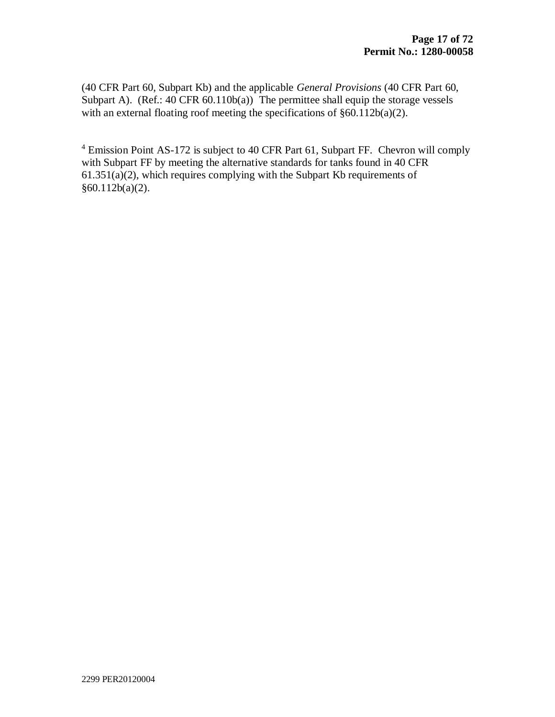(40 CFR Part 60, Subpart Kb) and the applicable *General Provisions* (40 CFR Part 60, Subpart A). (Ref.:  $40 \text{ CFR } 60.110b(a)$ ) The permittee shall equip the storage vessels with an external floating roof meeting the specifications of  $\S 60.112b(a)(2)$ .

<sup>4</sup> Emission Point AS-172 is subject to 40 CFR Part 61, Subpart FF. Chevron will comply with Subpart FF by meeting the alternative standards for tanks found in 40 CFR  $61.351(a)(2)$ , which requires complying with the Subpart Kb requirements of  $§60.112b(a)(2).$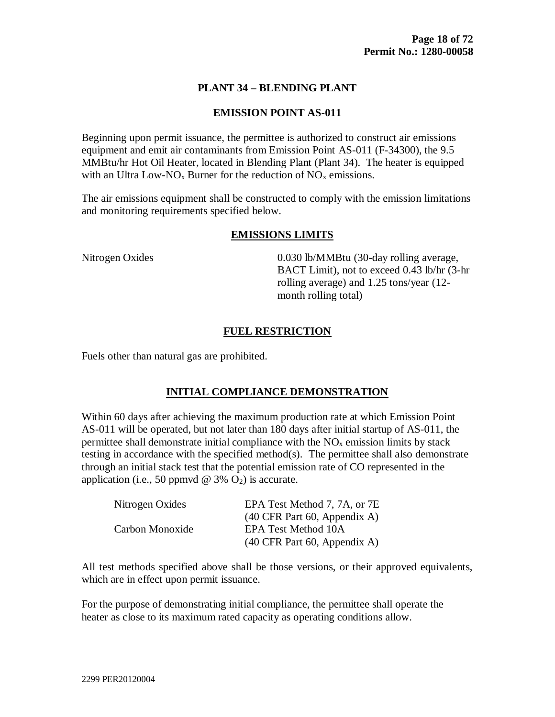#### **PLANT 34 – BLENDING PLANT**

#### **EMISSION POINT AS-011**

Beginning upon permit issuance, the permittee is authorized to construct air emissions equipment and emit air contaminants from Emission Point AS-011 (F-34300), the 9.5 MMBtu/hr Hot Oil Heater, located in Blending Plant (Plant 34). The heater is equipped with an Ultra Low-NO<sub>x</sub> Burner for the reduction of NO<sub>x</sub> emissions.

The air emissions equipment shall be constructed to comply with the emission limitations and monitoring requirements specified below.

#### **EMISSIONS LIMITS**

Nitrogen Oxides 6.030 lb/MMBtu (30-day rolling average, BACT Limit), not to exceed 0.43 lb/hr (3-hr rolling average) and 1.25 tons/year (12 month rolling total)

#### **FUEL RESTRICTION**

Fuels other than natural gas are prohibited.

#### **INITIAL COMPLIANCE DEMONSTRATION**

Within 60 days after achieving the maximum production rate at which Emission Point AS-011 will be operated, but not later than 180 days after initial startup of AS-011, the permittee shall demonstrate initial compliance with the  $NO<sub>x</sub>$  emission limits by stack testing in accordance with the specified method(s). The permittee shall also demonstrate through an initial stack test that the potential emission rate of CO represented in the application (i.e., 50 ppmvd  $\omega$  3%  $O_2$ ) is accurate.

| Nitrogen Oxides | EPA Test Method 7, 7A, or 7E                            |
|-----------------|---------------------------------------------------------|
|                 | $(40 \text{ CFR} \text{ Part } 60, \text{ Appendix A})$ |
| Carbon Monoxide | <b>EPA Test Method 10A</b>                              |
|                 | $(40 \text{ CFR} \text{ Part } 60, \text{ Appendix A})$ |

All test methods specified above shall be those versions, or their approved equivalents, which are in effect upon permit issuance.

For the purpose of demonstrating initial compliance, the permittee shall operate the heater as close to its maximum rated capacity as operating conditions allow.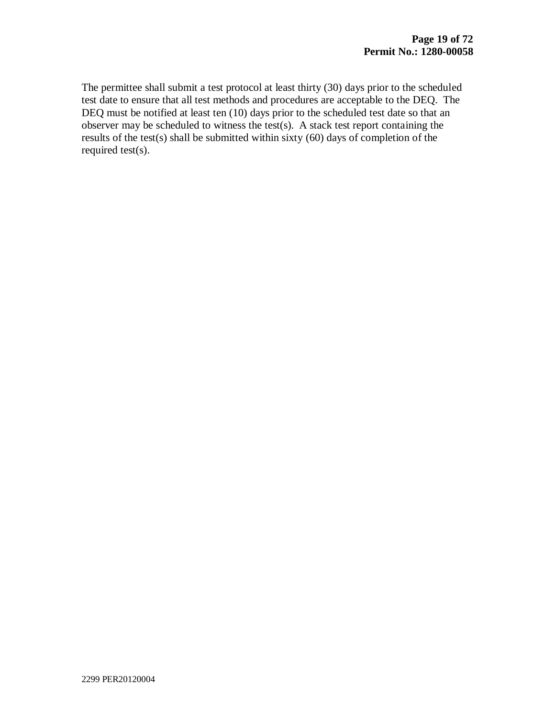The permittee shall submit a test protocol at least thirty (30) days prior to the scheduled test date to ensure that all test methods and procedures are acceptable to the DEQ. The DEQ must be notified at least ten (10) days prior to the scheduled test date so that an observer may be scheduled to witness the test(s). A stack test report containing the results of the test(s) shall be submitted within sixty (60) days of completion of the required test(s).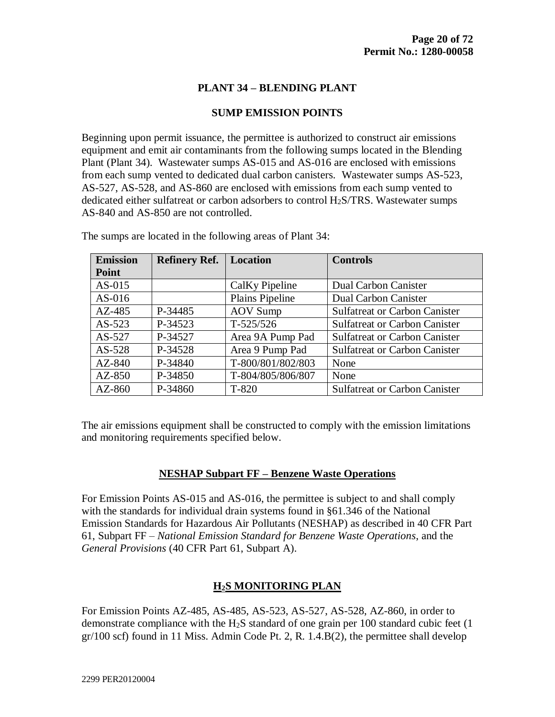#### **PLANT 34 – BLENDING PLANT**

#### **SUMP EMISSION POINTS**

Beginning upon permit issuance, the permittee is authorized to construct air emissions equipment and emit air contaminants from the following sumps located in the Blending Plant (Plant 34). Wastewater sumps AS-015 and AS-016 are enclosed with emissions from each sump vented to dedicated dual carbon canisters. Wastewater sumps AS-523, AS-527, AS-528, and AS-860 are enclosed with emissions from each sump vented to dedicated either sulfatreat or carbon adsorbers to control H2S/TRS. Wastewater sumps AS-840 and AS-850 are not controlled.

| <b>Emission</b> | <b>Refinery Ref.</b> | Location          | <b>Controls</b>                      |
|-----------------|----------------------|-------------------|--------------------------------------|
| Point           |                      |                   |                                      |
| $AS-015$        |                      | CalKy Pipeline    | Dual Carbon Canister                 |
| $AS-016$        |                      | Plains Pipeline   | Dual Carbon Canister                 |
| $AZ-485$        | P-34485              | <b>AOV</b> Sump   | <b>Sulfatreat or Carbon Canister</b> |
| $AS-523$        | P-34523              | $T-525/526$       | <b>Sulfatreat or Carbon Canister</b> |
| AS-527          | P-34527              | Area 9A Pump Pad  | <b>Sulfatreat or Carbon Canister</b> |
| $AS-528$        | P-34528              | Area 9 Pump Pad   | <b>Sulfatreat or Carbon Canister</b> |
| $AZ-840$        | P-34840              | T-800/801/802/803 | None                                 |
| AZ-850          | P-34850              | T-804/805/806/807 | None                                 |
| $AZ-860$        | P-34860              | $T-820$           | <b>Sulfatreat or Carbon Canister</b> |

The sumps are located in the following areas of Plant 34:

The air emissions equipment shall be constructed to comply with the emission limitations and monitoring requirements specified below.

#### **NESHAP Subpart FF – Benzene Waste Operations**

For Emission Points AS-015 and AS-016, the permittee is subject to and shall comply with the standards for individual drain systems found in §61.346 of the National Emission Standards for Hazardous Air Pollutants (NESHAP) as described in 40 CFR Part 61, Subpart FF – *National Emission Standard for Benzene Waste Operations*, and the *General Provisions* (40 CFR Part 61, Subpart A).

#### **H2S MONITORING PLAN**

For Emission Points AZ-485, AS-485, AS-523, AS-527, AS-528, AZ-860, in order to demonstrate compliance with the  $H_2S$  standard of one grain per 100 standard cubic feet (1) gr/100 scf) found in 11 Miss. Admin Code Pt. 2, R. 1.4.B(2), the permittee shall develop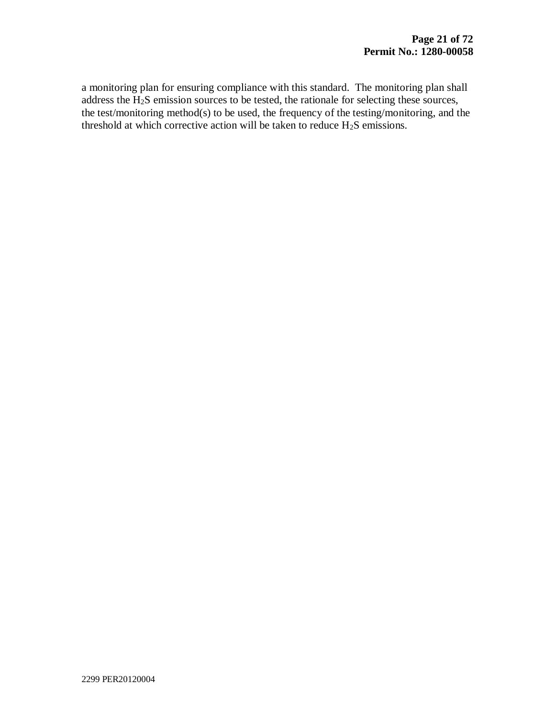a monitoring plan for ensuring compliance with this standard. The monitoring plan shall address the H2S emission sources to be tested, the rationale for selecting these sources, the test/monitoring method(s) to be used, the frequency of the testing/monitoring, and the threshold at which corrective action will be taken to reduce  $H_2S$  emissions.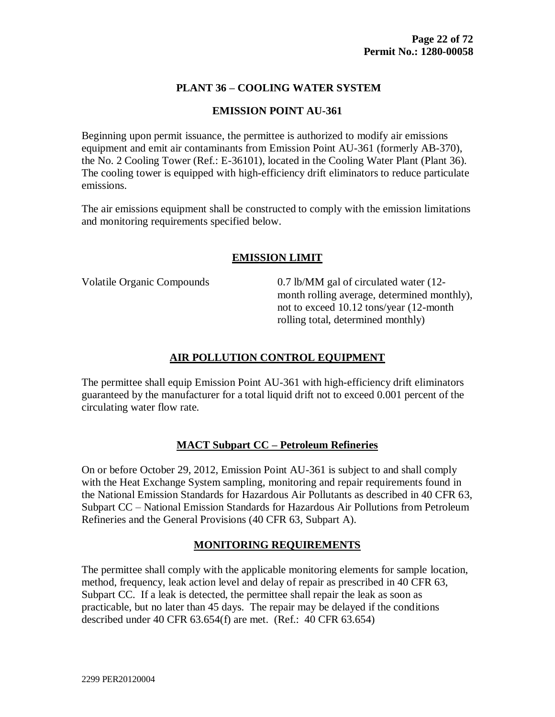# **PLANT 36 – COOLING WATER SYSTEM**

#### **EMISSION POINT AU-361**

Beginning upon permit issuance, the permittee is authorized to modify air emissions equipment and emit air contaminants from Emission Point AU-361 (formerly AB-370), the No. 2 Cooling Tower (Ref.: E-36101), located in the Cooling Water Plant (Plant 36). The cooling tower is equipped with high-efficiency drift eliminators to reduce particulate emissions.

The air emissions equipment shall be constructed to comply with the emission limitations and monitoring requirements specified below.

# **EMISSION LIMIT**

Volatile Organic Compounds 0.7 lb/MM gal of circulated water (12month rolling average, determined monthly), not to exceed 10.12 tons/year (12-month rolling total, determined monthly)

# **AIR POLLUTION CONTROL EQUIPMENT**

The permittee shall equip Emission Point AU-361 with high-efficiency drift eliminators guaranteed by the manufacturer for a total liquid drift not to exceed 0.001 percent of the circulating water flow rate.

# **MACT Subpart CC – Petroleum Refineries**

On or before October 29, 2012, Emission Point AU-361 is subject to and shall comply with the Heat Exchange System sampling, monitoring and repair requirements found in the National Emission Standards for Hazardous Air Pollutants as described in 40 CFR 63, Subpart CC – National Emission Standards for Hazardous Air Pollutions from Petroleum Refineries and the General Provisions (40 CFR 63, Subpart A).

# **MONITORING REQUIREMENTS**

The permittee shall comply with the applicable monitoring elements for sample location, method, frequency, leak action level and delay of repair as prescribed in 40 CFR 63, Subpart CC. If a leak is detected, the permittee shall repair the leak as soon as practicable, but no later than 45 days. The repair may be delayed if the conditions described under 40 CFR 63.654(f) are met. (Ref.: 40 CFR 63.654)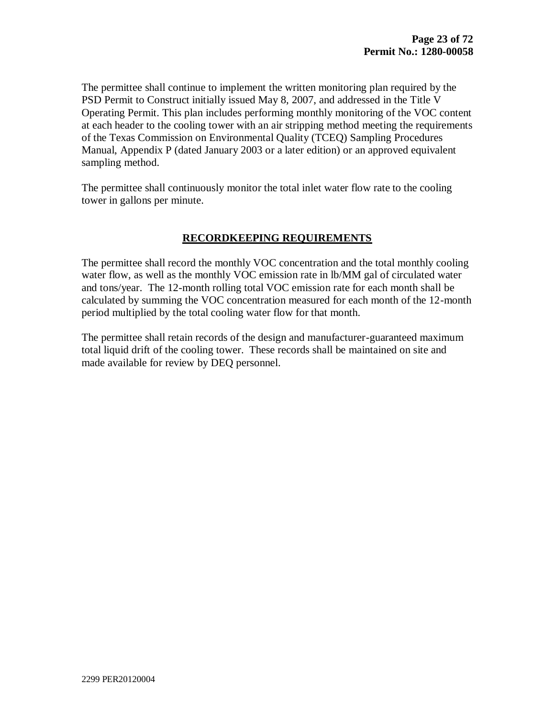The permittee shall continue to implement the written monitoring plan required by the PSD Permit to Construct initially issued May 8, 2007, and addressed in the Title V Operating Permit. This plan includes performing monthly monitoring of the VOC content at each header to the cooling tower with an air stripping method meeting the requirements of the Texas Commission on Environmental Quality (TCEQ) Sampling Procedures Manual, Appendix P (dated January 2003 or a later edition) or an approved equivalent sampling method.

The permittee shall continuously monitor the total inlet water flow rate to the cooling tower in gallons per minute.

#### **RECORDKEEPING REQUIREMENTS**

The permittee shall record the monthly VOC concentration and the total monthly cooling water flow, as well as the monthly VOC emission rate in lb/MM gal of circulated water and tons/year. The 12-month rolling total VOC emission rate for each month shall be calculated by summing the VOC concentration measured for each month of the 12-month period multiplied by the total cooling water flow for that month.

The permittee shall retain records of the design and manufacturer-guaranteed maximum total liquid drift of the cooling tower. These records shall be maintained on site and made available for review by DEQ personnel.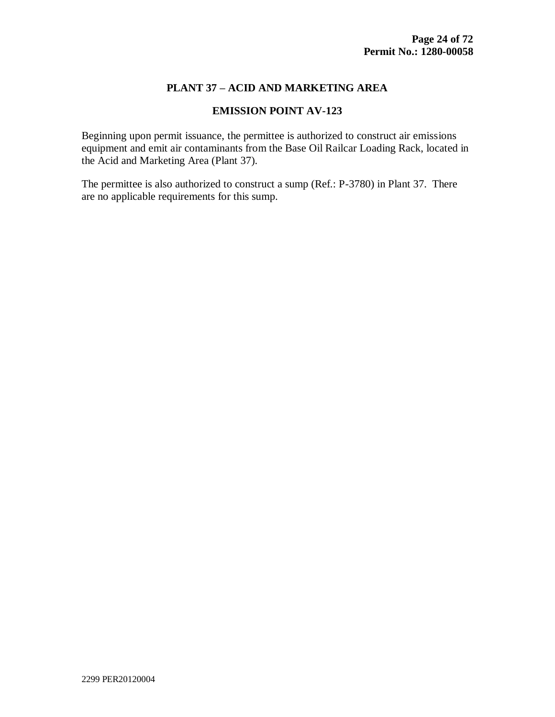#### **PLANT 37 – ACID AND MARKETING AREA**

#### **EMISSION POINT AV-123**

Beginning upon permit issuance, the permittee is authorized to construct air emissions equipment and emit air contaminants from the Base Oil Railcar Loading Rack, located in the Acid and Marketing Area (Plant 37).

The permittee is also authorized to construct a sump (Ref.: P-3780) in Plant 37. There are no applicable requirements for this sump.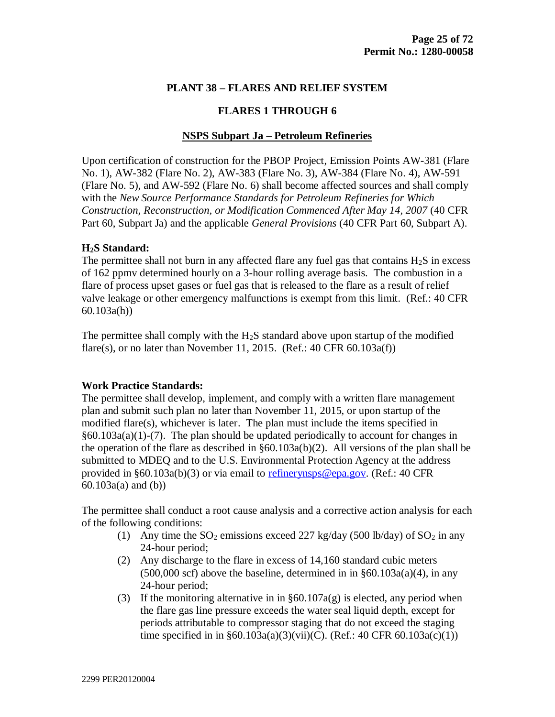#### **PLANT 38 – FLARES AND RELIEF SYSTEM**

#### **FLARES 1 THROUGH 6**

#### **NSPS Subpart Ja – Petroleum Refineries**

Upon certification of construction for the PBOP Project, Emission Points AW-381 (Flare No. 1), AW-382 (Flare No. 2), AW-383 (Flare No. 3), AW-384 (Flare No. 4), AW-591 (Flare No. 5), and AW-592 (Flare No. 6) shall become affected sources and shall comply with the *New Source Performance Standards for Petroleum Refineries for Which Construction, Reconstruction, or Modification Commenced After May 14, 2007* (40 CFR Part 60, Subpart Ja) and the applicable *General Provisions* (40 CFR Part 60, Subpart A).

#### **H2S Standard:**

The permittee shall not burn in any affected flare any fuel gas that contains  $H_2S$  in excess of 162 ppmv determined hourly on a 3-hour rolling average basis. The combustion in a flare of process upset gases or fuel gas that is released to the flare as a result of relief valve leakage or other emergency malfunctions is exempt from this limit. (Ref.: 40 CFR 60.103a(h))

The permittee shall comply with the  $H_2S$  standard above upon startup of the modified flare(s), or no later than November 11, 2015. (Ref.:  $40 \text{ CFR } 60.103a(f)$ )

#### **Work Practice Standards:**

The permittee shall develop, implement, and comply with a written flare management plan and submit such plan no later than November 11, 2015, or upon startup of the modified flare(s), whichever is later. The plan must include the items specified in §60.103a(a)(1)-(7). The plan should be updated periodically to account for changes in the operation of the flare as described in §60.103a(b)(2). All versions of the plan shall be submitted to MDEQ and to the U.S. Environmental Protection Agency at the address provided in §60.103a(b)(3) or via email to [refinerynsps@epa.gov.](mailto:refinerynsps@epa.gov) (Ref.: 40 CFR 60.103a(a) and (b))

The permittee shall conduct a root cause analysis and a corrective action analysis for each of the following conditions:

- (1) Any time the  $SO_2$  emissions exceed 227 kg/day (500 lb/day) of  $SO_2$  in any 24-hour period;
- (2) Any discharge to the flare in excess of 14,160 standard cubic meters  $(500,000 \text{ scf})$  above the baseline, determined in in  $\S 60.103a(a)(4)$ , in any 24-hour period;
- (3) If the monitoring alternative in in  $\S 60.107a(g)$  is elected, any period when the flare gas line pressure exceeds the water seal liquid depth, except for periods attributable to compressor staging that do not exceed the staging time specified in in  $§60.103a(a)(3)(vii)(C)$ . (Ref.: 40 CFR 60.103a(c)(1))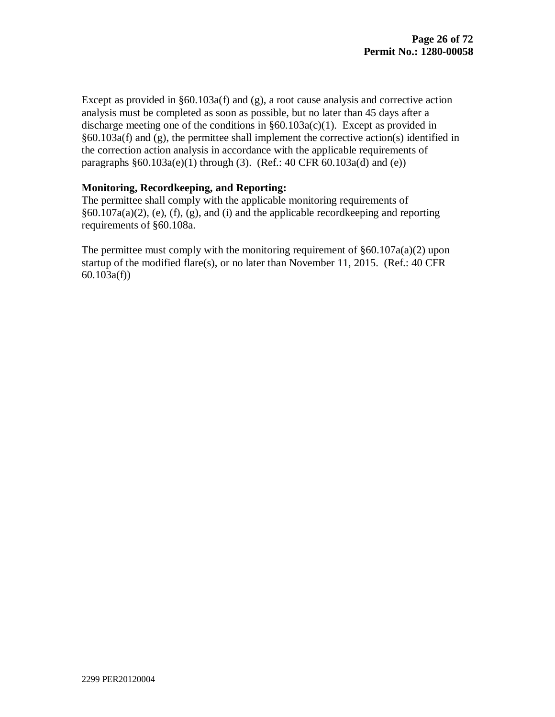Except as provided in  $§60.103a(f)$  and  $(g)$ , a root cause analysis and corrective action analysis must be completed as soon as possible, but no later than 45 days after a discharge meeting one of the conditions in  $§60.103a(c)(1)$ . Except as provided in §60.103a(f) and (g), the permittee shall implement the corrective action(s) identified in the correction action analysis in accordance with the applicable requirements of paragraphs  $§60.103a(e)(1)$  through (3). (Ref.: 40 CFR 60.103a(d) and (e))

#### **Monitoring, Recordkeeping, and Reporting:**

The permittee shall comply with the applicable monitoring requirements of §60.107a(a)(2), (e), (f), (g), and (i) and the applicable recordkeeping and reporting requirements of §60.108a.

The permittee must comply with the monitoring requirement of  $\S 60.107a(a)(2)$  upon startup of the modified flare(s), or no later than November 11, 2015. (Ref.: 40 CFR 60.103a(f))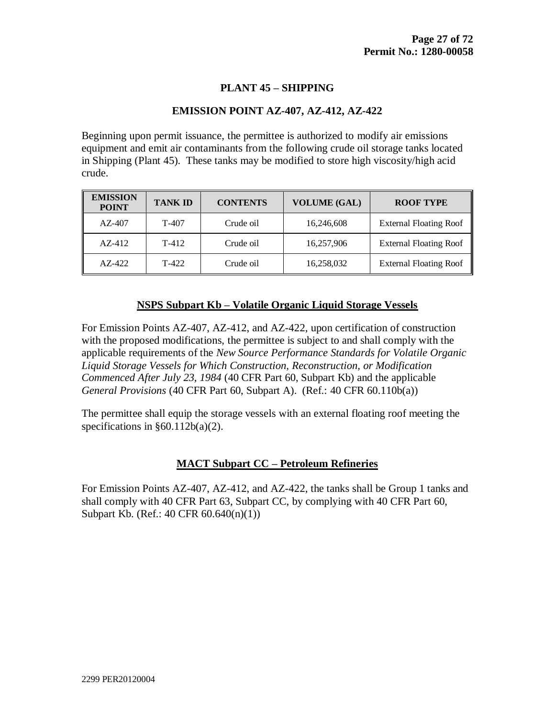#### **PLANT 45 – SHIPPING**

#### **EMISSION POINT AZ-407, AZ-412, AZ-422**

Beginning upon permit issuance, the permittee is authorized to modify air emissions equipment and emit air contaminants from the following crude oil storage tanks located in Shipping (Plant 45). These tanks may be modified to store high viscosity/high acid crude.

| <b>EMISSION</b><br><b>POINT</b> | <b>TANK ID</b> | <b>CONTENTS</b> | <b>VOLUME (GAL)</b> | <b>ROOF TYPE</b>              |
|---------------------------------|----------------|-----------------|---------------------|-------------------------------|
| $AZ-407$                        | T-407          | Crude oil       | 16,246,608          | <b>External Floating Roof</b> |
| $AZ-412$                        | $T-412$        | Crude oil       | 16,257,906          | <b>External Floating Roof</b> |
| $AZ-422$                        | $T-422$        | Crude oil       | 16,258,032          | <b>External Floating Roof</b> |

#### **NSPS Subpart Kb – Volatile Organic Liquid Storage Vessels**

For Emission Points AZ-407, AZ-412, and AZ-422, upon certification of construction with the proposed modifications, the permittee is subject to and shall comply with the applicable requirements of the *New Source Performance Standards for Volatile Organic Liquid Storage Vessels for Which Construction, Reconstruction, or Modification Commenced After July 23, 1984* (40 CFR Part 60, Subpart Kb) and the applicable *General Provisions* (40 CFR Part 60, Subpart A). (Ref.: 40 CFR 60.110b(a))

The permittee shall equip the storage vessels with an external floating roof meeting the specifications in  $§60.112b(a)(2)$ .

#### **MACT Subpart CC – Petroleum Refineries**

For Emission Points AZ-407, AZ-412, and AZ-422, the tanks shall be Group 1 tanks and shall comply with 40 CFR Part 63, Subpart CC, by complying with 40 CFR Part 60, Subpart Kb. (Ref.: 40 CFR 60.640(n)(1))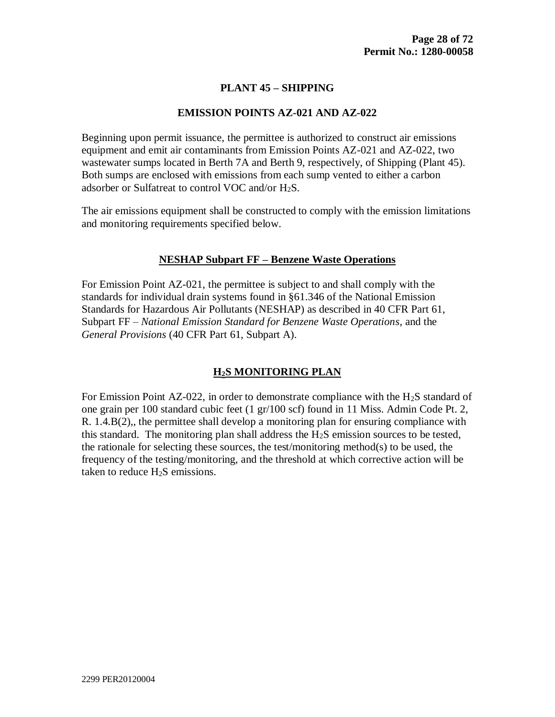## **PLANT 45 – SHIPPING**

#### **EMISSION POINTS AZ-021 AND AZ-022**

Beginning upon permit issuance, the permittee is authorized to construct air emissions equipment and emit air contaminants from Emission Points AZ-021 and AZ-022, two wastewater sumps located in Berth 7A and Berth 9, respectively, of Shipping (Plant 45). Both sumps are enclosed with emissions from each sump vented to either a carbon adsorber or Sulfatreat to control VOC and/or  $H_2S$ .

The air emissions equipment shall be constructed to comply with the emission limitations and monitoring requirements specified below.

#### **NESHAP Subpart FF – Benzene Waste Operations**

For Emission Point AZ-021, the permittee is subject to and shall comply with the standards for individual drain systems found in §61.346 of the National Emission Standards for Hazardous Air Pollutants (NESHAP) as described in 40 CFR Part 61, Subpart FF – *National Emission Standard for Benzene Waste Operations*, and the *General Provisions* (40 CFR Part 61, Subpart A).

#### **H2S MONITORING PLAN**

For Emission Point AZ-022, in order to demonstrate compliance with the  $H_2S$  standard of one grain per 100 standard cubic feet (1 gr/100 scf) found in 11 Miss. Admin Code Pt. 2, R. 1.4.B(2),, the permittee shall develop a monitoring plan for ensuring compliance with this standard. The monitoring plan shall address the  $H_2S$  emission sources to be tested, the rationale for selecting these sources, the test/monitoring method(s) to be used, the frequency of the testing/monitoring, and the threshold at which corrective action will be taken to reduce  $H_2S$  emissions.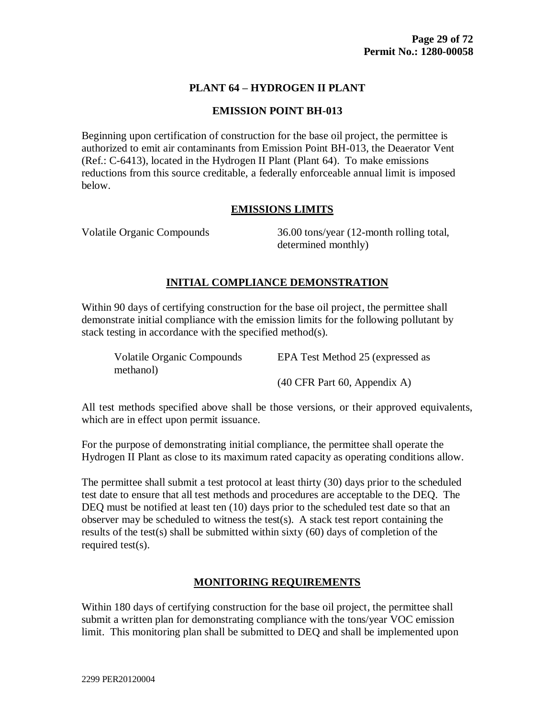#### **PLANT 64 – HYDROGEN II PLANT**

#### **EMISSION POINT BH-013**

Beginning upon certification of construction for the base oil project, the permittee is authorized to emit air contaminants from Emission Point BH-013, the Deaerator Vent (Ref.: C-6413), located in the Hydrogen II Plant (Plant 64). To make emissions reductions from this source creditable, a federally enforceable annual limit is imposed below.

#### **EMISSIONS LIMITS**

Volatile Organic Compounds 36.00 tons/year (12-month rolling total, determined monthly)

#### **INITIAL COMPLIANCE DEMONSTRATION**

Within 90 days of certifying construction for the base oil project, the permittee shall demonstrate initial compliance with the emission limits for the following pollutant by stack testing in accordance with the specified method(s).

| <b>Volatile Organic Compounds</b> | EPA Test Method 25 (expressed as                        |
|-----------------------------------|---------------------------------------------------------|
| methanol)                         |                                                         |
|                                   | $(40 \text{ CFR} \text{ Part } 60, \text{ Appendix A})$ |

All test methods specified above shall be those versions, or their approved equivalents, which are in effect upon permit issuance.

For the purpose of demonstrating initial compliance, the permittee shall operate the Hydrogen II Plant as close to its maximum rated capacity as operating conditions allow.

The permittee shall submit a test protocol at least thirty (30) days prior to the scheduled test date to ensure that all test methods and procedures are acceptable to the DEQ. The DEQ must be notified at least ten (10) days prior to the scheduled test date so that an observer may be scheduled to witness the test(s). A stack test report containing the results of the test(s) shall be submitted within sixty (60) days of completion of the required test(s).

# **MONITORING REQUIREMENTS**

Within 180 days of certifying construction for the base oil project, the permittee shall submit a written plan for demonstrating compliance with the tons/year VOC emission limit. This monitoring plan shall be submitted to DEQ and shall be implemented upon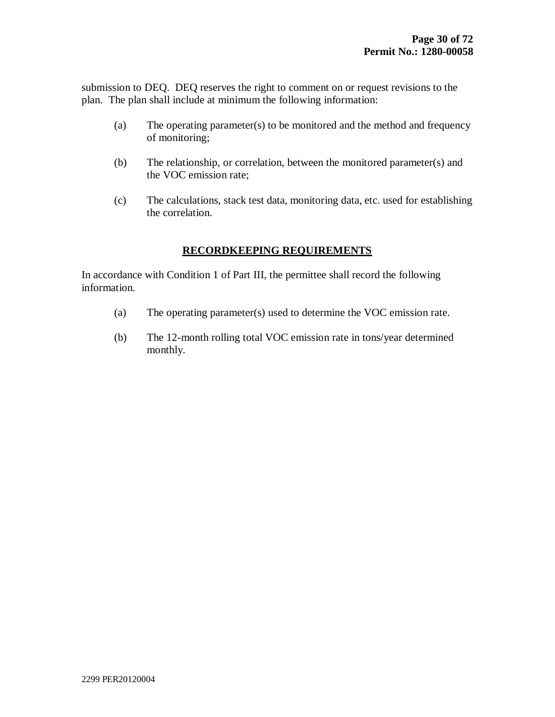submission to DEQ. DEQ reserves the right to comment on or request revisions to the plan. The plan shall include at minimum the following information:

- (a) The operating parameter(s) to be monitored and the method and frequency of monitoring;
- (b) The relationship, or correlation, between the monitored parameter(s) and the VOC emission rate;
- (c) The calculations, stack test data, monitoring data, etc. used for establishing the correlation.

## **RECORDKEEPING REQUIREMENTS**

In accordance with Condition 1 of Part III, the permittee shall record the following information.

- (a) The operating parameter(s) used to determine the VOC emission rate.
- (b) The 12-month rolling total VOC emission rate in tons/year determined monthly.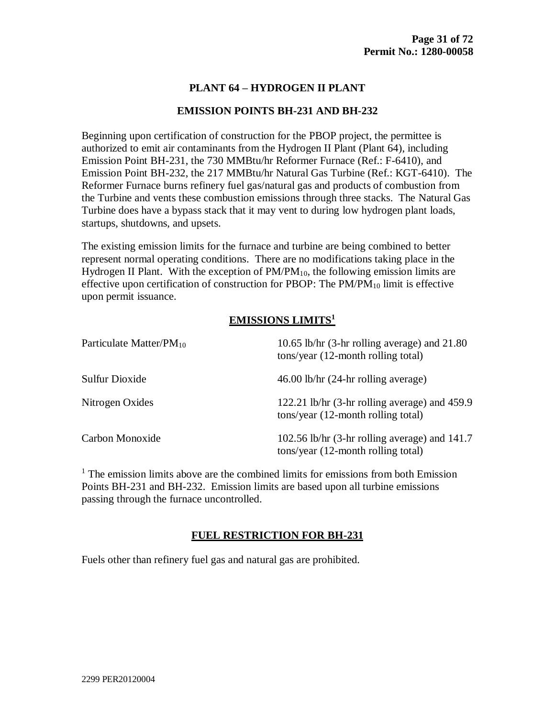#### **PLANT 64 – HYDROGEN II PLANT**

#### **EMISSION POINTS BH-231 AND BH-232**

Beginning upon certification of construction for the PBOP project, the permittee is authorized to emit air contaminants from the Hydrogen II Plant (Plant 64), including Emission Point BH-231, the 730 MMBtu/hr Reformer Furnace (Ref.: F-6410), and Emission Point BH-232, the 217 MMBtu/hr Natural Gas Turbine (Ref.: KGT-6410). The Reformer Furnace burns refinery fuel gas/natural gas and products of combustion from the Turbine and vents these combustion emissions through three stacks. The Natural Gas Turbine does have a bypass stack that it may vent to during low hydrogen plant loads, startups, shutdowns, and upsets.

The existing emission limits for the furnace and turbine are being combined to better represent normal operating conditions. There are no modifications taking place in the Hydrogen II Plant. With the exception of  $PM/PM_{10}$ , the following emission limits are effective upon certification of construction for PBOP: The  $PM/PM_{10}$  limit is effective upon permit issuance.

# **EMISSIONS LIMITS<sup>1</sup>**

| Particulate Matter/PM <sub>10</sub> | 10.65 lb/hr $(3-hr)$ rolling average) and 21.80<br>tons/year (12-month rolling total)  |
|-------------------------------------|----------------------------------------------------------------------------------------|
| Sulfur Dioxide                      | $46.00$ lb/hr $(24-hr)$ rolling average)                                               |
| Nitrogen Oxides                     | 122.21 lb/hr (3-hr rolling average) and 459.9<br>tons/year (12-month rolling total)    |
| Carbon Monoxide                     | 102.56 lb/hr $(3-hr)$ rolling average) and 141.7<br>tons/year (12-month rolling total) |

 $<sup>1</sup>$  The emission limits above are the combined limits for emissions from both Emission</sup> Points BH-231 and BH-232. Emission limits are based upon all turbine emissions passing through the furnace uncontrolled.

#### **FUEL RESTRICTION FOR BH-231**

Fuels other than refinery fuel gas and natural gas are prohibited.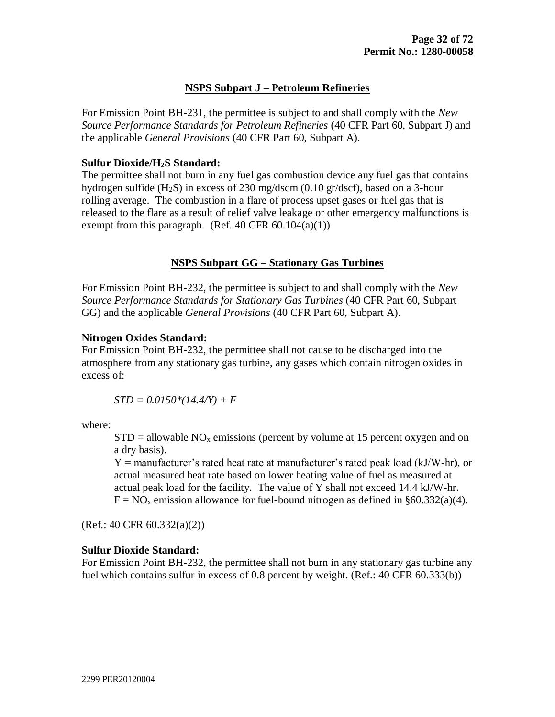#### **NSPS Subpart J – Petroleum Refineries**

For Emission Point BH-231, the permittee is subject to and shall comply with the *New Source Performance Standards for Petroleum Refineries* (40 CFR Part 60, Subpart J) and the applicable *General Provisions* (40 CFR Part 60, Subpart A).

#### **Sulfur Dioxide/H2S Standard:**

The permittee shall not burn in any fuel gas combustion device any fuel gas that contains hydrogen sulfide  $(H_2S)$  in excess of 230 mg/dscm  $(0.10 \text{ gr/dscf})$ , based on a 3-hour rolling average. The combustion in a flare of process upset gases or fuel gas that is released to the flare as a result of relief valve leakage or other emergency malfunctions is exempt from this paragraph. (Ref. 40 CFR  $60.104(a)(1)$ )

#### **NSPS Subpart GG – Stationary Gas Turbines**

For Emission Point BH-232, the permittee is subject to and shall comply with the *New Source Performance Standards for Stationary Gas Turbines* (40 CFR Part 60, Subpart GG) and the applicable *General Provisions* (40 CFR Part 60, Subpart A).

#### **Nitrogen Oxides Standard:**

For Emission Point BH-232, the permittee shall not cause to be discharged into the atmosphere from any stationary gas turbine, any gases which contain nitrogen oxides in excess of:

*STD = 0.0150\*(14.4/Y) + F*

where:

 $STD =$  allowable NO<sub>x</sub> emissions (percent by volume at 15 percent oxygen and on a dry basis).

 $Y =$  manufacturer's rated heat rate at manufacturer's rated peak load (kJ/W-hr), or actual measured heat rate based on lower heating value of fuel as measured at actual peak load for the facility. The value of Y shall not exceed 14.4 kJ/W-hr.  $F = NO<sub>x</sub>$  emission allowance for fuel-bound nitrogen as defined in §60.332(a)(4).

(Ref.: 40 CFR 60.332(a)(2))

#### **Sulfur Dioxide Standard:**

For Emission Point BH-232, the permittee shall not burn in any stationary gas turbine any fuel which contains sulfur in excess of 0.8 percent by weight. (Ref.: 40 CFR 60.333(b))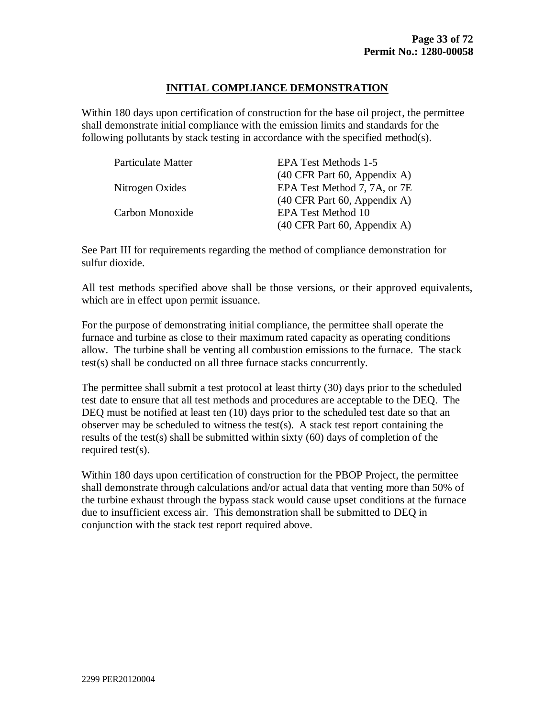#### **INITIAL COMPLIANCE DEMONSTRATION**

Within 180 days upon certification of construction for the base oil project, the permittee shall demonstrate initial compliance with the emission limits and standards for the following pollutants by stack testing in accordance with the specified method(s).

| <b>Particulate Matter</b> | <b>EPA Test Methods 1-5</b>                             |
|---------------------------|---------------------------------------------------------|
|                           | $(40 \text{ CFR} \text{ Part } 60, \text{ Appendix A})$ |
| Nitrogen Oxides           | EPA Test Method 7, 7A, or 7E                            |
|                           | $(40 \text{ CFR} \text{ Part } 60, \text{ Appendix A})$ |
| Carbon Monoxide           | <b>EPA Test Method 10</b>                               |
|                           | $(40 \text{ CFR} \text{ Part } 60, \text{ Appendix A})$ |

See Part III for requirements regarding the method of compliance demonstration for sulfur dioxide.

All test methods specified above shall be those versions, or their approved equivalents, which are in effect upon permit issuance.

For the purpose of demonstrating initial compliance, the permittee shall operate the furnace and turbine as close to their maximum rated capacity as operating conditions allow. The turbine shall be venting all combustion emissions to the furnace. The stack test(s) shall be conducted on all three furnace stacks concurrently.

The permittee shall submit a test protocol at least thirty (30) days prior to the scheduled test date to ensure that all test methods and procedures are acceptable to the DEQ. The DEQ must be notified at least ten (10) days prior to the scheduled test date so that an observer may be scheduled to witness the test(s). A stack test report containing the results of the test(s) shall be submitted within sixty (60) days of completion of the required test(s).

Within 180 days upon certification of construction for the PBOP Project, the permittee shall demonstrate through calculations and/or actual data that venting more than 50% of the turbine exhaust through the bypass stack would cause upset conditions at the furnace due to insufficient excess air. This demonstration shall be submitted to DEQ in conjunction with the stack test report required above.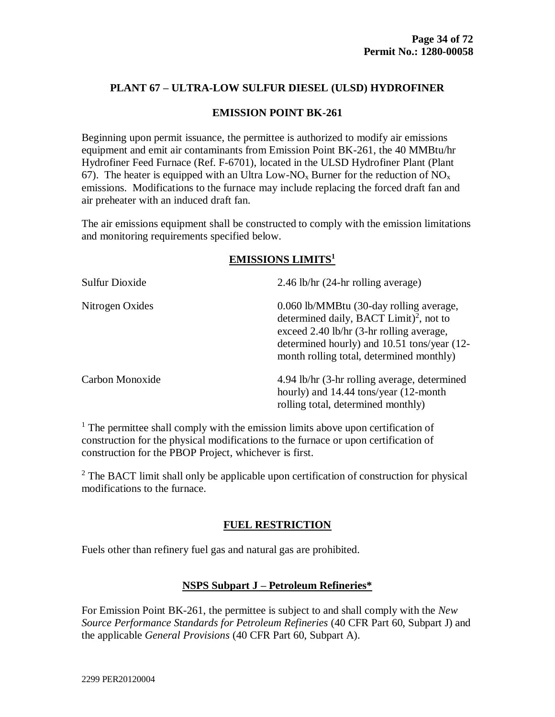## **PLANT 67 – ULTRA-LOW SULFUR DIESEL (ULSD) HYDROFINER**

#### **EMISSION POINT BK-261**

Beginning upon permit issuance, the permittee is authorized to modify air emissions equipment and emit air contaminants from Emission Point BK-261, the 40 MMBtu/hr Hydrofiner Feed Furnace (Ref. F-6701), located in the ULSD Hydrofiner Plant (Plant 67). The heater is equipped with an Ultra Low-NO<sub>x</sub> Burner for the reduction of NO<sub>x</sub> emissions. Modifications to the furnace may include replacing the forced draft fan and air preheater with an induced draft fan.

The air emissions equipment shall be constructed to comply with the emission limitations and monitoring requirements specified below.

#### **EMISSIONS LIMITS<sup>1</sup>**

| <b>Sulfur Dioxide</b> | 2.46 lb/hr (24-hr rolling average)                                                                                                                                                                                                    |
|-----------------------|---------------------------------------------------------------------------------------------------------------------------------------------------------------------------------------------------------------------------------------|
| Nitrogen Oxides       | 0.060 lb/MMBtu (30-day rolling average,<br>determined daily, BACT Limit) <sup>2</sup> , not to<br>exceed 2.40 lb/hr (3-hr rolling average,<br>determined hourly) and 10.51 tons/year (12-<br>month rolling total, determined monthly) |
| Carbon Monoxide       | 4.94 lb/hr (3-hr rolling average, determined<br>hourly) and 14.44 tons/year (12-month<br>rolling total, determined monthly)                                                                                                           |

 $<sup>1</sup>$  The permittee shall comply with the emission limits above upon certification of</sup> construction for the physical modifications to the furnace or upon certification of construction for the PBOP Project, whichever is first.

 $2^2$  The BACT limit shall only be applicable upon certification of construction for physical modifications to the furnace.

#### **FUEL RESTRICTION**

Fuels other than refinery fuel gas and natural gas are prohibited.

#### **NSPS Subpart J – Petroleum Refineries\***

For Emission Point BK-261, the permittee is subject to and shall comply with the *New Source Performance Standards for Petroleum Refineries* (40 CFR Part 60, Subpart J) and the applicable *General Provisions* (40 CFR Part 60, Subpart A).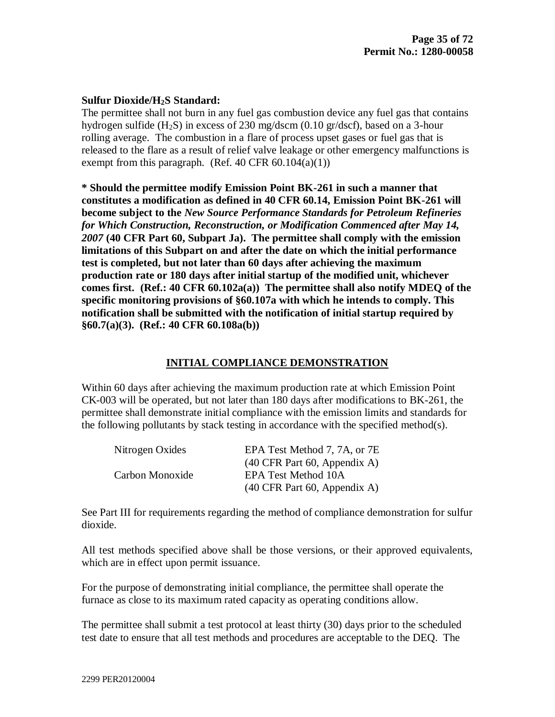#### **Sulfur Dioxide/H2S Standard:**

The permittee shall not burn in any fuel gas combustion device any fuel gas that contains hydrogen sulfide (H2S) in excess of 230 mg/dscm (0.10 gr/dscf), based on a 3-hour rolling average. The combustion in a flare of process upset gases or fuel gas that is released to the flare as a result of relief valve leakage or other emergency malfunctions is exempt from this paragraph. (Ref. 40 CFR  $60.104(a)(1)$ )

**\* Should the permittee modify Emission Point BK-261 in such a manner that constitutes a modification as defined in 40 CFR 60.14, Emission Point BK-261 will become subject to the** *New Source Performance Standards for Petroleum Refineries for Which Construction, Reconstruction, or Modification Commenced after May 14, 2007* **(40 CFR Part 60, Subpart Ja). The permittee shall comply with the emission limitations of this Subpart on and after the date on which the initial performance test is completed, but not later than 60 days after achieving the maximum production rate or 180 days after initial startup of the modified unit, whichever comes first. (Ref.: 40 CFR 60.102a(a)) The permittee shall also notify MDEQ of the specific monitoring provisions of §60.107a with which he intends to comply. This notification shall be submitted with the notification of initial startup required by §60.7(a)(3). (Ref.: 40 CFR 60.108a(b))**

## **INITIAL COMPLIANCE DEMONSTRATION**

Within 60 days after achieving the maximum production rate at which Emission Point CK-003 will be operated, but not later than 180 days after modifications to BK-261, the permittee shall demonstrate initial compliance with the emission limits and standards for the following pollutants by stack testing in accordance with the specified method(s).

| Nitrogen Oxides | EPA Test Method 7, 7A, or 7E                            |
|-----------------|---------------------------------------------------------|
|                 | $(40 \text{ CFR} \text{ Part } 60, \text{ Appendix A})$ |
| Carbon Monoxide | EPA Test Method 10A                                     |
|                 | $(40 \text{ CFR} \text{ Part } 60, \text{ Appendix A})$ |

See Part III for requirements regarding the method of compliance demonstration for sulfur dioxide.

All test methods specified above shall be those versions, or their approved equivalents, which are in effect upon permit issuance.

For the purpose of demonstrating initial compliance, the permittee shall operate the furnace as close to its maximum rated capacity as operating conditions allow.

The permittee shall submit a test protocol at least thirty (30) days prior to the scheduled test date to ensure that all test methods and procedures are acceptable to the DEQ. The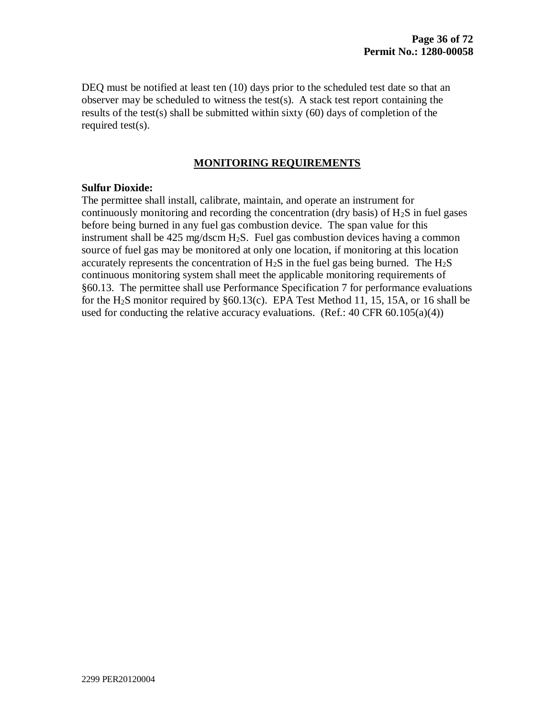DEQ must be notified at least ten (10) days prior to the scheduled test date so that an observer may be scheduled to witness the test(s). A stack test report containing the results of the test(s) shall be submitted within sixty (60) days of completion of the required test(s).

#### **MONITORING REQUIREMENTS**

#### **Sulfur Dioxide:**

The permittee shall install, calibrate, maintain, and operate an instrument for continuously monitoring and recording the concentration (dry basis) of  $H_2S$  in fuel gases before being burned in any fuel gas combustion device. The span value for this instrument shall be  $425 \text{ mg/dscm H}_2$ S. Fuel gas combustion devices having a common source of fuel gas may be monitored at only one location, if monitoring at this location accurately represents the concentration of  $H_2S$  in the fuel gas being burned. The  $H_2S$ continuous monitoring system shall meet the applicable monitoring requirements of §60.13. The permittee shall use Performance Specification 7 for performance evaluations for the H<sub>2</sub>S monitor required by  $§60.13(c)$ . EPA Test Method 11, 15, 15A, or 16 shall be used for conducting the relative accuracy evaluations. (Ref.:  $40 \text{ CFR } 60.105(a)(4)$ )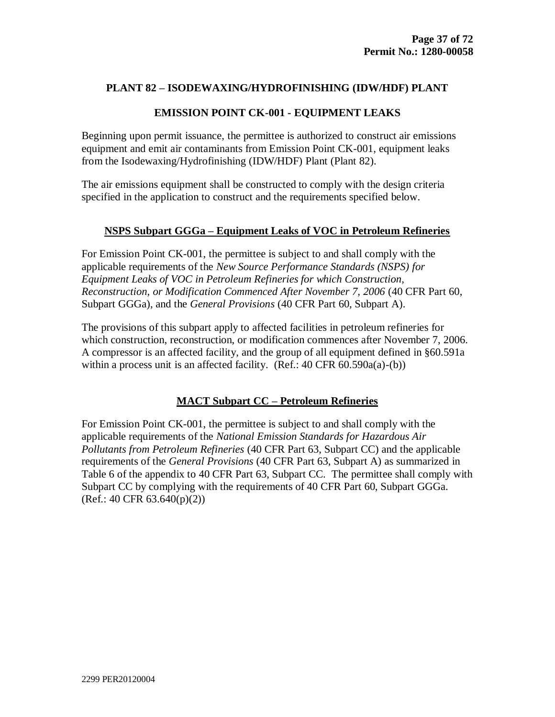## **EMISSION POINT CK-001 - EQUIPMENT LEAKS**

Beginning upon permit issuance, the permittee is authorized to construct air emissions equipment and emit air contaminants from Emission Point CK-001, equipment leaks from the Isodewaxing/Hydrofinishing (IDW/HDF) Plant (Plant 82).

The air emissions equipment shall be constructed to comply with the design criteria specified in the application to construct and the requirements specified below.

### **NSPS Subpart GGGa – Equipment Leaks of VOC in Petroleum Refineries**

For Emission Point CK-001, the permittee is subject to and shall comply with the applicable requirements of the *New Source Performance Standards (NSPS) for Equipment Leaks of VOC in Petroleum Refineries for which Construction, Reconstruction, or Modification Commenced After November 7, 2006* (40 CFR Part 60, Subpart GGGa), and the *General Provisions* (40 CFR Part 60, Subpart A).

The provisions of this subpart apply to affected facilities in petroleum refineries for which construction, reconstruction, or modification commences after November 7, 2006. A compressor is an affected facility, and the group of all equipment defined in §60.591a within a process unit is an affected facility. (Ref.: 40 CFR 60.590a(a)-(b))

### **MACT Subpart CC – Petroleum Refineries**

For Emission Point CK-001, the permittee is subject to and shall comply with the applicable requirements of the *National Emission Standards for Hazardous Air Pollutants from Petroleum Refineries* (40 CFR Part 63, Subpart CC) and the applicable requirements of the *General Provisions* (40 CFR Part 63, Subpart A) as summarized in Table 6 of the appendix to 40 CFR Part 63, Subpart CC. The permittee shall comply with Subpart CC by complying with the requirements of 40 CFR Part 60, Subpart GGGa.  $(Ref.: 40 CFR 63.640(p)(2))$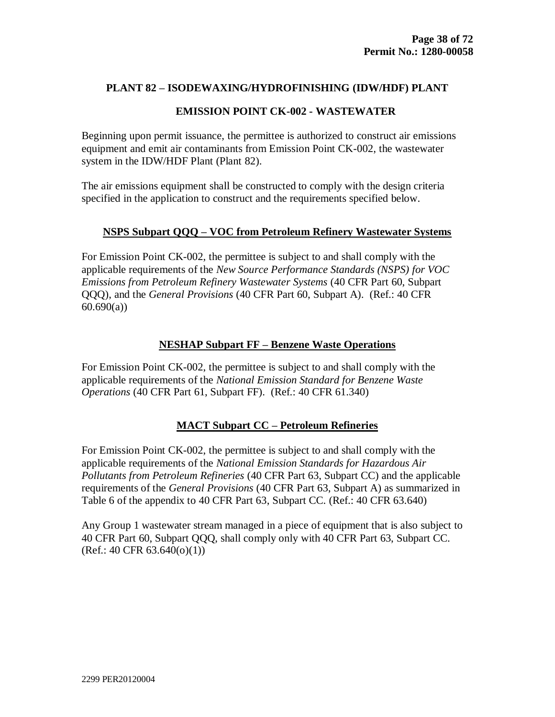## **EMISSION POINT CK-002 - WASTEWATER**

Beginning upon permit issuance, the permittee is authorized to construct air emissions equipment and emit air contaminants from Emission Point CK-002, the wastewater system in the IDW/HDF Plant (Plant 82).

The air emissions equipment shall be constructed to comply with the design criteria specified in the application to construct and the requirements specified below.

## **NSPS Subpart QQQ – VOC from Petroleum Refinery Wastewater Systems**

For Emission Point CK-002, the permittee is subject to and shall comply with the applicable requirements of the *New Source Performance Standards (NSPS) for VOC Emissions from Petroleum Refinery Wastewater Systems* (40 CFR Part 60, Subpart QQQ), and the *General Provisions* (40 CFR Part 60, Subpart A). (Ref.: 40 CFR  $60.690(a)$ 

## **NESHAP Subpart FF – Benzene Waste Operations**

For Emission Point CK-002, the permittee is subject to and shall comply with the applicable requirements of the *National Emission Standard for Benzene Waste Operations* (40 CFR Part 61, Subpart FF). (Ref.: 40 CFR 61.340)

# **MACT Subpart CC – Petroleum Refineries**

For Emission Point CK-002, the permittee is subject to and shall comply with the applicable requirements of the *National Emission Standards for Hazardous Air Pollutants from Petroleum Refineries* (40 CFR Part 63, Subpart CC) and the applicable requirements of the *General Provisions* (40 CFR Part 63, Subpart A) as summarized in Table 6 of the appendix to 40 CFR Part 63, Subpart CC. (Ref.: 40 CFR 63.640)

Any Group 1 wastewater stream managed in a piece of equipment that is also subject to 40 CFR Part 60, Subpart QQQ, shall comply only with 40 CFR Part 63, Subpart CC.  $(Ref.: 40 CFR 63.640(o)(1))$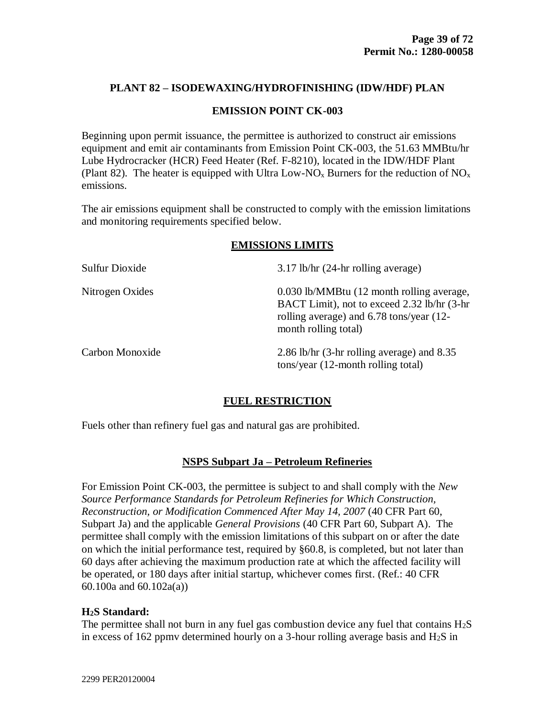### **EMISSION POINT CK-003**

Beginning upon permit issuance, the permittee is authorized to construct air emissions equipment and emit air contaminants from Emission Point CK-003, the 51.63 MMBtu/hr Lube Hydrocracker (HCR) Feed Heater (Ref. F-8210), located in the IDW/HDF Plant (Plant 82). The heater is equipped with Ultra Low-NO<sub>x</sub> Burners for the reduction of NO<sub>x</sub> emissions.

The air emissions equipment shall be constructed to comply with the emission limitations and monitoring requirements specified below.

### **EMISSIONS LIMITS**

| Sulfur Dioxide  | $3.17$ lb/hr (24-hr rolling average)                                                                                                                          |
|-----------------|---------------------------------------------------------------------------------------------------------------------------------------------------------------|
| Nitrogen Oxides | 0.030 lb/MMBtu (12 month rolling average,<br>BACT Limit), not to exceed 2.32 lb/hr (3-hr)<br>rolling average) and 6.78 tons/year (12-<br>month rolling total) |
| Carbon Monoxide | 2.86 lb/hr (3-hr rolling average) and 8.35<br>tons/year (12-month rolling total)                                                                              |

### **FUEL RESTRICTION**

Fuels other than refinery fuel gas and natural gas are prohibited.

### **NSPS Subpart Ja – Petroleum Refineries**

For Emission Point CK-003, the permittee is subject to and shall comply with the *New Source Performance Standards for Petroleum Refineries for Which Construction, Reconstruction, or Modification Commenced After May 14, 2007* (40 CFR Part 60, Subpart Ja) and the applicable *General Provisions* (40 CFR Part 60, Subpart A). The permittee shall comply with the emission limitations of this subpart on or after the date on which the initial performance test, required by §60.8, is completed, but not later than 60 days after achieving the maximum production rate at which the affected facility will be operated, or 180 days after initial startup, whichever comes first. (Ref.: 40 CFR 60.100a and 60.102a(a))

### **H2S Standard:**

The permittee shall not burn in any fuel gas combustion device any fuel that contains  $H_2S$ in excess of 162 ppmv determined hourly on a 3-hour rolling average basis and  $H_2S$  in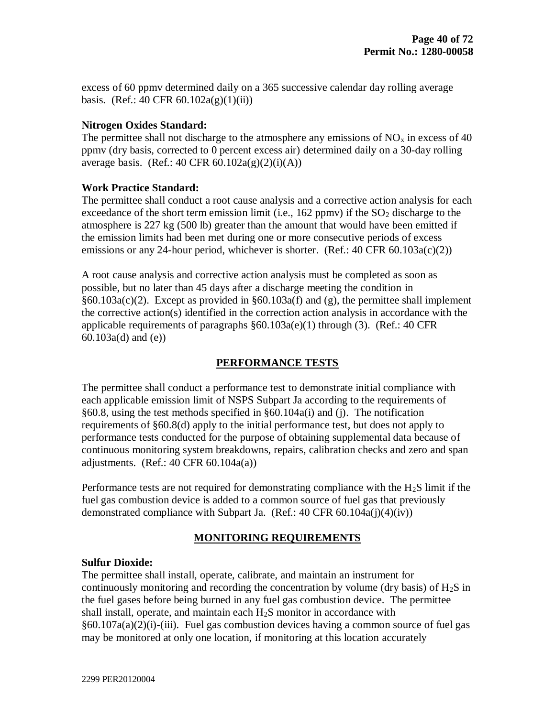excess of 60 ppmv determined daily on a 365 successive calendar day rolling average basis. (Ref.: 40 CFR  $60.102a(g)(1)(ii)$ )

## **Nitrogen Oxides Standard:**

The permittee shall not discharge to the atmosphere any emissions of  $NO<sub>x</sub>$  in excess of 40 ppmv (dry basis, corrected to 0 percent excess air) determined daily on a 30-day rolling average basis. (Ref.: 40 CFR  $60.102a(g)(2)(i)(A)$ )

## **Work Practice Standard:**

The permittee shall conduct a root cause analysis and a corrective action analysis for each exceedance of the short term emission limit (i.e.,  $162$  ppmv) if the  $SO<sub>2</sub>$  discharge to the atmosphere is 227 kg (500 lb) greater than the amount that would have been emitted if the emission limits had been met during one or more consecutive periods of excess emissions or any 24-hour period, whichever is shorter. (Ref.:  $40 \text{ CFR } 60.103a(c)(2)$ )

A root cause analysis and corrective action analysis must be completed as soon as possible, but no later than 45 days after a discharge meeting the condition in §60.103a(c)(2). Except as provided in §60.103a(f) and (g), the permittee shall implement the corrective action(s) identified in the correction action analysis in accordance with the applicable requirements of paragraphs §60.103a(e)(1) through (3). (Ref.: 40 CFR 60.103a(d) and (e))

# **PERFORMANCE TESTS**

The permittee shall conduct a performance test to demonstrate initial compliance with each applicable emission limit of NSPS Subpart Ja according to the requirements of §60.8, using the test methods specified in §60.104a(i) and (j). The notification requirements of §60.8(d) apply to the initial performance test, but does not apply to performance tests conducted for the purpose of obtaining supplemental data because of continuous monitoring system breakdowns, repairs, calibration checks and zero and span adjustments. (Ref.:  $40 \text{ CFR } 60.104a(a)$ )

Performance tests are not required for demonstrating compliance with the H<sub>2</sub>S limit if the fuel gas combustion device is added to a common source of fuel gas that previously demonstrated compliance with Subpart Ja. (Ref.: 40 CFR 60.104a(j)(4)(iv))

# **MONITORING REQUIREMENTS**

### **Sulfur Dioxide:**

The permittee shall install, operate, calibrate, and maintain an instrument for continuously monitoring and recording the concentration by volume (dry basis) of  $H_2S$  in the fuel gases before being burned in any fuel gas combustion device. The permittee shall install, operate, and maintain each H2S monitor in accordance with  $§60.107a(a)(2)(i)-(iii)$ . Fuel gas combustion devices having a common source of fuel gas may be monitored at only one location, if monitoring at this location accurately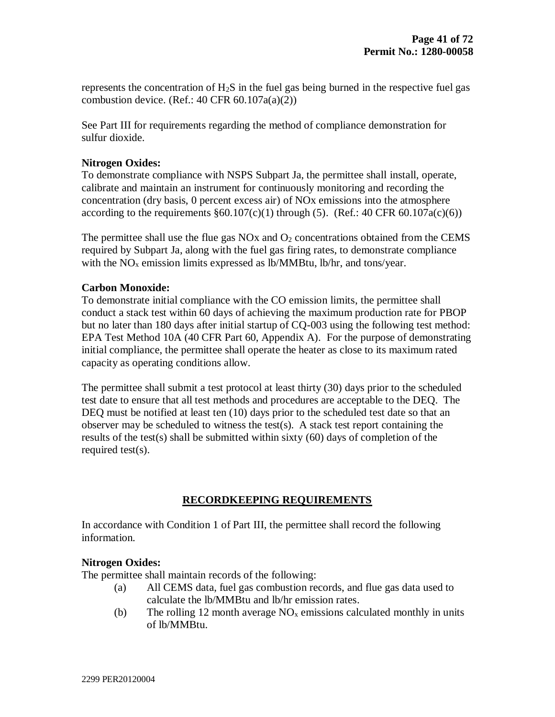represents the concentration of H2S in the fuel gas being burned in the respective fuel gas combustion device. (Ref.: 40 CFR  $60.107a(a)(2)$ )

See Part III for requirements regarding the method of compliance demonstration for sulfur dioxide.

## **Nitrogen Oxides:**

To demonstrate compliance with NSPS Subpart Ja, the permittee shall install, operate, calibrate and maintain an instrument for continuously monitoring and recording the concentration (dry basis, 0 percent excess air) of NOx emissions into the atmosphere according to the requirements  $\S 60.107(c)(1)$  through (5). (Ref.: 40 CFR 60.107a(c)(6))

The permittee shall use the flue gas  $NOx$  and  $O<sub>2</sub>$  concentrations obtained from the CEMS required by Subpart Ja, along with the fuel gas firing rates, to demonstrate compliance with the  $NO<sub>x</sub>$  emission limits expressed as lb/MMBtu, lb/hr, and tons/year.

### **Carbon Monoxide:**

To demonstrate initial compliance with the CO emission limits, the permittee shall conduct a stack test within 60 days of achieving the maximum production rate for PBOP but no later than 180 days after initial startup of CQ-003 using the following test method: EPA Test Method 10A (40 CFR Part 60, Appendix A). For the purpose of demonstrating initial compliance, the permittee shall operate the heater as close to its maximum rated capacity as operating conditions allow.

The permittee shall submit a test protocol at least thirty (30) days prior to the scheduled test date to ensure that all test methods and procedures are acceptable to the DEQ. The DEQ must be notified at least ten (10) days prior to the scheduled test date so that an observer may be scheduled to witness the test(s). A stack test report containing the results of the test(s) shall be submitted within sixty (60) days of completion of the required test(s).

# **RECORDKEEPING REQUIREMENTS**

In accordance with Condition 1 of Part III, the permittee shall record the following information.

# **Nitrogen Oxides:**

The permittee shall maintain records of the following:

- (a) All CEMS data, fuel gas combustion records, and flue gas data used to calculate the lb/MMBtu and lb/hr emission rates.
- (b) The rolling 12 month average  $NO<sub>x</sub>$  emissions calculated monthly in units of lb/MMBtu.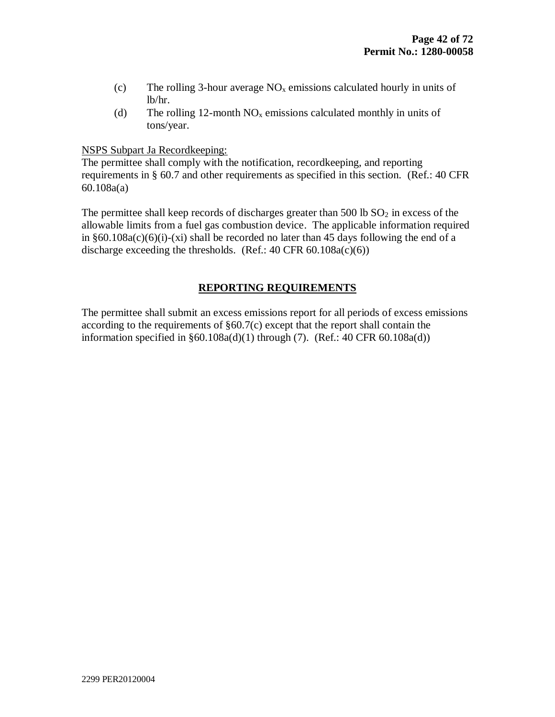- (c) The rolling 3-hour average  $NO<sub>x</sub>$  emissions calculated hourly in units of lb/hr.
- (d) The rolling 12-month  $NO<sub>x</sub>$  emissions calculated monthly in units of tons/year.

NSPS Subpart Ja Recordkeeping:

The permittee shall comply with the notification, recordkeeping, and reporting requirements in § 60.7 and other requirements as specified in this section. (Ref.: 40 CFR 60.108a(a)

The permittee shall keep records of discharges greater than 500 lb  $SO<sub>2</sub>$  in excess of the allowable limits from a fuel gas combustion device. The applicable information required in  $§60.108a(c)(6)(i)-(xi)$  shall be recorded no later than 45 days following the end of a discharge exceeding the thresholds. (Ref.:  $40 \text{ CFR } 60.108a(c)(6)$ )

# **REPORTING REQUIREMENTS**

The permittee shall submit an excess emissions report for all periods of excess emissions according to the requirements of  $\S60.7(c)$  except that the report shall contain the information specified in  $\S 60.108a(d)(1)$  through (7). (Ref.: 40 CFR 60.108a(d))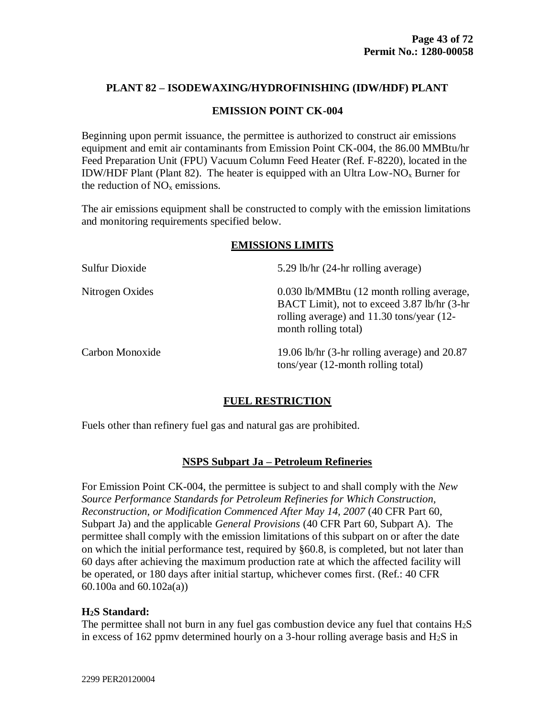### **EMISSION POINT CK-004**

Beginning upon permit issuance, the permittee is authorized to construct air emissions equipment and emit air contaminants from Emission Point CK-004, the 86.00 MMBtu/hr Feed Preparation Unit (FPU) Vacuum Column Feed Heater (Ref. F-8220), located in the IDW/HDF Plant (Plant 82). The heater is equipped with an Ultra Low-NO<sub>x</sub> Burner for the reduction of  $NO<sub>x</sub>$  emissions.

The air emissions equipment shall be constructed to comply with the emission limitations and monitoring requirements specified below.

#### **EMISSIONS LIMITS**

| Sulfur Dioxide  | 5.29 lb/hr (24-hr rolling average)                                                                                                                             |
|-----------------|----------------------------------------------------------------------------------------------------------------------------------------------------------------|
| Nitrogen Oxides | 0.030 lb/MMBtu (12 month rolling average,<br>BACT Limit), not to exceed 3.87 lb/hr (3-hr)<br>rolling average) and 11.30 tons/year (12-<br>month rolling total) |
| Carbon Monoxide | 19.06 lb/hr $(3-hr)$ rolling average) and 20.87<br>tons/year (12-month rolling total)                                                                          |

### **FUEL RESTRICTION**

Fuels other than refinery fuel gas and natural gas are prohibited.

### **NSPS Subpart Ja – Petroleum Refineries**

For Emission Point CK-004, the permittee is subject to and shall comply with the *New Source Performance Standards for Petroleum Refineries for Which Construction, Reconstruction, or Modification Commenced After May 14, 2007* (40 CFR Part 60, Subpart Ja) and the applicable *General Provisions* (40 CFR Part 60, Subpart A). The permittee shall comply with the emission limitations of this subpart on or after the date on which the initial performance test, required by §60.8, is completed, but not later than 60 days after achieving the maximum production rate at which the affected facility will be operated, or 180 days after initial startup, whichever comes first. (Ref.: 40 CFR 60.100a and 60.102a(a))

### **H2S Standard:**

The permittee shall not burn in any fuel gas combustion device any fuel that contains  $H_2S$ in excess of 162 ppmv determined hourly on a 3-hour rolling average basis and  $H_2S$  in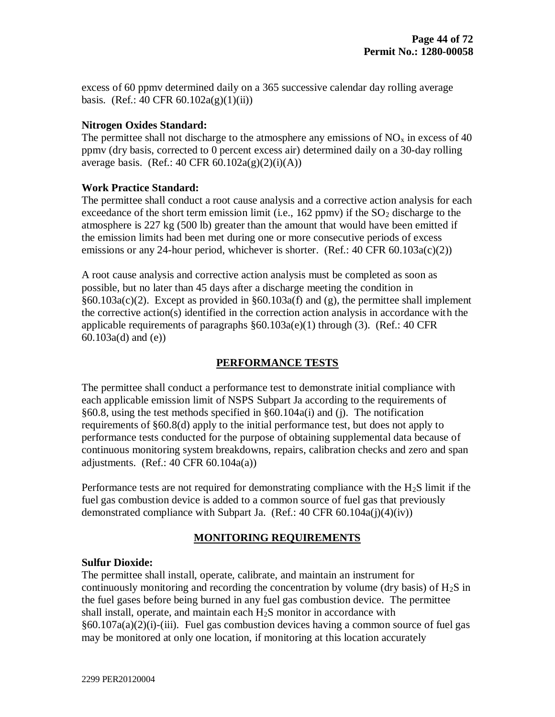excess of 60 ppmv determined daily on a 365 successive calendar day rolling average basis. (Ref.: 40 CFR  $60.102a(g)(1)(ii)$ )

## **Nitrogen Oxides Standard:**

The permittee shall not discharge to the atmosphere any emissions of  $NO<sub>x</sub>$  in excess of 40 ppmv (dry basis, corrected to 0 percent excess air) determined daily on a 30-day rolling average basis. (Ref.: 40 CFR  $60.102a(g)(2)(i)(A)$ )

## **Work Practice Standard:**

The permittee shall conduct a root cause analysis and a corrective action analysis for each exceedance of the short term emission limit (i.e.,  $162$  ppmv) if the  $SO<sub>2</sub>$  discharge to the atmosphere is 227 kg (500 lb) greater than the amount that would have been emitted if the emission limits had been met during one or more consecutive periods of excess emissions or any 24-hour period, whichever is shorter. (Ref.:  $40 \text{ CFR } 60.103a(c)(2)$ )

A root cause analysis and corrective action analysis must be completed as soon as possible, but no later than 45 days after a discharge meeting the condition in §60.103a(c)(2). Except as provided in §60.103a(f) and (g), the permittee shall implement the corrective action(s) identified in the correction action analysis in accordance with the applicable requirements of paragraphs §60.103a(e)(1) through (3). (Ref.: 40 CFR 60.103a(d) and (e))

# **PERFORMANCE TESTS**

The permittee shall conduct a performance test to demonstrate initial compliance with each applicable emission limit of NSPS Subpart Ja according to the requirements of §60.8, using the test methods specified in §60.104a(i) and (j). The notification requirements of §60.8(d) apply to the initial performance test, but does not apply to performance tests conducted for the purpose of obtaining supplemental data because of continuous monitoring system breakdowns, repairs, calibration checks and zero and span adjustments. (Ref.:  $40 \text{ CFR } 60.104a(a)$ )

Performance tests are not required for demonstrating compliance with the H<sub>2</sub>S limit if the fuel gas combustion device is added to a common source of fuel gas that previously demonstrated compliance with Subpart Ja. (Ref.: 40 CFR 60.104a(j)(4)(iv))

# **MONITORING REQUIREMENTS**

### **Sulfur Dioxide:**

The permittee shall install, operate, calibrate, and maintain an instrument for continuously monitoring and recording the concentration by volume (dry basis) of  $H_2S$  in the fuel gases before being burned in any fuel gas combustion device. The permittee shall install, operate, and maintain each H2S monitor in accordance with  $§60.107a(a)(2)(i)-(iii)$ . Fuel gas combustion devices having a common source of fuel gas may be monitored at only one location, if monitoring at this location accurately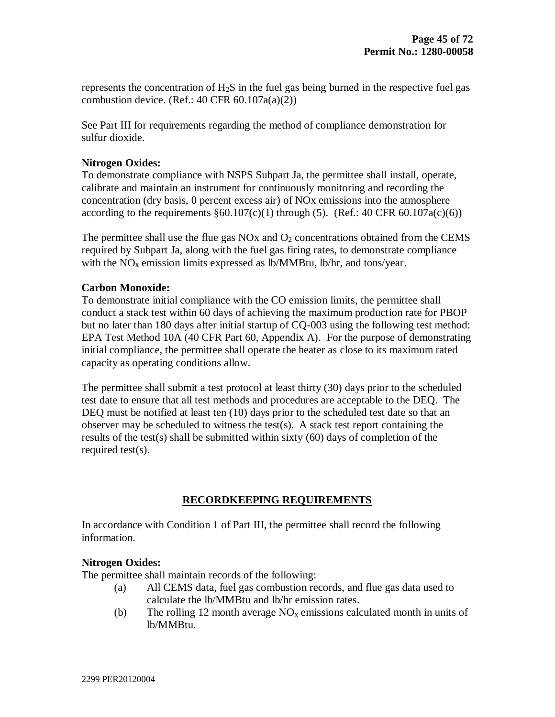represents the concentration of H2S in the fuel gas being burned in the respective fuel gas combustion device. (Ref.: 40 CFR  $60.107a(a)(2)$ )

See Part III for requirements regarding the method of compliance demonstration for sulfur dioxide.

## **Nitrogen Oxides:**

To demonstrate compliance with NSPS Subpart Ja, the permittee shall install, operate, calibrate and maintain an instrument for continuously monitoring and recording the concentration (dry basis, 0 percent excess air) of NOx emissions into the atmosphere according to the requirements  $\S 60.107(c)(1)$  through (5). (Ref.: 40 CFR 60.107a(c)(6))

The permittee shall use the flue gas  $NOx$  and  $O<sub>2</sub>$  concentrations obtained from the CEMS required by Subpart Ja, along with the fuel gas firing rates, to demonstrate compliance with the  $NO<sub>x</sub>$  emission limits expressed as lb/MMBtu, lb/hr, and tons/year.

### **Carbon Monoxide:**

To demonstrate initial compliance with the CO emission limits, the permittee shall conduct a stack test within 60 days of achieving the maximum production rate for PBOP but no later than 180 days after initial startup of CQ-003 using the following test method: EPA Test Method 10A (40 CFR Part 60, Appendix A). For the purpose of demonstrating initial compliance, the permittee shall operate the heater as close to its maximum rated capacity as operating conditions allow.

The permittee shall submit a test protocol at least thirty (30) days prior to the scheduled test date to ensure that all test methods and procedures are acceptable to the DEQ. The DEQ must be notified at least ten (10) days prior to the scheduled test date so that an observer may be scheduled to witness the test(s). A stack test report containing the results of the test(s) shall be submitted within sixty (60) days of completion of the required test(s).

# **RECORDKEEPING REQUIREMENTS**

In accordance with Condition 1 of Part III, the permittee shall record the following information.

# **Nitrogen Oxides:**

The permittee shall maintain records of the following:

- (a) All CEMS data, fuel gas combustion records, and flue gas data used to calculate the lb/MMBtu and lb/hr emission rates.
- (b) The rolling 12 month average  $NO<sub>x</sub>$  emissions calculated month in units of lb/MMBtu.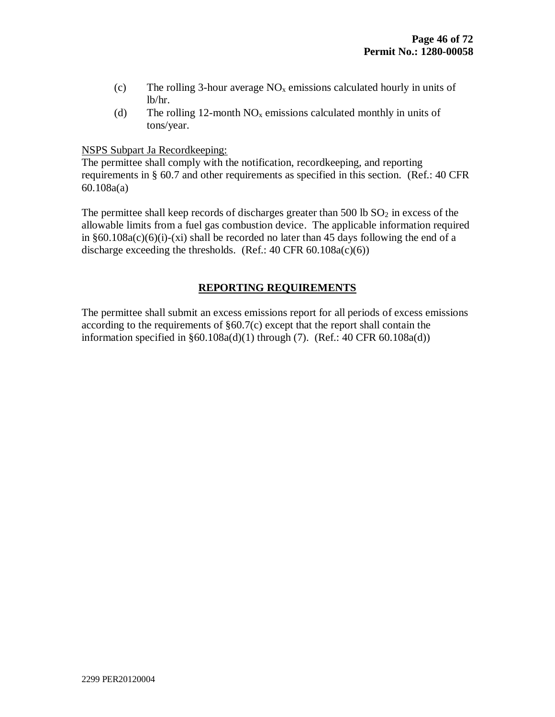- (c) The rolling 3-hour average  $NO<sub>x</sub>$  emissions calculated hourly in units of lb/hr.
- (d) The rolling 12-month  $NO<sub>x</sub>$  emissions calculated monthly in units of tons/year.

### NSPS Subpart Ja Recordkeeping:

The permittee shall comply with the notification, recordkeeping, and reporting requirements in § 60.7 and other requirements as specified in this section. (Ref.: 40 CFR 60.108a(a)

The permittee shall keep records of discharges greater than 500 lb  $SO<sub>2</sub>$  in excess of the allowable limits from a fuel gas combustion device. The applicable information required in  $§60.108a(c)(6)(i)-(xi)$  shall be recorded no later than 45 days following the end of a discharge exceeding the thresholds. (Ref.:  $40 \text{ CFR } 60.108a(c)(6)$ )

## **REPORTING REQUIREMENTS**

The permittee shall submit an excess emissions report for all periods of excess emissions according to the requirements of  $\S60.7(c)$  except that the report shall contain the information specified in  $\S 60.108a(d)(1)$  through (7). (Ref.: 40 CFR 60.108a(d))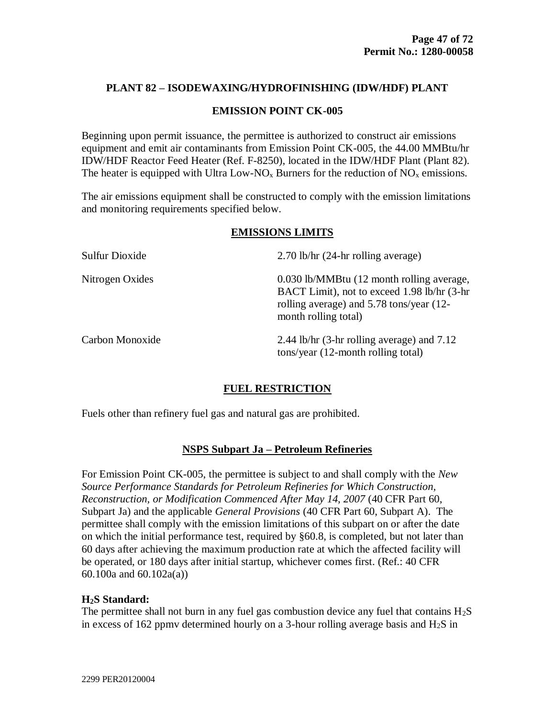### **EMISSION POINT CK-005**

Beginning upon permit issuance, the permittee is authorized to construct air emissions equipment and emit air contaminants from Emission Point CK-005, the 44.00 MMBtu/hr IDW/HDF Reactor Feed Heater (Ref. F-8250), located in the IDW/HDF Plant (Plant 82). The heater is equipped with Ultra Low-NO<sub>x</sub> Burners for the reduction of  $NO<sub>x</sub>$  emissions.

The air emissions equipment shall be constructed to comply with the emission limitations and monitoring requirements specified below.

### **EMISSIONS LIMITS**

| Sulfur Dioxide  | $2.70$ lb/hr $(24-hr)$ rolling average)                                                                                                                      |
|-----------------|--------------------------------------------------------------------------------------------------------------------------------------------------------------|
| Nitrogen Oxides | 0.030 lb/MMBtu (12 month rolling average,<br>BACT Limit), not to exceed 1.98 lb/hr (3-hr<br>rolling average) and 5.78 tons/year (12-<br>month rolling total) |
| Carbon Monoxide | 2.44 lb/hr $(3-hr)$ rolling average) and 7.12<br>$tons/year (12-month rolling total)$                                                                        |

# **FUEL RESTRICTION**

Fuels other than refinery fuel gas and natural gas are prohibited.

### **NSPS Subpart Ja – Petroleum Refineries**

For Emission Point CK-005, the permittee is subject to and shall comply with the *New Source Performance Standards for Petroleum Refineries for Which Construction, Reconstruction, or Modification Commenced After May 14, 2007* (40 CFR Part 60, Subpart Ja) and the applicable *General Provisions* (40 CFR Part 60, Subpart A). The permittee shall comply with the emission limitations of this subpart on or after the date on which the initial performance test, required by §60.8, is completed, but not later than 60 days after achieving the maximum production rate at which the affected facility will be operated, or 180 days after initial startup, whichever comes first. (Ref.: 40 CFR 60.100a and 60.102a(a))

### **H2S Standard:**

The permittee shall not burn in any fuel gas combustion device any fuel that contains  $H_2S$ in excess of 162 ppmy determined hourly on a 3-hour rolling average basis and  $H_2S$  in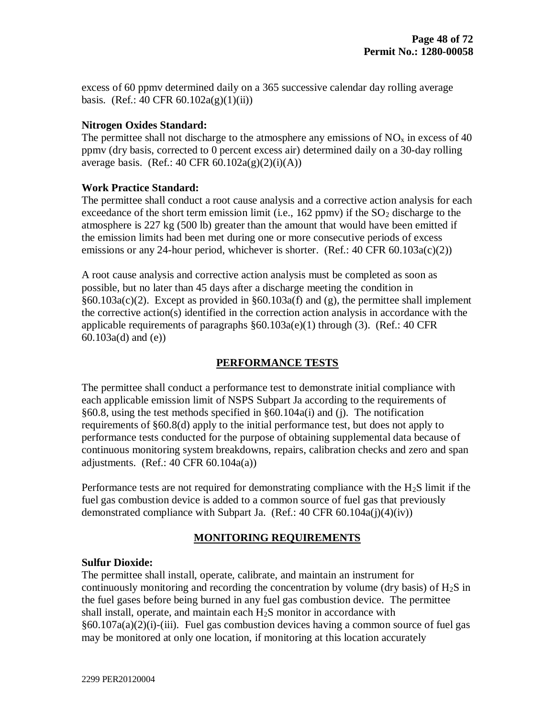excess of 60 ppmv determined daily on a 365 successive calendar day rolling average basis. (Ref.: 40 CFR  $60.102a(g)(1)(ii)$ )

### **Nitrogen Oxides Standard:**

The permittee shall not discharge to the atmosphere any emissions of  $NO<sub>x</sub>$  in excess of 40 ppmv (dry basis, corrected to 0 percent excess air) determined daily on a 30-day rolling average basis. (Ref.: 40 CFR  $60.102a(g)(2)(i)(A)$ )

### **Work Practice Standard:**

The permittee shall conduct a root cause analysis and a corrective action analysis for each exceedance of the short term emission limit (i.e.,  $162$  ppmv) if the  $SO<sub>2</sub>$  discharge to the atmosphere is 227 kg (500 lb) greater than the amount that would have been emitted if the emission limits had been met during one or more consecutive periods of excess emissions or any 24-hour period, whichever is shorter. (Ref.:  $40 \text{ CFR } 60.103a(c)(2)$ )

A root cause analysis and corrective action analysis must be completed as soon as possible, but no later than 45 days after a discharge meeting the condition in §60.103a(c)(2). Except as provided in §60.103a(f) and (g), the permittee shall implement the corrective action(s) identified in the correction action analysis in accordance with the applicable requirements of paragraphs §60.103a(e)(1) through (3). (Ref.: 40 CFR 60.103a(d) and (e))

### **PERFORMANCE TESTS**

The permittee shall conduct a performance test to demonstrate initial compliance with each applicable emission limit of NSPS Subpart Ja according to the requirements of §60.8, using the test methods specified in §60.104a(i) and (j). The notification requirements of §60.8(d) apply to the initial performance test, but does not apply to performance tests conducted for the purpose of obtaining supplemental data because of continuous monitoring system breakdowns, repairs, calibration checks and zero and span adjustments. (Ref.:  $40 \text{ CFR } 60.104a(a)$ )

Performance tests are not required for demonstrating compliance with the H<sub>2</sub>S limit if the fuel gas combustion device is added to a common source of fuel gas that previously demonstrated compliance with Subpart Ja. (Ref.: 40 CFR 60.104a(j)(4)(iv))

### **MONITORING REQUIREMENTS**

#### **Sulfur Dioxide:**

The permittee shall install, operate, calibrate, and maintain an instrument for continuously monitoring and recording the concentration by volume (dry basis) of  $H_2S$  in the fuel gases before being burned in any fuel gas combustion device. The permittee shall install, operate, and maintain each H2S monitor in accordance with  $§60.107a(a)(2)(i)-(iii)$ . Fuel gas combustion devices having a common source of fuel gas may be monitored at only one location, if monitoring at this location accurately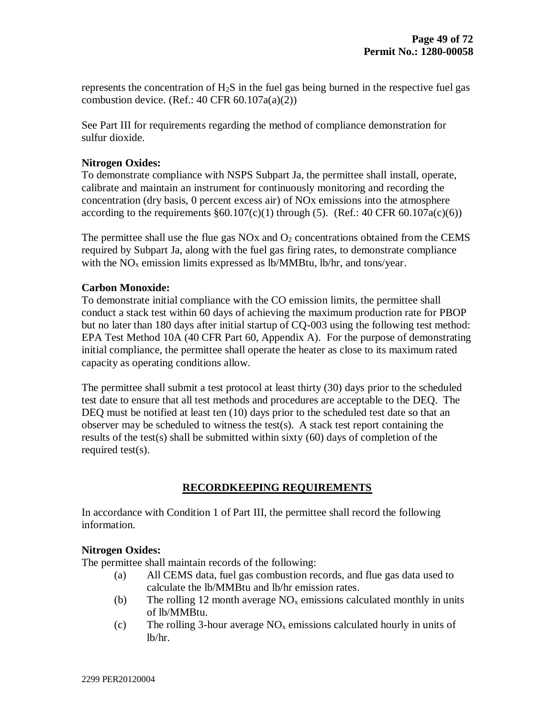represents the concentration of H2S in the fuel gas being burned in the respective fuel gas combustion device. (Ref.: 40 CFR  $60.107a(a)(2)$ )

See Part III for requirements regarding the method of compliance demonstration for sulfur dioxide.

## **Nitrogen Oxides:**

To demonstrate compliance with NSPS Subpart Ja, the permittee shall install, operate, calibrate and maintain an instrument for continuously monitoring and recording the concentration (dry basis, 0 percent excess air) of NOx emissions into the atmosphere according to the requirements  $\S 60.107(c)(1)$  through (5). (Ref.: 40 CFR 60.107a(c)(6))

The permittee shall use the flue gas  $NOx$  and  $O<sub>2</sub>$  concentrations obtained from the CEMS required by Subpart Ja, along with the fuel gas firing rates, to demonstrate compliance with the  $NO<sub>x</sub>$  emission limits expressed as lb/MMBtu, lb/hr, and tons/year.

### **Carbon Monoxide:**

To demonstrate initial compliance with the CO emission limits, the permittee shall conduct a stack test within 60 days of achieving the maximum production rate for PBOP but no later than 180 days after initial startup of CQ-003 using the following test method: EPA Test Method 10A (40 CFR Part 60, Appendix A). For the purpose of demonstrating initial compliance, the permittee shall operate the heater as close to its maximum rated capacity as operating conditions allow.

The permittee shall submit a test protocol at least thirty (30) days prior to the scheduled test date to ensure that all test methods and procedures are acceptable to the DEQ. The DEQ must be notified at least ten (10) days prior to the scheduled test date so that an observer may be scheduled to witness the test(s). A stack test report containing the results of the test(s) shall be submitted within sixty (60) days of completion of the required test(s).

# **RECORDKEEPING REQUIREMENTS**

In accordance with Condition 1 of Part III, the permittee shall record the following information.

# **Nitrogen Oxides:**

The permittee shall maintain records of the following:

- (a) All CEMS data, fuel gas combustion records, and flue gas data used to calculate the lb/MMBtu and lb/hr emission rates.
- (b) The rolling 12 month average  $NO<sub>x</sub>$  emissions calculated monthly in units of lb/MMBtu.
- (c) The rolling 3-hour average  $NO<sub>x</sub>$  emissions calculated hourly in units of lb/hr.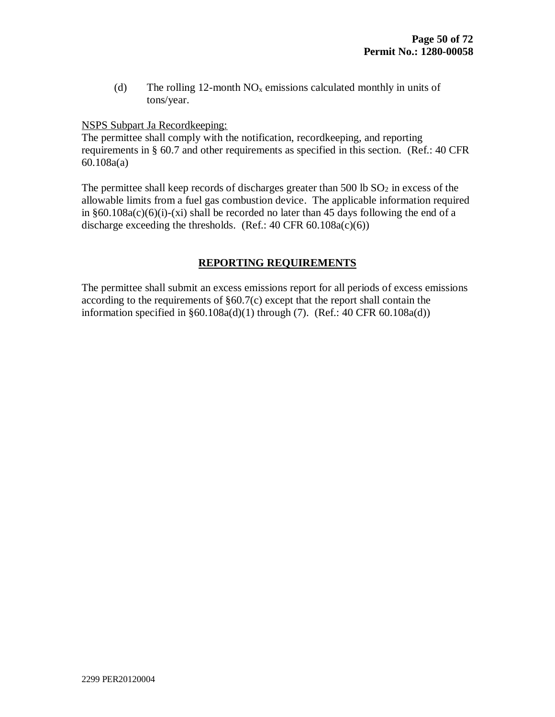(d) The rolling 12-month  $NO<sub>x</sub>$  emissions calculated monthly in units of tons/year.

NSPS Subpart Ja Recordkeeping:

The permittee shall comply with the notification, recordkeeping, and reporting requirements in § 60.7 and other requirements as specified in this section. (Ref.: 40 CFR 60.108a(a)

The permittee shall keep records of discharges greater than  $500 \text{ lb } SO_2$  in excess of the allowable limits from a fuel gas combustion device. The applicable information required in  $§60.108a(c)(6)(i)-(xi)$  shall be recorded no later than 45 days following the end of a discharge exceeding the thresholds. (Ref.:  $40 \text{ CFR } 60.108a(c)(6)$ )

# **REPORTING REQUIREMENTS**

The permittee shall submit an excess emissions report for all periods of excess emissions according to the requirements of §60.7(c) except that the report shall contain the information specified in  $\S 60.108a(d)(1)$  through (7). (Ref.: 40 CFR 60.108a(d))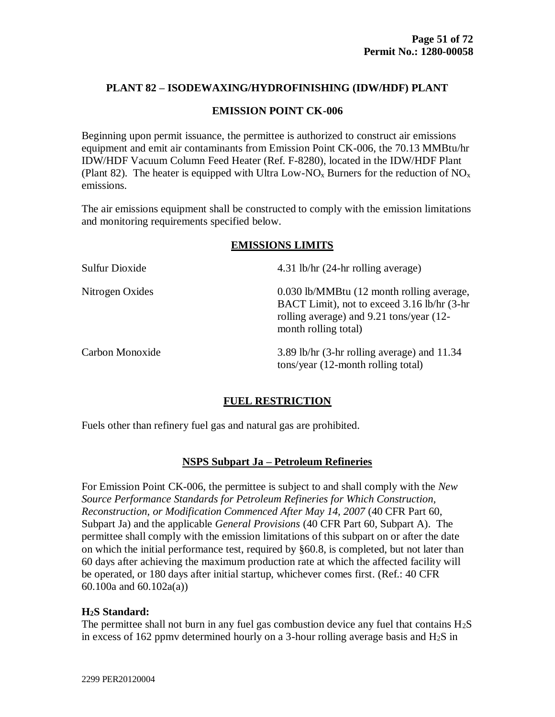### **EMISSION POINT CK-006**

Beginning upon permit issuance, the permittee is authorized to construct air emissions equipment and emit air contaminants from Emission Point CK-006, the 70.13 MMBtu/hr IDW/HDF Vacuum Column Feed Heater (Ref. F-8280), located in the IDW/HDF Plant (Plant 82). The heater is equipped with Ultra Low-NO<sub>x</sub> Burners for the reduction of NO<sub>x</sub> emissions.

The air emissions equipment shall be constructed to comply with the emission limitations and monitoring requirements specified below.

# **EMISSIONS LIMITS**

| Sulfur Dioxide  | 4.31 lb/hr (24-hr rolling average)                                                                                                                            |
|-----------------|---------------------------------------------------------------------------------------------------------------------------------------------------------------|
| Nitrogen Oxides | 0.030 lb/MMBtu (12 month rolling average,<br>BACT Limit), not to exceed 3.16 lb/hr (3-hr)<br>rolling average) and 9.21 tons/year (12-<br>month rolling total) |
| Carbon Monoxide | 3.89 lb/hr (3-hr rolling average) and 11.34<br>tons/year (12-month rolling total)                                                                             |

### **FUEL RESTRICTION**

Fuels other than refinery fuel gas and natural gas are prohibited.

### **NSPS Subpart Ja – Petroleum Refineries**

For Emission Point CK-006, the permittee is subject to and shall comply with the *New Source Performance Standards for Petroleum Refineries for Which Construction, Reconstruction, or Modification Commenced After May 14, 2007* (40 CFR Part 60, Subpart Ja) and the applicable *General Provisions* (40 CFR Part 60, Subpart A). The permittee shall comply with the emission limitations of this subpart on or after the date on which the initial performance test, required by §60.8, is completed, but not later than 60 days after achieving the maximum production rate at which the affected facility will be operated, or 180 days after initial startup, whichever comes first. (Ref.: 40 CFR 60.100a and 60.102a(a))

### **H2S Standard:**

The permittee shall not burn in any fuel gas combustion device any fuel that contains  $H_2S$ in excess of 162 ppmv determined hourly on a 3-hour rolling average basis and  $H_2S$  in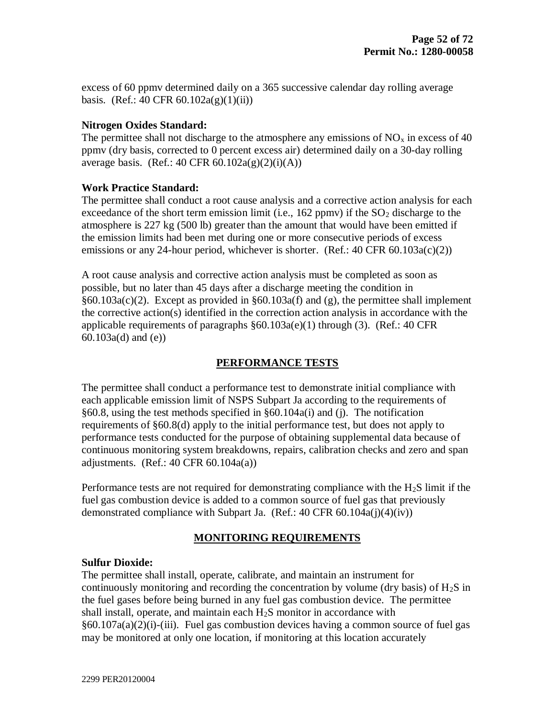excess of 60 ppmv determined daily on a 365 successive calendar day rolling average basis. (Ref.: 40 CFR  $60.102a(g)(1)(ii)$ )

## **Nitrogen Oxides Standard:**

The permittee shall not discharge to the atmosphere any emissions of  $NO<sub>x</sub>$  in excess of 40 ppmv (dry basis, corrected to 0 percent excess air) determined daily on a 30-day rolling average basis. (Ref.: 40 CFR  $60.102a(g)(2)(i)(A)$ )

## **Work Practice Standard:**

The permittee shall conduct a root cause analysis and a corrective action analysis for each exceedance of the short term emission limit (i.e.,  $162$  ppmv) if the  $SO<sub>2</sub>$  discharge to the atmosphere is 227 kg (500 lb) greater than the amount that would have been emitted if the emission limits had been met during one or more consecutive periods of excess emissions or any 24-hour period, whichever is shorter. (Ref.:  $40 \text{ CFR } 60.103a(c)(2)$ )

A root cause analysis and corrective action analysis must be completed as soon as possible, but no later than 45 days after a discharge meeting the condition in  $§60.103a(c)(2)$ . Except as provided in  $§60.103a(f)$  and (g), the permittee shall implement the corrective action(s) identified in the correction action analysis in accordance with the applicable requirements of paragraphs §60.103a(e)(1) through (3). (Ref.: 40 CFR 60.103a(d) and (e))

# **PERFORMANCE TESTS**

The permittee shall conduct a performance test to demonstrate initial compliance with each applicable emission limit of NSPS Subpart Ja according to the requirements of §60.8, using the test methods specified in §60.104a(i) and (j). The notification requirements of §60.8(d) apply to the initial performance test, but does not apply to performance tests conducted for the purpose of obtaining supplemental data because of continuous monitoring system breakdowns, repairs, calibration checks and zero and span adjustments. (Ref.:  $40 \text{ CFR } 60.104a(a)$ )

Performance tests are not required for demonstrating compliance with the H<sub>2</sub>S limit if the fuel gas combustion device is added to a common source of fuel gas that previously demonstrated compliance with Subpart Ja. (Ref.: 40 CFR 60.104a(j)(4)(iv))

# **MONITORING REQUIREMENTS**

### **Sulfur Dioxide:**

The permittee shall install, operate, calibrate, and maintain an instrument for continuously monitoring and recording the concentration by volume (dry basis) of  $H_2S$  in the fuel gases before being burned in any fuel gas combustion device. The permittee shall install, operate, and maintain each H2S monitor in accordance with  $§60.107a(a)(2)(i)-(iii)$ . Fuel gas combustion devices having a common source of fuel gas may be monitored at only one location, if monitoring at this location accurately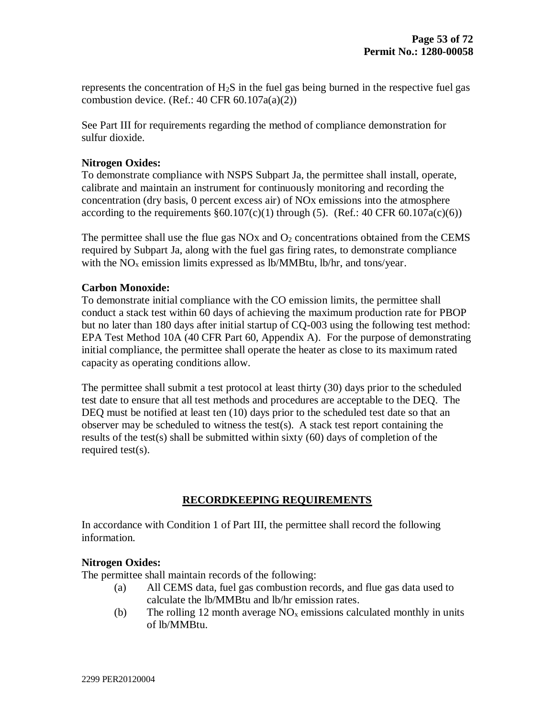represents the concentration of H2S in the fuel gas being burned in the respective fuel gas combustion device. (Ref.: 40 CFR  $60.107a(a)(2)$ )

See Part III for requirements regarding the method of compliance demonstration for sulfur dioxide.

## **Nitrogen Oxides:**

To demonstrate compliance with NSPS Subpart Ja, the permittee shall install, operate, calibrate and maintain an instrument for continuously monitoring and recording the concentration (dry basis, 0 percent excess air) of NOx emissions into the atmosphere according to the requirements  $\S 60.107(c)(1)$  through (5). (Ref.: 40 CFR 60.107a(c)(6))

The permittee shall use the flue gas  $NOx$  and  $O<sub>2</sub>$  concentrations obtained from the CEMS required by Subpart Ja, along with the fuel gas firing rates, to demonstrate compliance with the  $NO<sub>x</sub>$  emission limits expressed as lb/MMBtu, lb/hr, and tons/year.

### **Carbon Monoxide:**

To demonstrate initial compliance with the CO emission limits, the permittee shall conduct a stack test within 60 days of achieving the maximum production rate for PBOP but no later than 180 days after initial startup of CQ-003 using the following test method: EPA Test Method 10A (40 CFR Part 60, Appendix A). For the purpose of demonstrating initial compliance, the permittee shall operate the heater as close to its maximum rated capacity as operating conditions allow.

The permittee shall submit a test protocol at least thirty (30) days prior to the scheduled test date to ensure that all test methods and procedures are acceptable to the DEQ. The DEQ must be notified at least ten (10) days prior to the scheduled test date so that an observer may be scheduled to witness the test(s). A stack test report containing the results of the test(s) shall be submitted within sixty (60) days of completion of the required test(s).

# **RECORDKEEPING REQUIREMENTS**

In accordance with Condition 1 of Part III, the permittee shall record the following information.

# **Nitrogen Oxides:**

The permittee shall maintain records of the following:

- (a) All CEMS data, fuel gas combustion records, and flue gas data used to calculate the lb/MMBtu and lb/hr emission rates.
- (b) The rolling 12 month average  $NO<sub>x</sub>$  emissions calculated monthly in units of lb/MMBtu.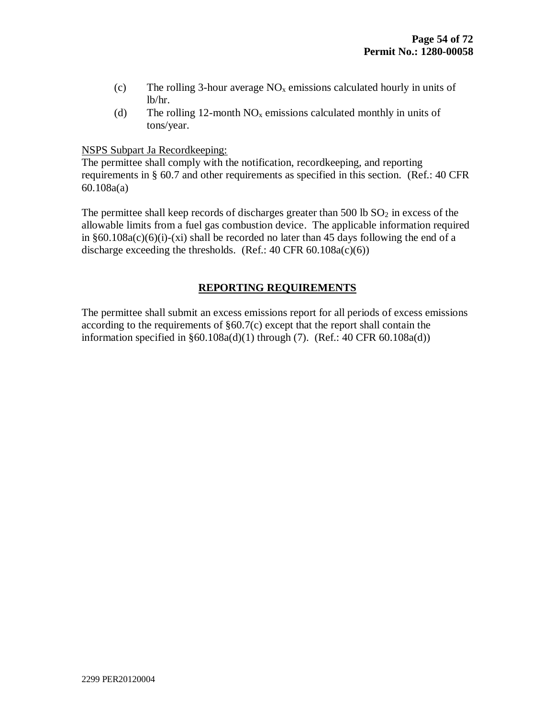- (c) The rolling 3-hour average  $NO<sub>x</sub>$  emissions calculated hourly in units of lb/hr.
- (d) The rolling 12-month  $NO<sub>x</sub>$  emissions calculated monthly in units of tons/year.

### NSPS Subpart Ja Recordkeeping:

The permittee shall comply with the notification, recordkeeping, and reporting requirements in § 60.7 and other requirements as specified in this section. (Ref.: 40 CFR 60.108a(a)

The permittee shall keep records of discharges greater than 500 lb  $SO<sub>2</sub>$  in excess of the allowable limits from a fuel gas combustion device. The applicable information required in  $§60.108a(c)(6)(i)-(xi)$  shall be recorded no later than 45 days following the end of a discharge exceeding the thresholds. (Ref.:  $40 \text{ CFR } 60.108a(c)(6)$ )

## **REPORTING REQUIREMENTS**

The permittee shall submit an excess emissions report for all periods of excess emissions according to the requirements of  $\S60.7(c)$  except that the report shall contain the information specified in  $\S 60.108a(d)(1)$  through (7). (Ref.: 40 CFR 60.108a(d))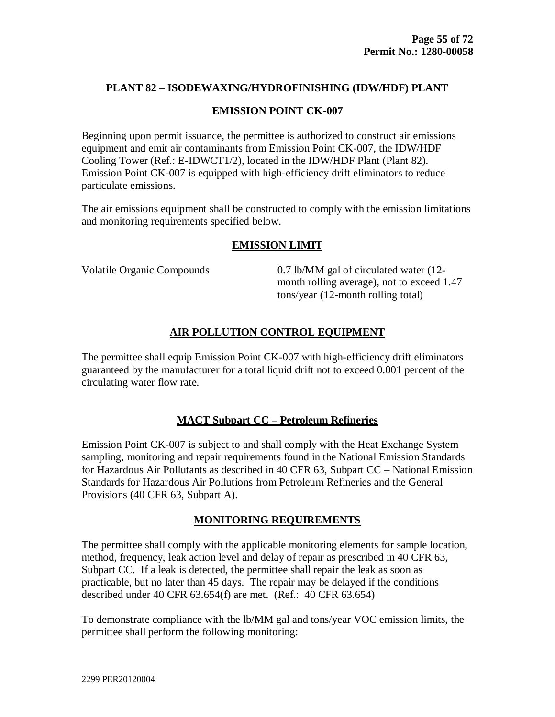### **EMISSION POINT CK-007**

Beginning upon permit issuance, the permittee is authorized to construct air emissions equipment and emit air contaminants from Emission Point CK-007, the IDW/HDF Cooling Tower (Ref.: E-IDWCT1/2), located in the IDW/HDF Plant (Plant 82). Emission Point CK-007 is equipped with high-efficiency drift eliminators to reduce particulate emissions.

The air emissions equipment shall be constructed to comply with the emission limitations and monitoring requirements specified below.

### **EMISSION LIMIT**

Volatile Organic Compounds 0.7 lb/MM gal of circulated water (12 month rolling average), not to exceed 1.47 tons/year (12-month rolling total)

## **AIR POLLUTION CONTROL EQUIPMENT**

The permittee shall equip Emission Point CK-007 with high-efficiency drift eliminators guaranteed by the manufacturer for a total liquid drift not to exceed 0.001 percent of the circulating water flow rate.

### **MACT Subpart CC – Petroleum Refineries**

Emission Point CK-007 is subject to and shall comply with the Heat Exchange System sampling, monitoring and repair requirements found in the National Emission Standards for Hazardous Air Pollutants as described in 40 CFR 63, Subpart CC – National Emission Standards for Hazardous Air Pollutions from Petroleum Refineries and the General Provisions (40 CFR 63, Subpart A).

### **MONITORING REQUIREMENTS**

The permittee shall comply with the applicable monitoring elements for sample location, method, frequency, leak action level and delay of repair as prescribed in 40 CFR 63, Subpart CC. If a leak is detected, the permittee shall repair the leak as soon as practicable, but no later than 45 days. The repair may be delayed if the conditions described under 40 CFR 63.654(f) are met. (Ref.: 40 CFR 63.654)

To demonstrate compliance with the lb/MM gal and tons/year VOC emission limits, the permittee shall perform the following monitoring: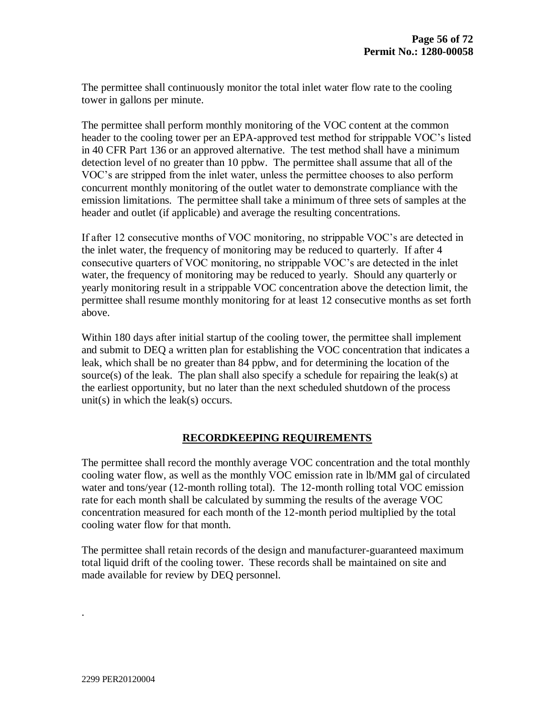The permittee shall continuously monitor the total inlet water flow rate to the cooling tower in gallons per minute.

The permittee shall perform monthly monitoring of the VOC content at the common header to the cooling tower per an EPA-approved test method for strippable VOC's listed in 40 CFR Part 136 or an approved alternative. The test method shall have a minimum detection level of no greater than 10 ppbw. The permittee shall assume that all of the VOC's are stripped from the inlet water, unless the permittee chooses to also perform concurrent monthly monitoring of the outlet water to demonstrate compliance with the emission limitations. The permittee shall take a minimum of three sets of samples at the header and outlet (if applicable) and average the resulting concentrations.

If after 12 consecutive months of VOC monitoring, no strippable VOC's are detected in the inlet water, the frequency of monitoring may be reduced to quarterly. If after 4 consecutive quarters of VOC monitoring, no strippable VOC's are detected in the inlet water, the frequency of monitoring may be reduced to yearly. Should any quarterly or yearly monitoring result in a strippable VOC concentration above the detection limit, the permittee shall resume monthly monitoring for at least 12 consecutive months as set forth above.

Within 180 days after initial startup of the cooling tower, the permittee shall implement and submit to DEQ a written plan for establishing the VOC concentration that indicates a leak, which shall be no greater than 84 ppbw, and for determining the location of the source(s) of the leak. The plan shall also specify a schedule for repairing the leak(s) at the earliest opportunity, but no later than the next scheduled shutdown of the process unit(s) in which the leak(s) occurs.

### **RECORDKEEPING REQUIREMENTS**

The permittee shall record the monthly average VOC concentration and the total monthly cooling water flow, as well as the monthly VOC emission rate in lb/MM gal of circulated water and tons/year (12-month rolling total). The 12-month rolling total VOC emission rate for each month shall be calculated by summing the results of the average VOC concentration measured for each month of the 12-month period multiplied by the total cooling water flow for that month.

The permittee shall retain records of the design and manufacturer-guaranteed maximum total liquid drift of the cooling tower. These records shall be maintained on site and made available for review by DEQ personnel.

.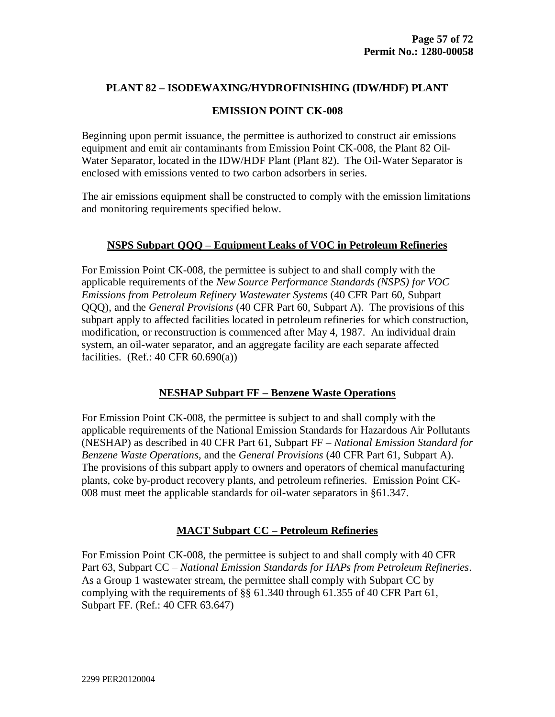### **EMISSION POINT CK-008**

Beginning upon permit issuance, the permittee is authorized to construct air emissions equipment and emit air contaminants from Emission Point CK-008, the Plant 82 Oil-Water Separator, located in the IDW/HDF Plant (Plant 82). The Oil-Water Separator is enclosed with emissions vented to two carbon adsorbers in series.

The air emissions equipment shall be constructed to comply with the emission limitations and monitoring requirements specified below.

### **NSPS Subpart QQQ – Equipment Leaks of VOC in Petroleum Refineries**

For Emission Point CK-008, the permittee is subject to and shall comply with the applicable requirements of the *New Source Performance Standards (NSPS) for VOC Emissions from Petroleum Refinery Wastewater Systems* (40 CFR Part 60, Subpart QQQ), and the *General Provisions* (40 CFR Part 60, Subpart A). The provisions of this subpart apply to affected facilities located in petroleum refineries for which construction, modification, or reconstruction is commenced after May 4, 1987. An individual drain system, an oil-water separator, and an aggregate facility are each separate affected facilities. (Ref.:  $40$  CFR  $60.690(a)$ )

## **NESHAP Subpart FF – Benzene Waste Operations**

For Emission Point CK-008, the permittee is subject to and shall comply with the applicable requirements of the National Emission Standards for Hazardous Air Pollutants (NESHAP) as described in 40 CFR Part 61, Subpart FF – *National Emission Standard for Benzene Waste Operations*, and the *General Provisions* (40 CFR Part 61, Subpart A). The provisions of this subpart apply to owners and operators of chemical manufacturing plants, coke by-product recovery plants, and petroleum refineries. Emission Point CK-008 must meet the applicable standards for oil-water separators in §61.347.

# **MACT Subpart CC – Petroleum Refineries**

For Emission Point CK-008, the permittee is subject to and shall comply with 40 CFR Part 63, Subpart CC – *National Emission Standards for HAPs from Petroleum Refineries*. As a Group 1 wastewater stream, the permittee shall comply with Subpart CC by complying with the requirements of §§ 61.340 through 61.355 of 40 CFR Part 61, Subpart FF. (Ref.: 40 CFR 63.647)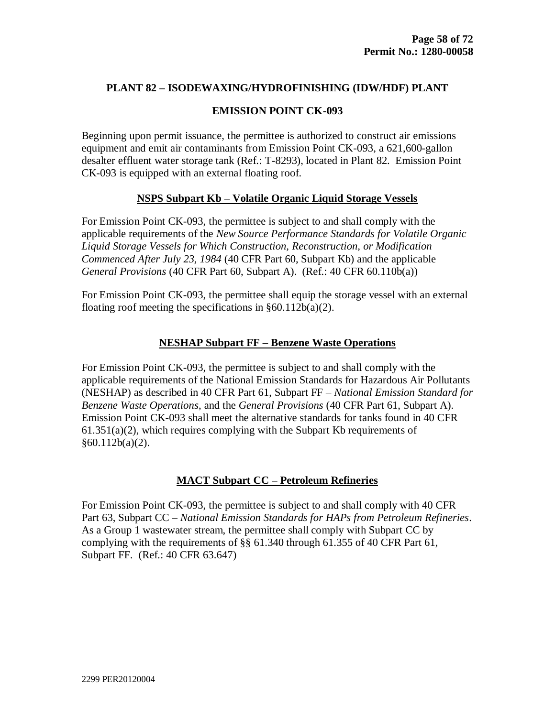## **EMISSION POINT CK-093**

Beginning upon permit issuance, the permittee is authorized to construct air emissions equipment and emit air contaminants from Emission Point CK-093, a 621,600-gallon desalter effluent water storage tank (Ref.: T-8293), located in Plant 82. Emission Point CK-093 is equipped with an external floating roof.

### **NSPS Subpart Kb – Volatile Organic Liquid Storage Vessels**

For Emission Point CK-093, the permittee is subject to and shall comply with the applicable requirements of the *New Source Performance Standards for Volatile Organic Liquid Storage Vessels for Which Construction, Reconstruction, or Modification Commenced After July 23, 1984* (40 CFR Part 60, Subpart Kb) and the applicable *General Provisions* (40 CFR Part 60, Subpart A). (Ref.: 40 CFR 60.110b(a))

For Emission Point CK-093, the permittee shall equip the storage vessel with an external floating roof meeting the specifications in  $\S 60.112b(a)(2)$ .

## **NESHAP Subpart FF – Benzene Waste Operations**

For Emission Point CK-093, the permittee is subject to and shall comply with the applicable requirements of the National Emission Standards for Hazardous Air Pollutants (NESHAP) as described in 40 CFR Part 61, Subpart FF – *National Emission Standard for Benzene Waste Operations*, and the *General Provisions* (40 CFR Part 61, Subpart A). Emission Point CK-093 shall meet the alternative standards for tanks found in 40 CFR  $61.351(a)(2)$ , which requires complying with the Subpart Kb requirements of  $§60.112b(a)(2).$ 

# **MACT Subpart CC – Petroleum Refineries**

For Emission Point CK-093, the permittee is subject to and shall comply with 40 CFR Part 63, Subpart CC – *National Emission Standards for HAPs from Petroleum Refineries*. As a Group 1 wastewater stream, the permittee shall comply with Subpart CC by complying with the requirements of §§ 61.340 through 61.355 of 40 CFR Part 61, Subpart FF. (Ref.: 40 CFR 63.647)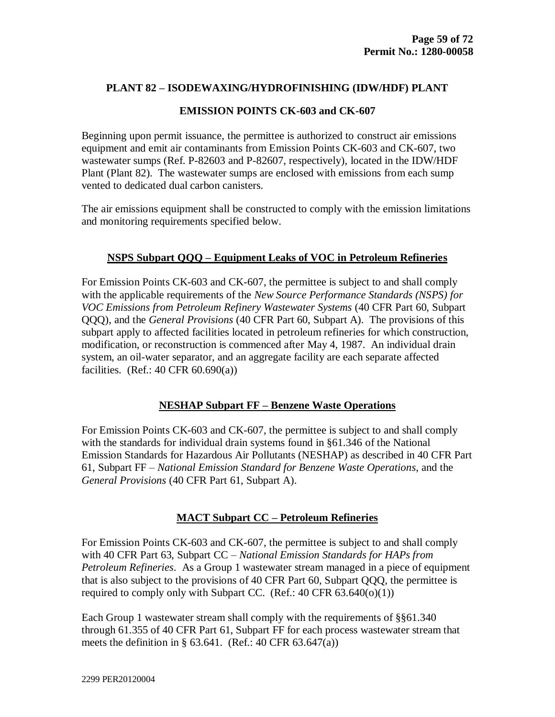## **EMISSION POINTS CK-603 and CK-607**

Beginning upon permit issuance, the permittee is authorized to construct air emissions equipment and emit air contaminants from Emission Points CK-603 and CK-607, two wastewater sumps (Ref. P-82603 and P-82607, respectively), located in the IDW/HDF Plant (Plant 82). The wastewater sumps are enclosed with emissions from each sump vented to dedicated dual carbon canisters.

The air emissions equipment shall be constructed to comply with the emission limitations and monitoring requirements specified below.

# **NSPS Subpart QQQ – Equipment Leaks of VOC in Petroleum Refineries**

For Emission Points CK-603 and CK-607, the permittee is subject to and shall comply with the applicable requirements of the *New Source Performance Standards (NSPS) for VOC Emissions from Petroleum Refinery Wastewater Systems* (40 CFR Part 60, Subpart QQQ), and the *General Provisions* (40 CFR Part 60, Subpart A). The provisions of this subpart apply to affected facilities located in petroleum refineries for which construction, modification, or reconstruction is commenced after May 4, 1987. An individual drain system, an oil-water separator, and an aggregate facility are each separate affected facilities. (Ref.:  $40$  CFR  $60.690(a)$ )

# **NESHAP Subpart FF – Benzene Waste Operations**

For Emission Points CK-603 and CK-607, the permittee is subject to and shall comply with the standards for individual drain systems found in §61.346 of the National Emission Standards for Hazardous Air Pollutants (NESHAP) as described in 40 CFR Part 61, Subpart FF – *National Emission Standard for Benzene Waste Operations*, and the *General Provisions* (40 CFR Part 61, Subpart A).

# **MACT Subpart CC – Petroleum Refineries**

For Emission Points CK-603 and CK-607, the permittee is subject to and shall comply with 40 CFR Part 63, Subpart CC – *National Emission Standards for HAPs from Petroleum Refineries*. As a Group 1 wastewater stream managed in a piece of equipment that is also subject to the provisions of 40 CFR Part 60, Subpart QQQ, the permittee is required to comply only with Subpart CC. (Ref.:  $40$  CFR  $63.640(o)(1)$ )

Each Group 1 wastewater stream shall comply with the requirements of §§61.340 through 61.355 of 40 CFR Part 61, Subpart FF for each process wastewater stream that meets the definition in  $\S$  63.641. (Ref.: 40 CFR 63.647(a))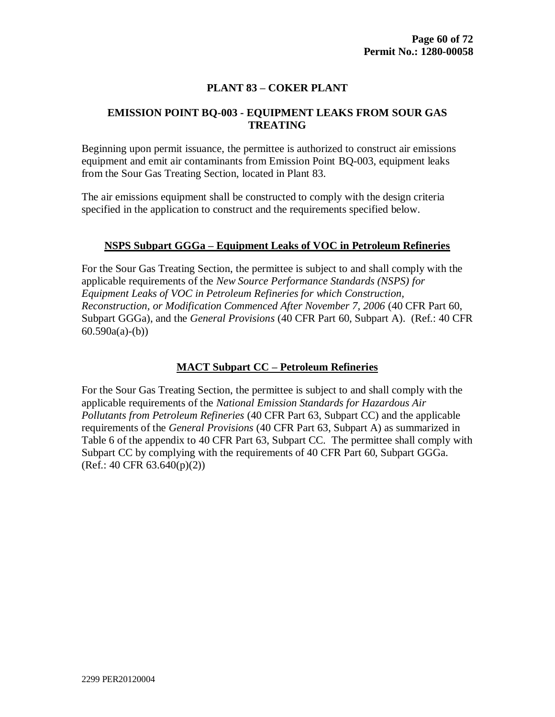## **PLANT 83 – COKER PLANT**

## **EMISSION POINT BQ-003 - EQUIPMENT LEAKS FROM SOUR GAS TREATING**

Beginning upon permit issuance, the permittee is authorized to construct air emissions equipment and emit air contaminants from Emission Point BQ-003, equipment leaks from the Sour Gas Treating Section, located in Plant 83.

The air emissions equipment shall be constructed to comply with the design criteria specified in the application to construct and the requirements specified below.

### **NSPS Subpart GGGa – Equipment Leaks of VOC in Petroleum Refineries**

For the Sour Gas Treating Section, the permittee is subject to and shall comply with the applicable requirements of the *New Source Performance Standards (NSPS) for Equipment Leaks of VOC in Petroleum Refineries for which Construction, Reconstruction, or Modification Commenced After November 7, 2006* (40 CFR Part 60, Subpart GGGa), and the *General Provisions* (40 CFR Part 60, Subpart A). (Ref.: 40 CFR  $60.590a(a)-(b)$ 

### **MACT Subpart CC – Petroleum Refineries**

For the Sour Gas Treating Section, the permittee is subject to and shall comply with the applicable requirements of the *National Emission Standards for Hazardous Air Pollutants from Petroleum Refineries* (40 CFR Part 63, Subpart CC) and the applicable requirements of the *General Provisions* (40 CFR Part 63, Subpart A) as summarized in Table 6 of the appendix to 40 CFR Part 63, Subpart CC. The permittee shall comply with Subpart CC by complying with the requirements of 40 CFR Part 60, Subpart GGGa.  $(Ref.: 40 CFR 63.640(p)(2))$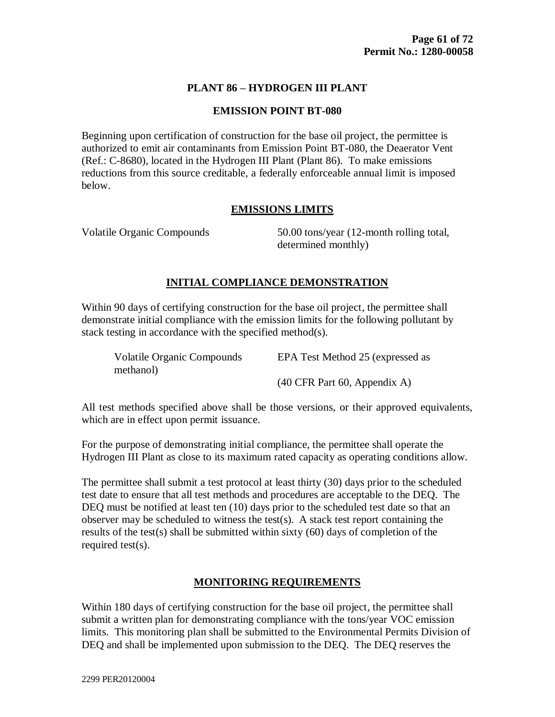## **PLANT 86 – HYDROGEN III PLANT**

### **EMISSION POINT BT-080**

Beginning upon certification of construction for the base oil project, the permittee is authorized to emit air contaminants from Emission Point BT-080, the Deaerator Vent (Ref.: C-8680), located in the Hydrogen III Plant (Plant 86). To make emissions reductions from this source creditable, a federally enforceable annual limit is imposed below.

## **EMISSIONS LIMITS**

Volatile Organic Compounds 50.00 tons/year (12-month rolling total, determined monthly)

### **INITIAL COMPLIANCE DEMONSTRATION**

Within 90 days of certifying construction for the base oil project, the permittee shall demonstrate initial compliance with the emission limits for the following pollutant by stack testing in accordance with the specified method(s).

| <b>Volatile Organic Compounds</b> | EPA Test Method 25 (expressed as                        |
|-----------------------------------|---------------------------------------------------------|
| methanol)                         |                                                         |
|                                   | $(40 \text{ CFR} \text{ Part } 60, \text{ Appendix A})$ |

All test methods specified above shall be those versions, or their approved equivalents, which are in effect upon permit issuance.

For the purpose of demonstrating initial compliance, the permittee shall operate the Hydrogen III Plant as close to its maximum rated capacity as operating conditions allow.

The permittee shall submit a test protocol at least thirty (30) days prior to the scheduled test date to ensure that all test methods and procedures are acceptable to the DEQ. The DEQ must be notified at least ten (10) days prior to the scheduled test date so that an observer may be scheduled to witness the test(s). A stack test report containing the results of the test(s) shall be submitted within sixty (60) days of completion of the required test(s).

### **MONITORING REQUIREMENTS**

Within 180 days of certifying construction for the base oil project, the permittee shall submit a written plan for demonstrating compliance with the tons/year VOC emission limits. This monitoring plan shall be submitted to the Environmental Permits Division of DEQ and shall be implemented upon submission to the DEQ. The DEQ reserves the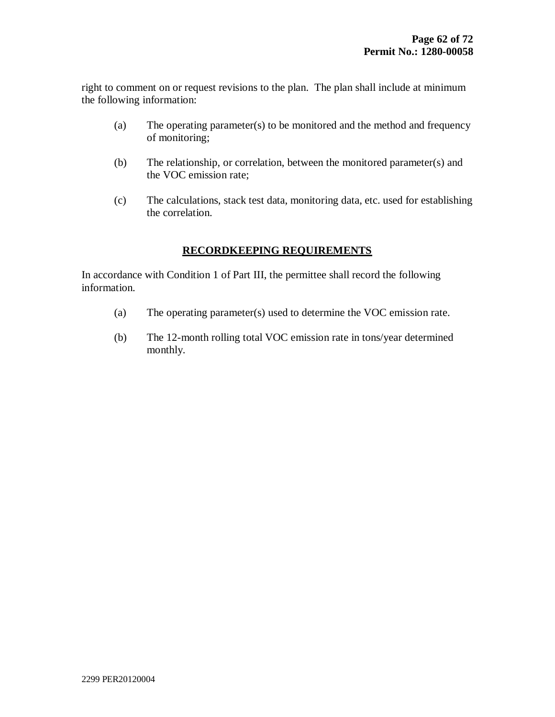right to comment on or request revisions to the plan. The plan shall include at minimum the following information:

- (a) The operating parameter(s) to be monitored and the method and frequency of monitoring;
- (b) The relationship, or correlation, between the monitored parameter(s) and the VOC emission rate;
- (c) The calculations, stack test data, monitoring data, etc. used for establishing the correlation.

# **RECORDKEEPING REQUIREMENTS**

In accordance with Condition 1 of Part III, the permittee shall record the following information.

- (a) The operating parameter(s) used to determine the VOC emission rate.
- (b) The 12-month rolling total VOC emission rate in tons/year determined monthly.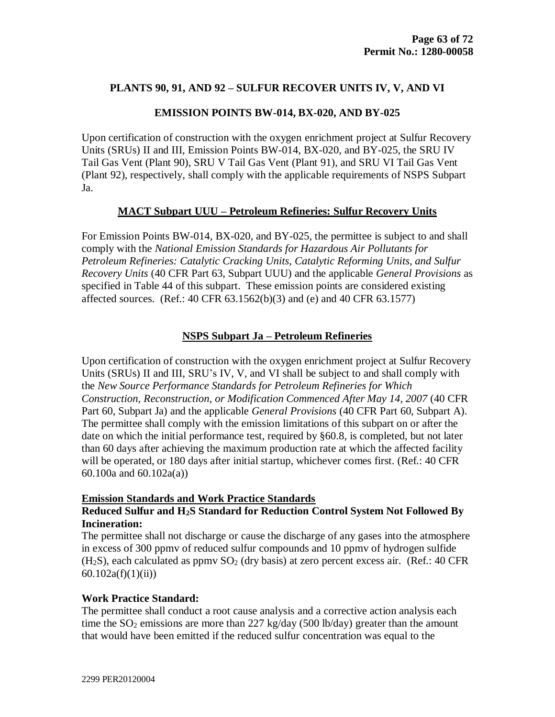## **PLANTS 90, 91, AND 92 – SULFUR RECOVER UNITS IV, V, AND VI**

### **EMISSION POINTS BW-014, BX-020, AND BY-025**

Upon certification of construction with the oxygen enrichment project at Sulfur Recovery Units (SRUs) II and III, Emission Points BW-014, BX-020, and BY-025, the SRU IV Tail Gas Vent (Plant 90), SRU V Tail Gas Vent (Plant 91), and SRU VI Tail Gas Vent (Plant 92), respectively, shall comply with the applicable requirements of NSPS Subpart Ja.

### **MACT Subpart UUU – Petroleum Refineries: Sulfur Recovery Units**

For Emission Points BW-014, BX-020, and BY-025, the permittee is subject to and shall comply with the *National Emission Standards for Hazardous Air Pollutants for Petroleum Refineries: Catalytic Cracking Units, Catalytic Reforming Units, and Sulfur Recovery Units* (40 CFR Part 63, Subpart UUU) and the applicable *General Provisions* as specified in Table 44 of this subpart. These emission points are considered existing affected sources. (Ref.: 40 CFR 63.1562(b)(3) and (e) and 40 CFR 63.1577)

## **NSPS Subpart Ja – Petroleum Refineries**

Upon certification of construction with the oxygen enrichment project at Sulfur Recovery Units (SRUs) II and III, SRU's IV, V, and VI shall be subject to and shall comply with the *New Source Performance Standards for Petroleum Refineries for Which Construction, Reconstruction, or Modification Commenced After May 14, 2007* (40 CFR Part 60, Subpart Ja) and the applicable *General Provisions* (40 CFR Part 60, Subpart A). The permittee shall comply with the emission limitations of this subpart on or after the date on which the initial performance test, required by §60.8, is completed, but not later than 60 days after achieving the maximum production rate at which the affected facility will be operated, or 180 days after initial startup, whichever comes first. (Ref.: 40 CFR 60.100a and 60.102a(a))

#### **Emission Standards and Work Practice Standards**

### **Reduced Sulfur and H2S Standard for Reduction Control System Not Followed By Incineration:**

The permittee shall not discharge or cause the discharge of any gases into the atmosphere in excess of 300 ppmv of reduced sulfur compounds and 10 ppmv of hydrogen sulfide  $(H<sub>2</sub>S)$ , each calculated as ppmv  $SO<sub>2</sub>$  (dry basis) at zero percent excess air. (Ref.: 40 CFR 60.102a(f)(1)(ii))

## **Work Practice Standard:**

The permittee shall conduct a root cause analysis and a corrective action analysis each time the  $SO_2$  emissions are more than 227 kg/day (500 lb/day) greater than the amount that would have been emitted if the reduced sulfur concentration was equal to the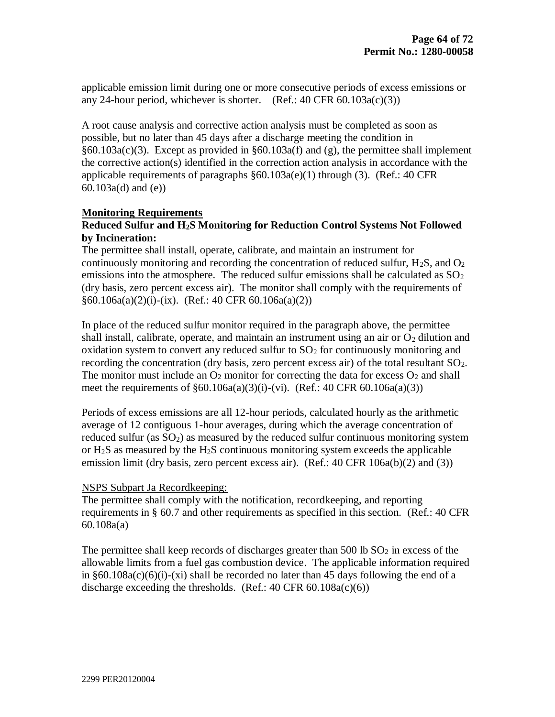applicable emission limit during one or more consecutive periods of excess emissions or any 24-hour period, whichever is shorter. (Ref.:  $40 \text{ CFR } 60.103a(c)(3)$ )

A root cause analysis and corrective action analysis must be completed as soon as possible, but no later than 45 days after a discharge meeting the condition in §60.103a(c)(3). Except as provided in §60.103a(f) and (g), the permittee shall implement the corrective action(s) identified in the correction action analysis in accordance with the applicable requirements of paragraphs  $\S 60.103a(e)(1)$  through (3). (Ref.: 40 CFR 60.103a(d) and (e))

### **Monitoring Requirements**

## **Reduced Sulfur and H2S Monitoring for Reduction Control Systems Not Followed by Incineration:**

The permittee shall install, operate, calibrate, and maintain an instrument for continuously monitoring and recording the concentration of reduced sulfur,  $H_2S$ , and  $O_2$ emissions into the atmosphere. The reduced sulfur emissions shall be calculated as  $SO<sub>2</sub>$ (dry basis, zero percent excess air). The monitor shall comply with the requirements of  $§60.106a(a)(2)(i)-(ix)$ . (Ref.: 40 CFR 60.106a(a)(2))

In place of the reduced sulfur monitor required in the paragraph above, the permittee shall install, calibrate, operate, and maintain an instrument using an air or  $O_2$  dilution and oxidation system to convert any reduced sulfur to  $SO<sub>2</sub>$  for continuously monitoring and recording the concentration (dry basis, zero percent excess air) of the total resultant  $SO_2$ . The monitor must include an  $O_2$  monitor for correcting the data for excess  $O_2$  and shall meet the requirements of §60.106a(a)(3)(i)-(vi). (Ref.: 40 CFR 60.106a(a)(3))

Periods of excess emissions are all 12-hour periods, calculated hourly as the arithmetic average of 12 contiguous 1-hour averages, during which the average concentration of reduced sulfur (as  $SO<sub>2</sub>$ ) as measured by the reduced sulfur continuous monitoring system or  $H_2S$  as measured by the  $H_2S$  continuous monitoring system exceeds the applicable emission limit (dry basis, zero percent excess air). (Ref.: 40 CFR 106a(b)(2) and (3))

### NSPS Subpart Ja Recordkeeping:

The permittee shall comply with the notification, recordkeeping, and reporting requirements in § 60.7 and other requirements as specified in this section. (Ref.: 40 CFR 60.108a(a)

The permittee shall keep records of discharges greater than  $500$  lb  $SO<sub>2</sub>$  in excess of the allowable limits from a fuel gas combustion device. The applicable information required in  $§60.108a(c)(6)(i)-(xi)$  shall be recorded no later than 45 days following the end of a discharge exceeding the thresholds. (Ref.:  $40 \text{ CFR } 60.108a(c)(6)$ )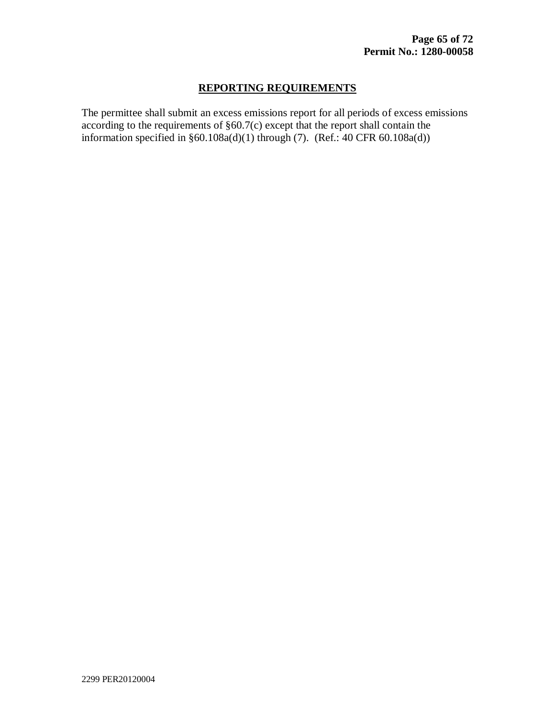## **REPORTING REQUIREMENTS**

The permittee shall submit an excess emissions report for all periods of excess emissions according to the requirements of §60.7(c) except that the report shall contain the information specified in  $§60.108a(d)(1)$  through (7). (Ref.: 40 CFR 60.108a(d))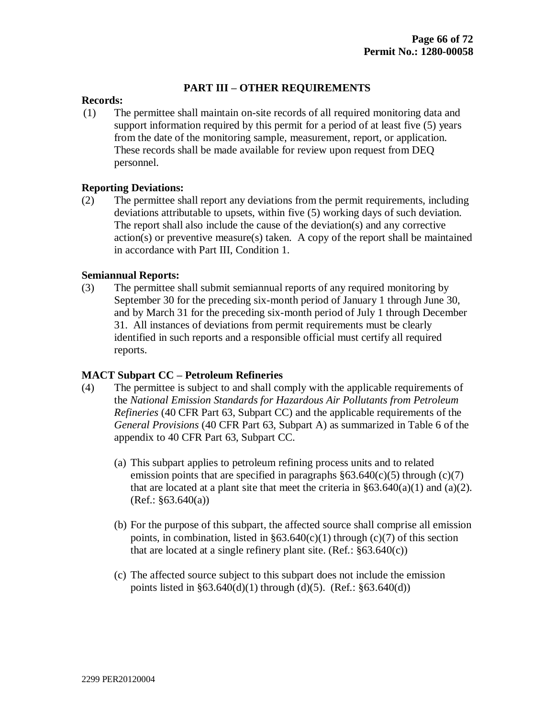### **PART III – OTHER REQUIREMENTS**

### **Records:**

(1) The permittee shall maintain on-site records of all required monitoring data and support information required by this permit for a period of at least five (5) years from the date of the monitoring sample, measurement, report, or application. These records shall be made available for review upon request from DEQ personnel.

### **Reporting Deviations:**

(2) The permittee shall report any deviations from the permit requirements, including deviations attributable to upsets, within five (5) working days of such deviation. The report shall also include the cause of the deviation(s) and any corrective action(s) or preventive measure(s) taken. A copy of the report shall be maintained in accordance with Part III, Condition 1.

### **Semiannual Reports:**

(3) The permittee shall submit semiannual reports of any required monitoring by September 30 for the preceding six-month period of January 1 through June 30, and by March 31 for the preceding six-month period of July 1 through December 31. All instances of deviations from permit requirements must be clearly identified in such reports and a responsible official must certify all required reports.

#### **MACT Subpart CC – Petroleum Refineries**

- (4) The permittee is subject to and shall comply with the applicable requirements of the *National Emission Standards for Hazardous Air Pollutants from Petroleum Refineries* (40 CFR Part 63, Subpart CC) and the applicable requirements of the *General Provisions* (40 CFR Part 63, Subpart A) as summarized in Table 6 of the appendix to 40 CFR Part 63, Subpart CC.
	- (a) This subpart applies to petroleum refining process units and to related emission points that are specified in paragraphs  $\S 63.640(c)(5)$  through  $(c)(7)$ that are located at a plant site that meet the criteria in  $\S 63.640(a)(1)$  and  $(a)(2)$ .  $(Ref.: §63.640(a))$
	- (b) For the purpose of this subpart, the affected source shall comprise all emission points, in combination, listed in  $\S 63.640(c)(1)$  through (c)(7) of this section that are located at a single refinery plant site.  $(Ref.: §63.640(c))$
	- (c) The affected source subject to this subpart does not include the emission points listed in  $\S 63.640(d)(1)$  through (d)(5). (Ref.:  $\S 63.640(d)$ )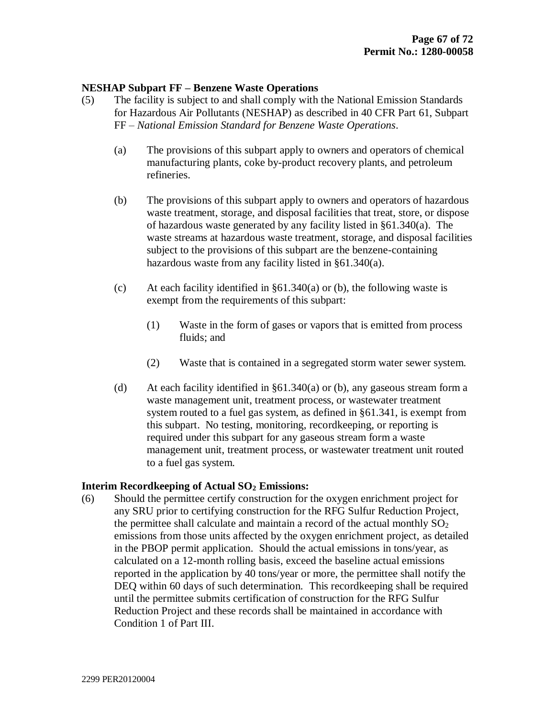### **NESHAP Subpart FF – Benzene Waste Operations**

- (5) The facility is subject to and shall comply with the National Emission Standards for Hazardous Air Pollutants (NESHAP) as described in 40 CFR Part 61, Subpart FF – *National Emission Standard for Benzene Waste Operations*.
	- (a) The provisions of this subpart apply to owners and operators of chemical manufacturing plants, coke by-product recovery plants, and petroleum refineries.
	- (b) The provisions of this subpart apply to owners and operators of hazardous waste treatment, storage, and disposal facilities that treat, store, or dispose of hazardous waste generated by any facility listed in §61.340(a). The waste streams at hazardous waste treatment, storage, and disposal facilities subject to the provisions of this subpart are the benzene-containing hazardous waste from any facility listed in §61.340(a).
	- (c) At each facility identified in  $\S61.340(a)$  or (b), the following waste is exempt from the requirements of this subpart:
		- (1) Waste in the form of gases or vapors that is emitted from process fluids; and
		- (2) Waste that is contained in a segregated storm water sewer system.
	- (d) At each facility identified in §61.340(a) or (b), any gaseous stream form a waste management unit, treatment process, or wastewater treatment system routed to a fuel gas system, as defined in §61.341, is exempt from this subpart. No testing, monitoring, recordkeeping, or reporting is required under this subpart for any gaseous stream form a waste management unit, treatment process, or wastewater treatment unit routed to a fuel gas system.

#### **Interim Recordkeeping of Actual SO<sup>2</sup> Emissions:**

(6) Should the permittee certify construction for the oxygen enrichment project for any SRU prior to certifying construction for the RFG Sulfur Reduction Project, the permittee shall calculate and maintain a record of the actual monthly  $SO<sub>2</sub>$ emissions from those units affected by the oxygen enrichment project, as detailed in the PBOP permit application. Should the actual emissions in tons/year, as calculated on a 12-month rolling basis, exceed the baseline actual emissions reported in the application by 40 tons/year or more, the permittee shall notify the DEQ within 60 days of such determination. This recordkeeping shall be required until the permittee submits certification of construction for the RFG Sulfur Reduction Project and these records shall be maintained in accordance with Condition 1 of Part III.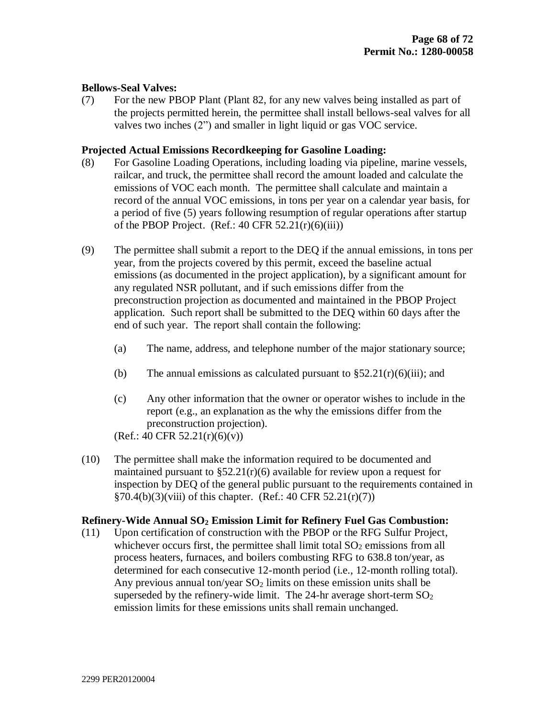## **Bellows-Seal Valves:**

(7) For the new PBOP Plant (Plant 82, for any new valves being installed as part of the projects permitted herein, the permittee shall install bellows-seal valves for all valves two inches (2") and smaller in light liquid or gas VOC service.

### **Projected Actual Emissions Recordkeeping for Gasoline Loading:**

- (8) For Gasoline Loading Operations, including loading via pipeline, marine vessels, railcar, and truck, the permittee shall record the amount loaded and calculate the emissions of VOC each month. The permittee shall calculate and maintain a record of the annual VOC emissions, in tons per year on a calendar year basis, for a period of five (5) years following resumption of regular operations after startup of the PBOP Project. (Ref.:  $40 \text{ CFR } 52.21(\text{r})(6)(iii)$ )
- (9) The permittee shall submit a report to the DEQ if the annual emissions, in tons per year, from the projects covered by this permit, exceed the baseline actual emissions (as documented in the project application), by a significant amount for any regulated NSR pollutant, and if such emissions differ from the preconstruction projection as documented and maintained in the PBOP Project application. Such report shall be submitted to the DEQ within 60 days after the end of such year. The report shall contain the following:
	- (a) The name, address, and telephone number of the major stationary source;
	- (b) The annual emissions as calculated pursuant to  $\S 52.21(r)(6)(iii)$ ; and
	- (c) Any other information that the owner or operator wishes to include in the report (e.g., an explanation as the why the emissions differ from the preconstruction projection).

 $(Ref.: 40 CFR 52.21(r)(6)(v))$ 

(10) The permittee shall make the information required to be documented and maintained pursuant to  $\S 52.21(r)(6)$  available for review upon a request for inspection by DEQ of the general public pursuant to the requirements contained in  $§70.4(b)(3)(viii)$  of this chapter. (Ref.: 40 CFR 52.21(r)(7))

### **Refinery-Wide Annual SO<sup>2</sup> Emission Limit for Refinery Fuel Gas Combustion:**

(11) Upon certification of construction with the PBOP or the RFG Sulfur Project, whichever occurs first, the permittee shall limit total  $SO<sub>2</sub>$  emissions from all process heaters, furnaces, and boilers combusting RFG to 638.8 ton/year, as determined for each consecutive 12-month period (i.e., 12-month rolling total). Any previous annual ton/year  $SO<sub>2</sub>$  limits on these emission units shall be superseded by the refinery-wide limit. The 24-hr average short-term  $SO_2$ emission limits for these emissions units shall remain unchanged.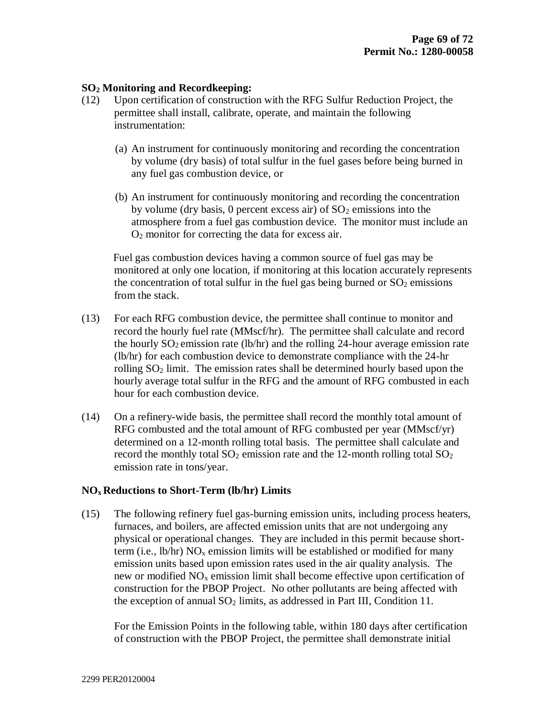## **SO<sup>2</sup> Monitoring and Recordkeeping:**

- (12) Upon certification of construction with the RFG Sulfur Reduction Project, the permittee shall install, calibrate, operate, and maintain the following instrumentation:
	- (a) An instrument for continuously monitoring and recording the concentration by volume (dry basis) of total sulfur in the fuel gases before being burned in any fuel gas combustion device, or
	- (b) An instrument for continuously monitoring and recording the concentration by volume (dry basis, 0 percent excess air) of  $SO<sub>2</sub>$  emissions into the atmosphere from a fuel gas combustion device. The monitor must include an O<sup>2</sup> monitor for correcting the data for excess air.

Fuel gas combustion devices having a common source of fuel gas may be monitored at only one location, if monitoring at this location accurately represents the concentration of total sulfur in the fuel gas being burned or  $SO_2$  emissions from the stack.

- (13) For each RFG combustion device, the permittee shall continue to monitor and record the hourly fuel rate (MMscf/hr). The permittee shall calculate and record the hourly  $SO_2$  emission rate (lb/hr) and the rolling 24-hour average emission rate (lb/hr) for each combustion device to demonstrate compliance with the 24-hr rolling  $SO<sub>2</sub>$  limit. The emission rates shall be determined hourly based upon the hourly average total sulfur in the RFG and the amount of RFG combusted in each hour for each combustion device.
- (14) On a refinery-wide basis, the permittee shall record the monthly total amount of RFG combusted and the total amount of RFG combusted per year (MMscf/yr) determined on a 12-month rolling total basis. The permittee shall calculate and record the monthly total  $SO_2$  emission rate and the 12-month rolling total  $SO_2$ emission rate in tons/year.

### **NOx Reductions to Short-Term (lb/hr) Limits**

(15) The following refinery fuel gas-burning emission units, including process heaters, furnaces, and boilers, are affected emission units that are not undergoing any physical or operational changes. They are included in this permit because shortterm (i.e.,  $\text{lb/hr}$ ) NO<sub>x</sub> emission limits will be established or modified for many emission units based upon emission rates used in the air quality analysis. The new or modified  $NO<sub>x</sub>$  emission limit shall become effective upon certification of construction for the PBOP Project. No other pollutants are being affected with the exception of annual  $SO_2$  limits, as addressed in Part III, Condition 11.

For the Emission Points in the following table, within 180 days after certification of construction with the PBOP Project, the permittee shall demonstrate initial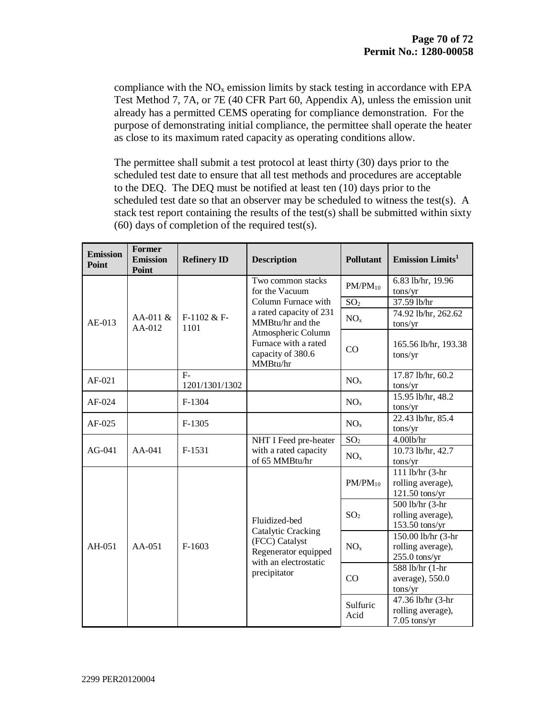compliance with the  $NO<sub>x</sub>$  emission limits by stack testing in accordance with EPA Test Method 7, 7A, or 7E (40 CFR Part 60, Appendix A), unless the emission unit already has a permitted CEMS operating for compliance demonstration. For the purpose of demonstrating initial compliance, the permittee shall operate the heater as close to its maximum rated capacity as operating conditions allow.

The permittee shall submit a test protocol at least thirty (30) days prior to the scheduled test date to ensure that all test methods and procedures are acceptable to the DEQ. The DEQ must be notified at least ten (10) days prior to the scheduled test date so that an observer may be scheduled to witness the test(s). A stack test report containing the results of the test(s) shall be submitted within sixty (60) days of completion of the required test(s).

| <b>Emission</b><br>Point            | Former<br><b>Emission</b><br>Point | <b>Refinery ID</b>                                                                                                                                                                       | <b>Description</b>    | <b>Pollutant</b>                                               | Emission Limits <sup>1</sup>                               |
|-------------------------------------|------------------------------------|------------------------------------------------------------------------------------------------------------------------------------------------------------------------------------------|-----------------------|----------------------------------------------------------------|------------------------------------------------------------|
| $AA-011 \&$<br>$AE-013$<br>$AA-012$ | $F-1102 \& F-$<br>1101             | Two common stacks<br>for the Vacuum<br>Column Furnace with<br>a rated capacity of 231<br>MMBtu/hr and the<br>Atmospheric Column<br>Furnace with a rated<br>capacity of 380.6<br>MMBtu/hr | $PM/PM_{10}$          | 6.83 lb/hr, 19.96<br>tons/yr                                   |                                                            |
|                                     |                                    |                                                                                                                                                                                          | SO <sub>2</sub>       | 37.59 lb/hr                                                    |                                                            |
|                                     |                                    |                                                                                                                                                                                          | NO <sub>x</sub>       | 74.92 lb/hr, 262.62<br>tons/yr                                 |                                                            |
|                                     |                                    |                                                                                                                                                                                          | CO                    | 165.56 lb/hr, 193.38<br>tons/yr                                |                                                            |
| $AF-021$                            |                                    | $F-$<br>1201/1301/1302                                                                                                                                                                   |                       | NO <sub>x</sub>                                                | 17.87 lb/hr, 60.2<br>tons/yr                               |
| AF-024                              |                                    | F-1304                                                                                                                                                                                   |                       | NO <sub>x</sub>                                                | 15.95 lb/hr, 48.2<br>tons/yr                               |
| AF-025                              |                                    | $F-1305$                                                                                                                                                                                 |                       | NO <sub>x</sub>                                                | 22.43 lb/hr, 85.4<br>tons/yr                               |
|                                     |                                    |                                                                                                                                                                                          | NHT I Feed pre-heater | SO <sub>2</sub>                                                | 4.00lb/hr                                                  |
| $AG-041$<br>$AA-041$                | F-1531                             | with a rated capacity<br>of 65 MMBtu/hr                                                                                                                                                  | NO <sub>x</sub>       | 10.73 lb/hr, 42.7<br>tons/yr                                   |                                                            |
| AH-051<br>$AA-051$                  | $F-1603$                           | Fluidized-bed<br><b>Catalytic Cracking</b><br>(FCC) Catalyst<br>Regenerator equipped<br>with an electrostatic                                                                            | $PM/PM_{10}$          | 111 lb/hr $\sqrt{3-hr}$<br>rolling average),<br>121.50 tons/yr |                                                            |
|                                     |                                    |                                                                                                                                                                                          | SO <sub>2</sub>       | 500 lb/hr (3-hr<br>rolling average),<br>153.50 tons/yr         |                                                            |
|                                     |                                    |                                                                                                                                                                                          | NO <sub>x</sub>       | 150.00 lb/hr (3-hr<br>rolling average),<br>255.0 tons/yr       |                                                            |
|                                     |                                    |                                                                                                                                                                                          | precipitator          | CO                                                             | $\overline{588}$ lb/hr (1-hr<br>average), 550.0<br>tons/yr |
|                                     |                                    |                                                                                                                                                                                          |                       | Sulfuric<br>Acid                                               | 47.36 lb/hr (3-hr<br>rolling average),<br>$7.05$ tons/yr   |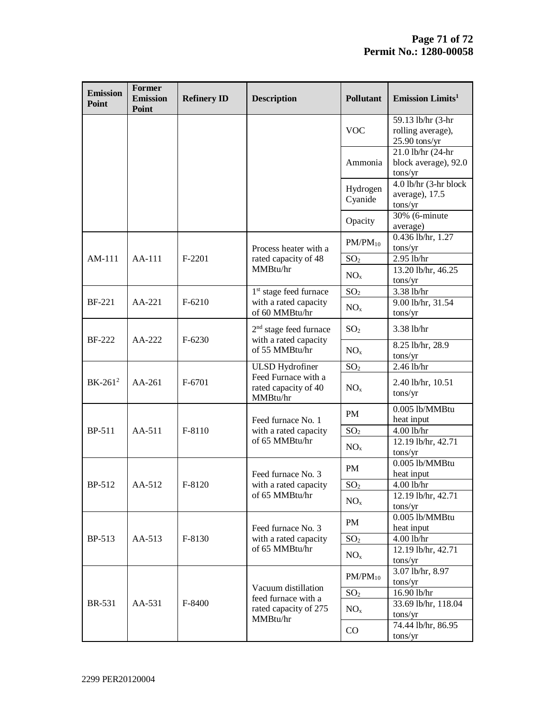| <b>Emission</b><br>Point | <b>Former</b><br><b>Emission</b><br>Point | <b>Refinery ID</b>    | <b>Description</b>                                                              | <b>Pollutant</b>    | Emission Limits <sup>1</sup>                              |
|--------------------------|-------------------------------------------|-----------------------|---------------------------------------------------------------------------------|---------------------|-----------------------------------------------------------|
|                          |                                           |                       |                                                                                 | <b>VOC</b>          | 59.13 lb/hr (3-hr<br>rolling average),<br>$25.90$ tons/yr |
|                          |                                           |                       |                                                                                 | Ammonia             | 21.0 lb/hr (24-hr<br>block average), 92.0<br>tons/yr      |
|                          |                                           |                       |                                                                                 | Hydrogen<br>Cyanide | 4.0 lb/hr (3-hr block<br>average), 17.5<br>tons/yr        |
|                          |                                           |                       |                                                                                 | Opacity             | 30% (6-minute<br>average)                                 |
|                          |                                           |                       | Process heater with a                                                           | $PM/PM_{10}$        | 0.436 lb/hr, 1.27<br>tons/yr                              |
| AM-111                   | AA-111                                    | $F-2201$              | rated capacity of 48                                                            | SO <sub>2</sub>     | 2.95 lb/hr                                                |
|                          |                                           |                       | MMBtu/hr                                                                        | NO <sub>x</sub>     | 13.20 lb/hr, 46.25<br>tons/yr                             |
|                          |                                           |                       | 1 <sup>st</sup> stage feed furnace                                              | SO <sub>2</sub>     | 3.38 lb/hr                                                |
| <b>BF-221</b>            | AA-221                                    | $F-6210$              | with a rated capacity<br>of 60 MMBtu/hr                                         | NO <sub>x</sub>     | 9.00 lb/hr, 31.54<br>tons/yr                              |
| <b>BF-222</b>            |                                           | $F-6230$              | 2 <sup>nd</sup> stage feed furnace<br>with a rated capacity<br>of 55 MMBtu/hr   | SO <sub>2</sub>     | 3.38 lb/hr                                                |
| $AA-222$                 |                                           |                       |                                                                                 | NO <sub>x</sub>     | 8.25 lb/hr, 28.9<br>tons/yr                               |
|                          |                                           |                       | <b>ULSD</b> Hydrofiner                                                          | SO <sub>2</sub>     | $2.46$ lb/hr                                              |
| BK-261 <sup>2</sup>      | AA-261                                    | F-6701                | Feed Furnace with a<br>rated capacity of 40<br>MMBtu/hr                         | NO <sub>x</sub>     | 2.40 lb/hr, 10.51<br>tons/yr                              |
| BP-511<br>AA-511         |                                           | F-8110                | Feed furnace No. 1<br>with a rated capacity<br>of 65 MMBtu/hr                   | PM                  | 0.005 lb/MMBtu<br>heat input                              |
|                          |                                           |                       |                                                                                 | SO <sub>2</sub>     | 4.00 lb/hr                                                |
|                          |                                           |                       |                                                                                 | NO <sub>x</sub>     | 12.19 lb/hr, 42.71<br>tons/yr                             |
|                          |                                           | F-8120                | Feed furnace No. 3<br>with a rated capacity<br>of 65 MMBtu/hr                   | PM                  | 0.005 lb/MMBtu<br>heat input                              |
| BP-512                   | AA-512                                    |                       |                                                                                 | SO <sub>2</sub>     | 4.00 lb/hr                                                |
|                          |                                           |                       |                                                                                 | NO <sub>x</sub>     | 12.19 lb/hr, 42.71<br>tons/yr                             |
| <b>BP-513</b><br>AA-513  |                                           |                       | Feed furnace No. 3                                                              | PM                  | 0.005 lb/MMBtu<br>heat input                              |
|                          | F-8130                                    | with a rated capacity | SO <sub>2</sub>                                                                 | 4.00 lb/hr          |                                                           |
|                          |                                           |                       | of 65 MMBtu/hr                                                                  | NO <sub>x</sub>     | 12.19 lb/hr, 42.71<br>tons/yr                             |
|                          |                                           | F-8400                | Vacuum distillation<br>feed furnace with a<br>rated capacity of 275<br>MMBtu/hr | $PM/PM_{10}$        | 3.07 lb/hr, 8.97<br>tons/yr                               |
|                          |                                           |                       |                                                                                 | SO <sub>2</sub>     | 16.90 lb/hr                                               |
| <b>BR-531</b>            | AA-531                                    |                       |                                                                                 | NO <sub>x</sub>     | 33.69 lb/hr, 118.04<br>tons/yr                            |
|                          |                                           |                       |                                                                                 | CO                  | 74.44 lb/hr, 86.95<br>tons/yr                             |